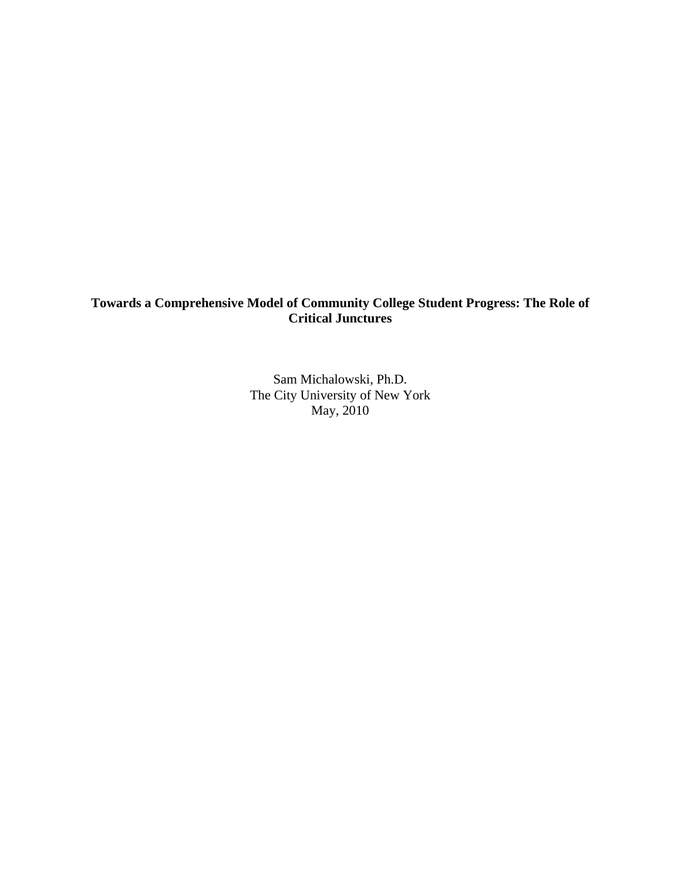# **Towards a Comprehensive Model of Community College Student Progress: The Role of Critical Junctures**

Sam Michalowski, Ph.D. The City University of New York May, 2010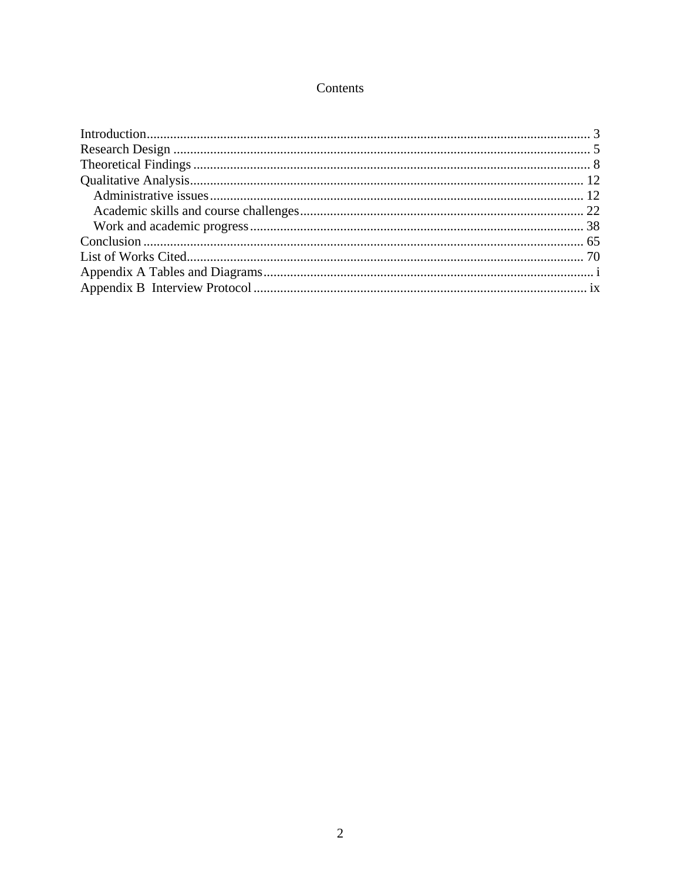# Contents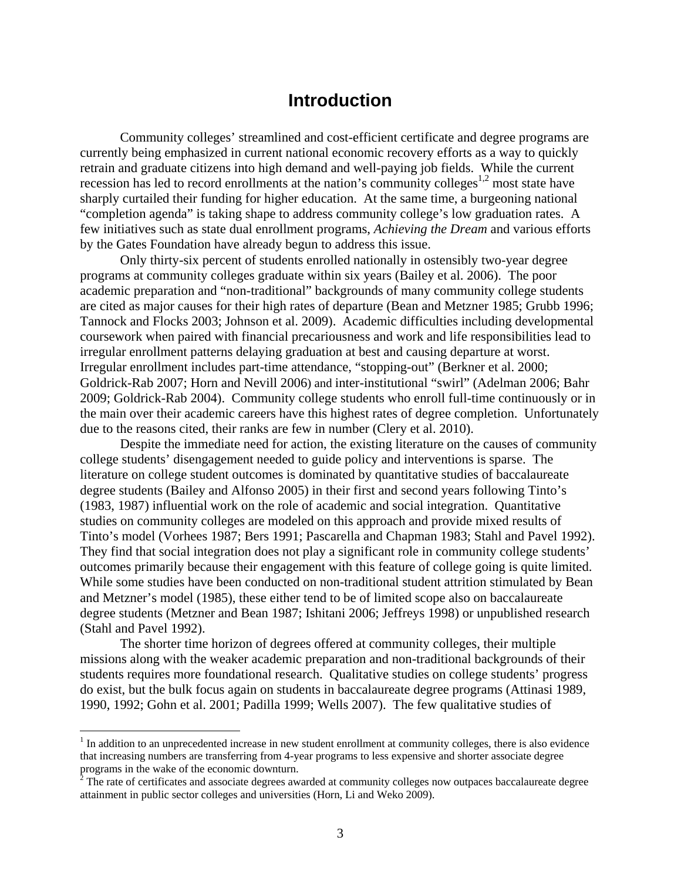# **Introduction**

<span id="page-2-0"></span>Community colleges' streamlined and cost-efficient certificate and degree programs are currently being emphasized in current national economic recovery efforts as a way to quickly retrain and graduate citizens into high demand and well-paying job fields. While the current recession has led to record enrollments at the nation's community colleges<sup>1,2</sup> most state have sharply curtailed their funding for higher education. At the same time, a burgeoning national "completion agenda" is taking shape to address community college's low graduation rates. A few initiatives such as state dual enrollment programs, *Achieving the Dream* and various efforts by the Gates Foundation have already begun to address this issue.

Only thirty-six percent of students enrolled nationally in ostensibly two-year degree programs at community colleges graduate within six years (Bailey et al. 2006). The poor academic preparation and "non-traditional" backgrounds of many community college students are cited as major causes for their high rates of departure (Bean and Metzner 1985; Grubb 1996; Tannock and Flocks 2003; Johnson et al. 2009). Academic difficulties including developmental coursework when paired with financial precariousness and work and life responsibilities lead to irregular enrollment patterns delaying graduation at best and causing departure at worst. Irregular enrollment includes part-time attendance, "stopping-out" (Berkner et al. 2000; Goldrick-Rab 2007; Horn and Nevill 2006) and inter-institutional "swirl" (Adelman 2006; Bahr 2009; Goldrick-Rab 2004). Community college students who enroll full-time continuously or in the main over their academic careers have this highest rates of degree completion. Unfortunately due to the reasons cited, their ranks are few in number (Clery et al. 2010).

Despite the immediate need for action, the existing literature on the causes of community college students' disengagement needed to guide policy and interventions is sparse. The literature on college student outcomes is dominated by quantitative studies of baccalaureate degree students (Bailey and Alfonso 2005) in their first and second years following Tinto's (1983, 1987) influential work on the role of academic and social integration. Quantitative studies on community colleges are modeled on this approach and provide mixed results of Tinto's model (Vorhees 1987; Bers 1991; Pascarella and Chapman 1983; Stahl and Pavel 1992). They find that social integration does not play a significant role in community college students' outcomes primarily because their engagement with this feature of college going is quite limited. While some studies have been conducted on non-traditional student attrition stimulated by Bean and Metzner's model (1985), these either tend to be of limited scope also on baccalaureate degree students (Metzner and Bean 1987; Ishitani 2006; Jeffreys 1998) or unpublished research (Stahl and Pavel 1992).

The shorter time horizon of degrees offered at community colleges, their multiple missions along with the weaker academic preparation and non-traditional backgrounds of their students requires more foundational research. Qualitative studies on college students' progress do exist, but the bulk focus again on students in baccalaureate degree programs (Attinasi 1989, 1990, 1992; Gohn et al. 2001; Padilla 1999; Wells 2007). The few qualitative studies of

 $\overline{a}$ 

 $1$  In addition to an unprecedented increase in new student enrollment at community colleges, there is also evidence that increasing numbers are transferring from 4-year programs to less expensive and shorter associate degree programs in the wake of the economic downturn.<br><sup>2</sup> The rate of certificates and associate degrees awarded at community colleges now outpaces baccalaureate degree

 attainment in public sector colleges and universities (Horn, Li and Weko 2009).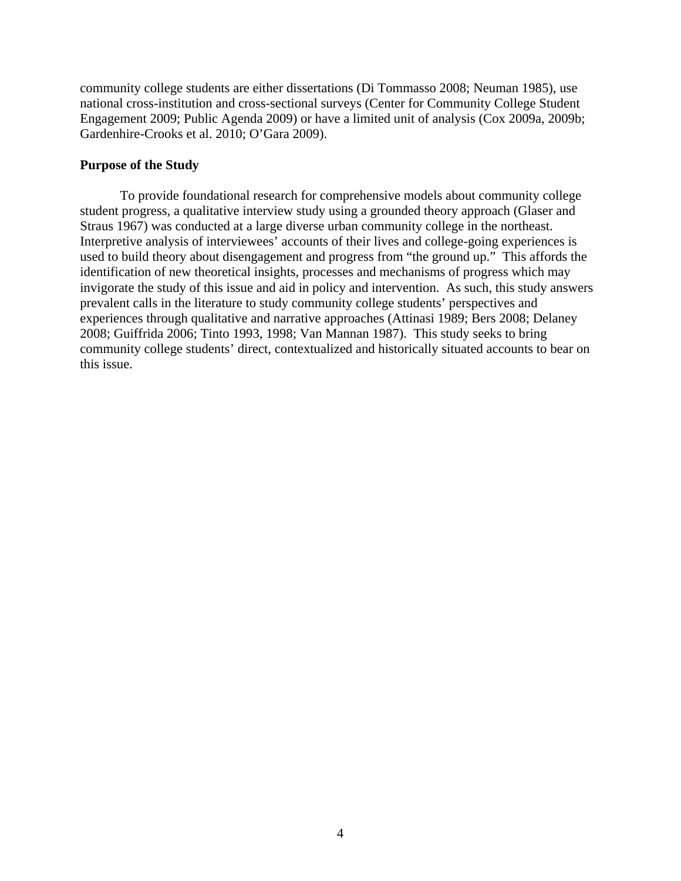community college students are either dissertations (Di Tommasso 2008; Neuman 1985), use national cross-institution and cross-sectional surveys (Center for Community College Student Engagement 2009; Public Agenda 2009) or have a limited unit of analysis (Cox 2009a, 2009b; Gardenhire-Crooks et al. 2010; O'Gara 2009).

## **Purpose of the Study**

To provide foundational research for comprehensive models about community college student progress, a qualitative interview study using a grounded theory approach (Glaser and Straus 1967) was conducted at a large diverse urban community college in the northeast. Interpretive analysis of interviewees' accounts of their lives and college-going experiences is used to build theory about disengagement and progress from "the ground up." This affords the identification of new theoretical insights, processes and mechanisms of progress which may invigorate the study of this issue and aid in policy and intervention. As such, this study answers prevalent calls in the literature to study community college students' perspectives and experiences through qualitative and narrative approaches (Attinasi 1989; Bers 2008; Delaney 2008; Guiffrida 2006; Tinto 1993, 1998; Van Mannan 1987). This study seeks to bring community college students' direct, contextualized and historically situated accounts to bear on this issue.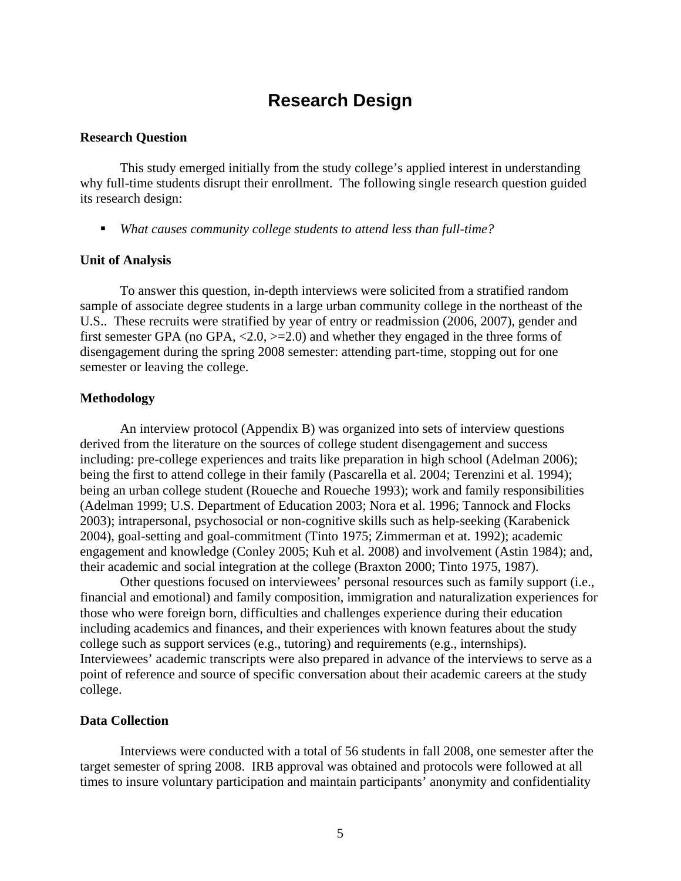# **Research Design**

# <span id="page-4-0"></span>**Research Question**

This study emerged initially from the study college's applied interest in understanding why full-time students disrupt their enrollment. The following single research question guided its research design:

*What causes community college students to attend less than full-time?* 

### **Unit of Analysis**

To answer this question, in-depth interviews were solicited from a stratified random sample of associate degree students in a large urban community college in the northeast of the U.S.. These recruits were stratified by year of entry or readmission (2006, 2007), gender and first semester GPA (no GPA,  $\langle 2.0, \rangle = 2.0$ ) and whether they engaged in the three forms of disengagement during the spring 2008 semester: attending part-time, stopping out for one semester or leaving the college.

## **Methodology**

An interview protocol (Appendix B) was organized into sets of interview questions derived from the literature on the sources of college student disengagement and success including: pre-college experiences and traits like preparation in high school (Adelman 2006); being the first to attend college in their family (Pascarella et al. 2004; Terenzini et al. 1994); being an urban college student (Roueche and Roueche 1993); work and family responsibilities (Adelman 1999; U.S. Department of Education 2003; Nora et al. 1996; Tannock and Flocks 2003); intrapersonal, psychosocial or non-cognitive skills such as help-seeking (Karabenick 2004), goal-setting and goal-commitment (Tinto 1975; Zimmerman et at. 1992); academic engagement and knowledge (Conley 2005; Kuh et al. 2008) and involvement (Astin 1984); and, their academic and social integration at the college (Braxton 2000; Tinto 1975, 1987).

Other questions focused on interviewees' personal resources such as family support (i.e., financial and emotional) and family composition, immigration and naturalization experiences for those who were foreign born, difficulties and challenges experience during their education including academics and finances, and their experiences with known features about the study college such as support services (e.g., tutoring) and requirements (e.g., internships). Interviewees' academic transcripts were also prepared in advance of the interviews to serve as a point of reference and source of specific conversation about their academic careers at the study college.

## **Data Collection**

Interviews were conducted with a total of 56 students in fall 2008, one semester after the target semester of spring 2008. IRB approval was obtained and protocols were followed at all times to insure voluntary participation and maintain participants' anonymity and confidentiality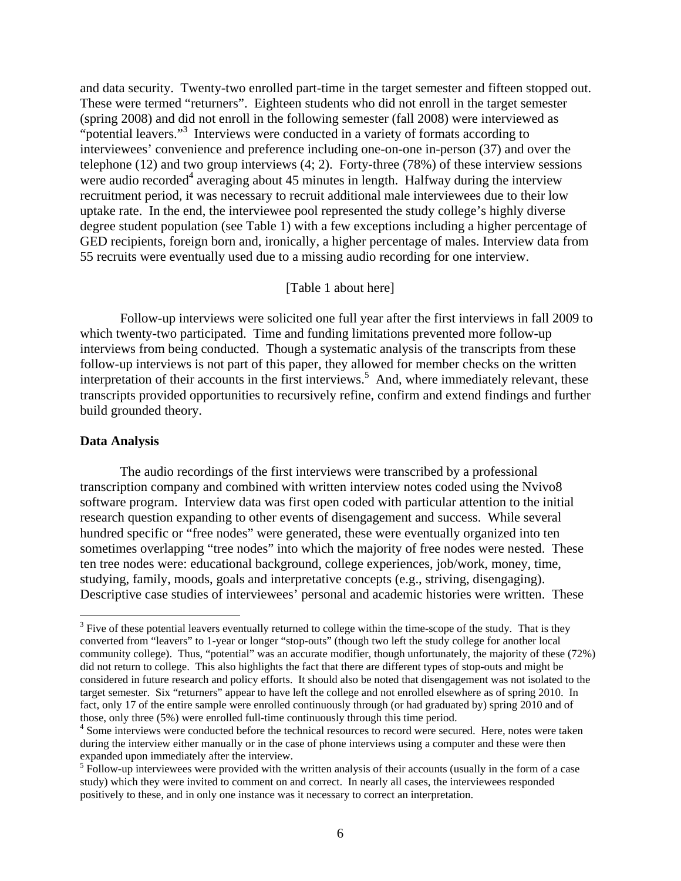and data security. Twenty-two enrolled part-time in the target semester and fifteen stopped out. These were termed "returners". Eighteen students who did not enroll in the target semester (spring 2008) and did not enroll in the following semester (fall 2008) were interviewed as "potential leavers."<sup>3</sup> Interviews were conducted in a variety of formats according to interviewees' convenience and preference including one-on-one in-person (37) and over the telephone (12) and two group interviews (4; 2). Forty-three (78%) of these interview sessions were audio recorded<sup>4</sup> averaging about 45 minutes in length. Halfway during the interview recruitment period, it was necessary to recruit additional male interviewees due to their low uptake rate. In the end, the interviewee pool represented the study college's highly diverse degree student population (see Table 1) with a few exceptions including a higher percentage of GED recipients, foreign born and, ironically, a higher percentage of males. Interview data from 55 recruits were eventually used due to a missing audio recording for one interview.

# [Table 1 about here]

Follow-up interviews were solicited one full year after the first interviews in fall 2009 to which twenty-two participated. Time and funding limitations prevented more follow-up interviews from being conducted. Though a systematic analysis of the transcripts from these follow-up interviews is not part of this paper, they allowed for member checks on the written interpretation of their accounts in the first interviews.<sup>5</sup> And, where immediately relevant, these transcripts provided opportunities to recursively refine, confirm and extend findings and further build grounded theory.

### **Data Analysis**

1

The audio recordings of the first interviews were transcribed by a professional transcription company and combined with written interview notes coded using the Nvivo8 software program. Interview data was first open coded with particular attention to the initial research question expanding to other events of disengagement and success. While several hundred specific or "free nodes" were generated, these were eventually organized into ten sometimes overlapping "tree nodes" into which the majority of free nodes were nested. These ten tree nodes were: educational background, college experiences, job/work, money, time, studying, family, moods, goals and interpretative concepts (e.g., striving, disengaging). Descriptive case studies of interviewees' personal and academic histories were written. These

 considered in future research and policy efforts. It should also be noted that disengagement was not isolated to the target semester. Six "returners" appear to have left the college and not enrolled elsewhere as of spring 2010. In fact, only 17 of the entire sample were enrolled continuously through (or had graduated by) spring 2010 and of  $3$  Five of these potential leavers eventually returned to college within the time-scope of the study. That is they converted from "leavers" to 1-year or longer "stop-outs" (though two left the study college for another local community college). Thus, "potential" was an accurate modifier, though unfortunately, the majority of these (72%) did not return to college. This also highlights the fact that there are different types of stop-outs and might be those, only three (5%) were enrolled full-time continuously through this time period.

<sup>&</sup>lt;sup>4</sup> Some interviews were conducted before the technical resources to record were secured. Here, notes were taken during the interview either manually or in the case of phone interviews using a computer and these were then expanded upon immediately after the interview.

<sup>&</sup>lt;sup>5</sup> Follow-up interviewees were provided with the written analysis of their accounts (usually in the form of a case study) which they were invited to comment on and correct. In nearly all cases, the interviewees responded positively to these, and in only one instance was it necessary to correct an interpretation.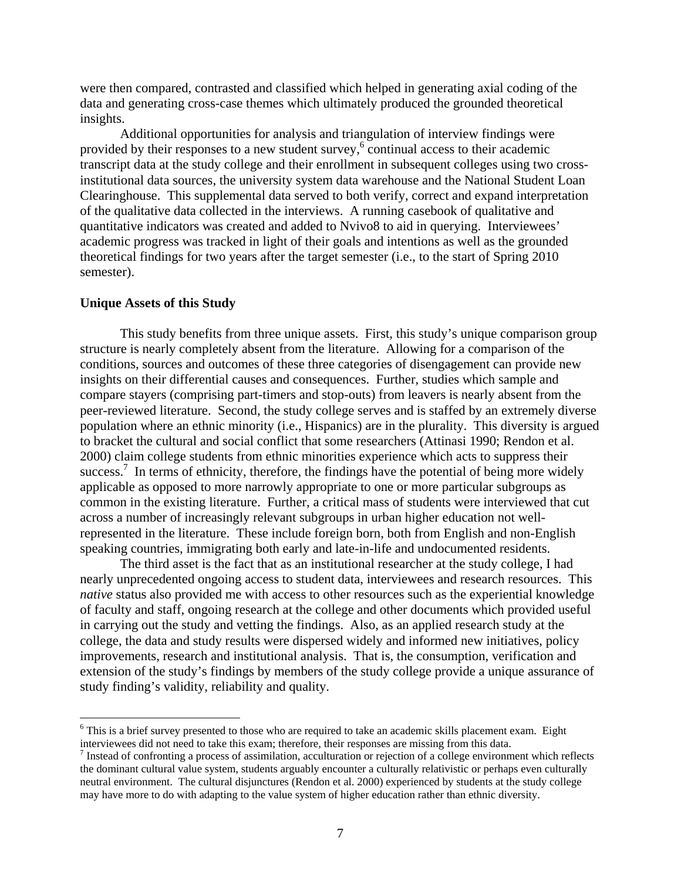were then compared, contrasted and classified which helped in generating axial coding of the data and generating cross-case themes which ultimately produced the grounded theoretical insights.

Additional opportunities for analysis and triangulation of interview findings were provided by their responses to a new student survey,  $\sim$  continual access to their academic transcript data at the study college and their enrollment in subsequent colleges using two crossinstitutional data sources, the university system data warehouse and the National Student Loan Clearinghouse. This supplemental data served to both verify, correct and expand interpretation of the qualitative data collected in the interviews. A running casebook of qualitative and quantitative indicators was created and added to Nvivo8 to aid in querying. Interviewees' academic progress was tracked in light of their goals and intentions as well as the grounded theoretical findings for two years after the target semester (i.e., to the start of Spring 2010 semester).

### **Unique Assets of this Study**

 $\overline{a}$ 

This study benefits from three unique assets. First, this study's unique comparison group structure is nearly completely absent from the literature. Allowing for a comparison of the conditions, sources and outcomes of these three categories of disengagement can provide new insights on their differential causes and consequences. Further, studies which sample and compare stayers (comprising part-timers and stop-outs) from leavers is nearly absent from the peer-reviewed literature. Second, the study college serves and is staffed by an extremely diverse population where an ethnic minority (i.e., Hispanics) are in the plurality. This diversity is argued to bracket the cultural and social conflict that some researchers (Attinasi 1990; Rendon et al. 2000) claim college students from ethnic minorities experience which acts to suppress their success.<sup>7</sup> In terms of ethnicity, therefore, the findings have the potential of being more widely applicable as opposed to more narrowly appropriate to one or more particular subgroups as common in the existing literature. Further, a critical mass of students were interviewed that cut across a number of increasingly relevant subgroups in urban higher education not wellrepresented in the literature. These include foreign born, both from English and non-English speaking countries, immigrating both early and late-in-life and undocumented residents.

The third asset is the fact that as an institutional researcher at the study college, I had nearly unprecedented ongoing access to student data, interviewees and research resources. This *native* status also provided me with access to other resources such as the experiential knowledge of faculty and staff, ongoing research at the college and other documents which provided useful in carrying out the study and vetting the findings. Also, as an applied research study at the college, the data and study results were dispersed widely and informed new initiatives, policy improvements, research and institutional analysis. That is, the consumption, verification and extension of the study's findings by members of the study college provide a unique assurance of study finding's validity, reliability and quality.

interviewees did not need to take this exam; therefore, their responses are missing from this data.  $^7$  Instead of confronting a process of essimilation, equally provided at earliers any remain <sup>6</sup> This is a brief survey presented to those who are required to take an academic skills placement exam. Eight

Instead of confronting a process of assimilation, acculturation or rejection of a college environment which reflects the dominant cultural value system, students arguably encounter a culturally relativistic or perhaps even culturally neutral environment. The cultural disjunctures (Rendon et al. 2000) experienced by students at the study college may have more to do with adapting to the value system of higher education rather than ethnic diversity.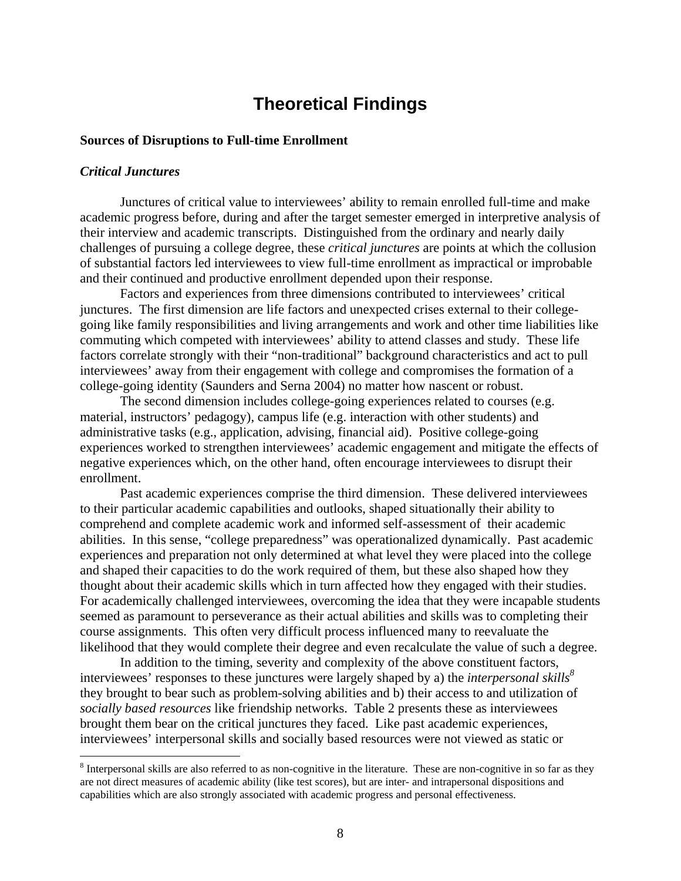# **Theoretical Findings**

# <span id="page-7-0"></span>**Sources of Disruptions to Full-time Enrollment**

# *Critical Junctures*

 $\overline{a}$ 

Junctures of critical value to interviewees' ability to remain enrolled full-time and make academic progress before, during and after the target semester emerged in interpretive analysis of their interview and academic transcripts. Distinguished from the ordinary and nearly daily challenges of pursuing a college degree, these *critical junctures* are points at which the collusion of substantial factors led interviewees to view full-time enrollment as impractical or improbable and their continued and productive enrollment depended upon their response.

Factors and experiences from three dimensions contributed to interviewees' critical junctures. The first dimension are life factors and unexpected crises external to their collegegoing like family responsibilities and living arrangements and work and other time liabilities like commuting which competed with interviewees' ability to attend classes and study. These life factors correlate strongly with their "non-traditional" background characteristics and act to pull interviewees' away from their engagement with college and compromises the formation of a college-going identity (Saunders and Serna 2004) no matter how nascent or robust.

The second dimension includes college-going experiences related to courses (e.g. material, instructors' pedagogy), campus life (e.g. interaction with other students) and administrative tasks (e.g., application, advising, financial aid). Positive college-going experiences worked to strengthen interviewees' academic engagement and mitigate the effects of negative experiences which, on the other hand, often encourage interviewees to disrupt their enrollment.

Past academic experiences comprise the third dimension. These delivered interviewees to their particular academic capabilities and outlooks, shaped situationally their ability to comprehend and complete academic work and informed self-assessment of their academic abilities. In this sense, "college preparedness" was operationalized dynamically. Past academic experiences and preparation not only determined at what level they were placed into the college and shaped their capacities to do the work required of them, but these also shaped how they thought about their academic skills which in turn affected how they engaged with their studies. For academically challenged interviewees, overcoming the idea that they were incapable students seemed as paramount to perseverance as their actual abilities and skills was to completing their course assignments. This often very difficult process influenced many to reevaluate the likelihood that they would complete their degree and even recalculate the value of such a degree.

In addition to the timing, severity and complexity of the above constituent factors, interviewees' responses to these junctures were largely shaped by a) the *interpersonal skills*<sup>8</sup> they brought to bear such as problem-solving abilities and b) their access to and utilization of *socially based resources* like friendship networks. Table 2 presents these as interviewees brought them bear on the critical junctures they faced. Like past academic experiences, interviewees' interpersonal skills and socially based resources were not viewed as static or

 are not direct measures of academic ability (like test scores), but are inter- and intrapersonal dispositions and  $8$  Interpersonal skills are also referred to as non-cognitive in the literature. These are non-cognitive in so far as they capabilities which are also strongly associated with academic progress and personal effectiveness.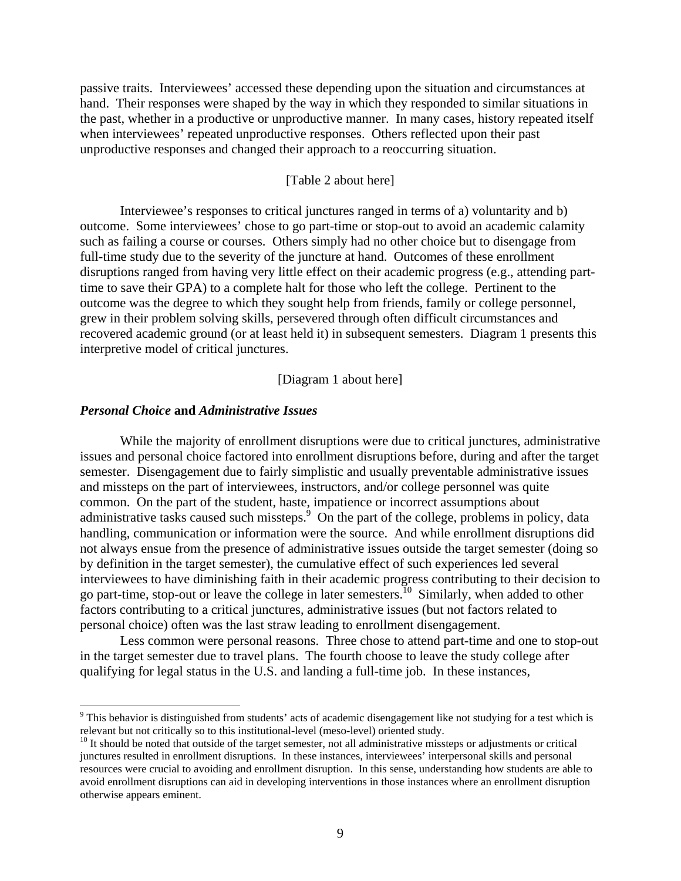passive traits. Interviewees' accessed these depending upon the situation and circumstances at hand. Their responses were shaped by the way in which they responded to similar situations in the past, whether in a productive or unproductive manner. In many cases, history repeated itself when interviewees' repeated unproductive responses. Others reflected upon their past unproductive responses and changed their approach to a reoccurring situation.

# [Table 2 about here]

Interviewee's responses to critical junctures ranged in terms of a) voluntarity and b) outcome. Some interviewees' chose to go part-time or stop-out to avoid an academic calamity such as failing a course or courses. Others simply had no other choice but to disengage from full-time study due to the severity of the juncture at hand. Outcomes of these enrollment disruptions ranged from having very little effect on their academic progress (e.g., attending parttime to save their GPA) to a complete halt for those who left the college. Pertinent to the outcome was the degree to which they sought help from friends, family or college personnel, grew in their problem solving skills, persevered through often difficult circumstances and recovered academic ground (or at least held it) in subsequent semesters. Diagram 1 presents this interpretive model of critical junctures.

[Diagram 1 about here]

## *Personal Choice* **and** *Administrative Issues*

 $\overline{a}$ 

While the majority of enrollment disruptions were due to critical junctures, administrative issues and personal choice factored into enrollment disruptions before, during and after the target semester. Disengagement due to fairly simplistic and usually preventable administrative issues and missteps on the part of interviewees, instructors, and/or college personnel was quite common. On the part of the student, haste, impatience or incorrect assumptions about administrative tasks caused such missteps. $9$  On the part of the college, problems in policy, data handling, communication or information were the source. And while enrollment disruptions did not always ensue from the presence of administrative issues outside the target semester (doing so by definition in the target semester), the cumulative effect of such experiences led several interviewees to have diminishing faith in their academic progress contributing to their decision to go part-time, stop-out or leave the college in later semesters.<sup>10</sup> Similarly, when added to other factors contributing to a critical junctures, administrative issues (but not factors related to personal choice) often was the last straw leading to enrollment disengagement.

Less common were personal reasons. Three chose to attend part-time and one to stop-out in the target semester due to travel plans. The fourth choose to leave the study college after qualifying for legal status in the U.S. and landing a full-time job. In these instances,

<sup>&</sup>lt;sup>9</sup> This behavior is distinguished from students' acts of academic disengagement like not studying for a test which is relevant but not critically so to this institutional-level (meso-level) oriented study.

 $10$  It should be noted that outside of the target semester, not all administrative missteps or adjustments or critical junctures resulted in enrollment disruptions. In these instances, interviewees' interpersonal skills and personal resources were crucial to avoiding and enrollment disruption. In this sense, understanding how students are able to avoid enrollment disruptions can aid in developing interventions in those instances where an enrollment disruption otherwise appears eminent.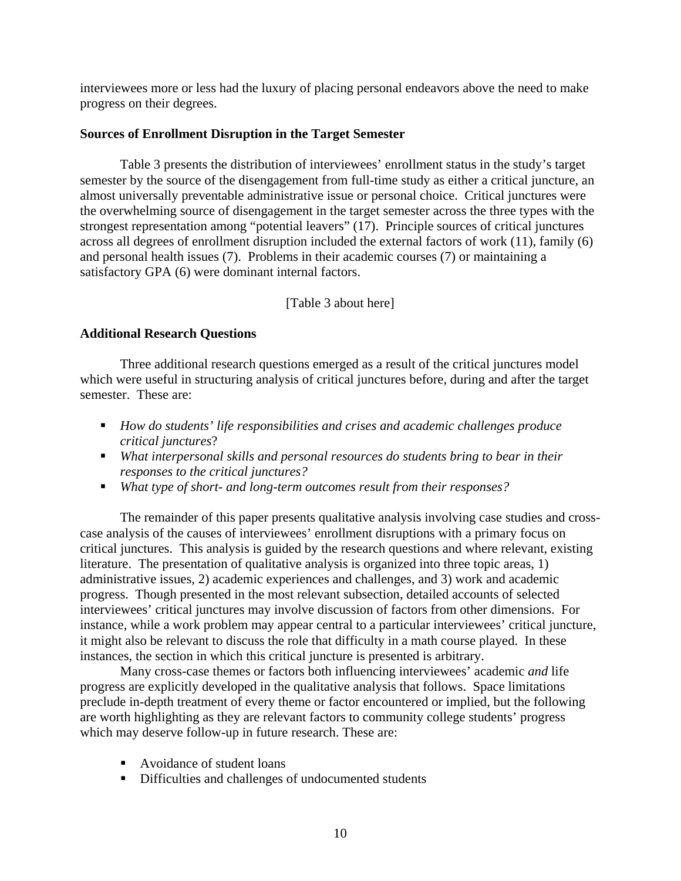interviewees more or less had the luxury of placing personal endeavors above the need to make progress on their degrees.

# **Sources of Enrollment Disruption in the Target Semester**

Table 3 presents the distribution of interviewees' enrollment status in the study's target semester by the source of the disengagement from full-time study as either a critical juncture, an almost universally preventable administrative issue or personal choice. Critical junctures were the overwhelming source of disengagement in the target semester across the three types with the strongest representation among "potential leavers" (17). Principle sources of critical junctures across all degrees of enrollment disruption included the external factors of work (11), family (6) and personal health issues (7). Problems in their academic courses (7) or maintaining a satisfactory GPA (6) were dominant internal factors.

# [Table 3 about here]

# **Additional Research Questions**

Three additional research questions emerged as a result of the critical junctures model which were useful in structuring analysis of critical junctures before, during and after the target semester. These are:

- *How do students' life responsibilities and crises and academic challenges produce critical junctures*?
- *What interpersonal skills and personal resources do students bring to bear in their responses to the critical junctures?*
- *What type of short- and long-term outcomes result from their responses?*

The remainder of this paper presents qualitative analysis involving case studies and crosscase analysis of the causes of interviewees' enrollment disruptions with a primary focus on critical junctures. This analysis is guided by the research questions and where relevant, existing literature. The presentation of qualitative analysis is organized into three topic areas, 1) administrative issues, 2) academic experiences and challenges, and 3) work and academic progress. Though presented in the most relevant subsection, detailed accounts of selected interviewees' critical junctures may involve discussion of factors from other dimensions. For instance, while a work problem may appear central to a particular interviewees' critical juncture, it might also be relevant to discuss the role that difficulty in a math course played. In these instances, the section in which this critical juncture is presented is arbitrary.

Many cross-case themes or factors both influencing interviewees' academic *and* life progress are explicitly developed in the qualitative analysis that follows. Space limitations preclude in-depth treatment of every theme or factor encountered or implied, but the following are worth highlighting as they are relevant factors to community college students' progress which may deserve follow-up in future research. These are:

- Avoidance of student loans
- Difficulties and challenges of undocumented students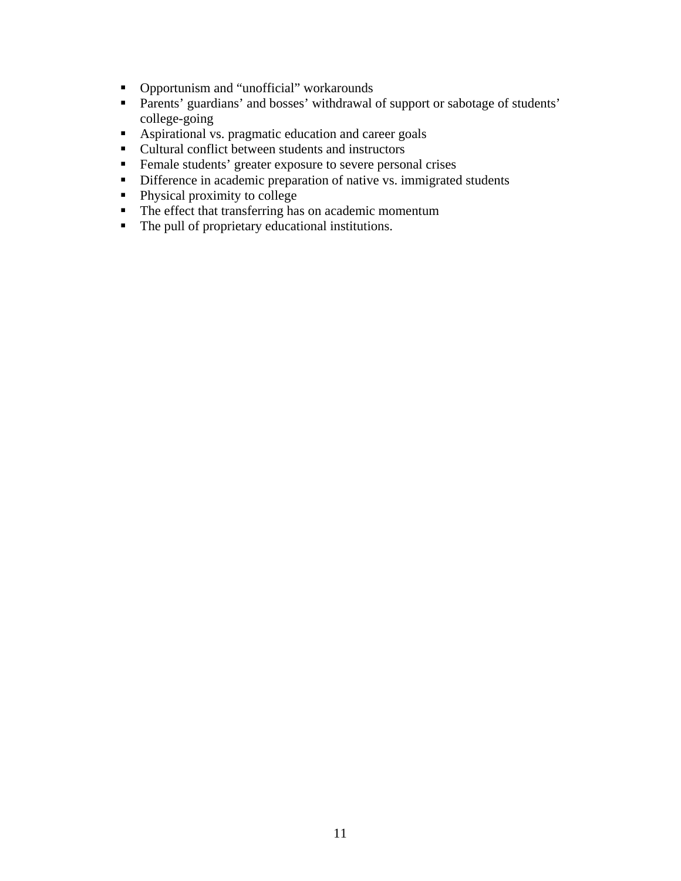- Opportunism and "unofficial" workarounds
- **Parents' guardians' and bosses' withdrawal of support or sabotage of students'** college-going
- Aspirational vs. pragmatic education and career goals
- Cultural conflict between students and instructors
- **Female students' greater exposure to severe personal crises**
- Difference in academic preparation of native vs. immigrated students
- Physical proximity to college
- $\blacksquare$  The effect that transferring has on academic momentum
- The pull of proprietary educational institutions.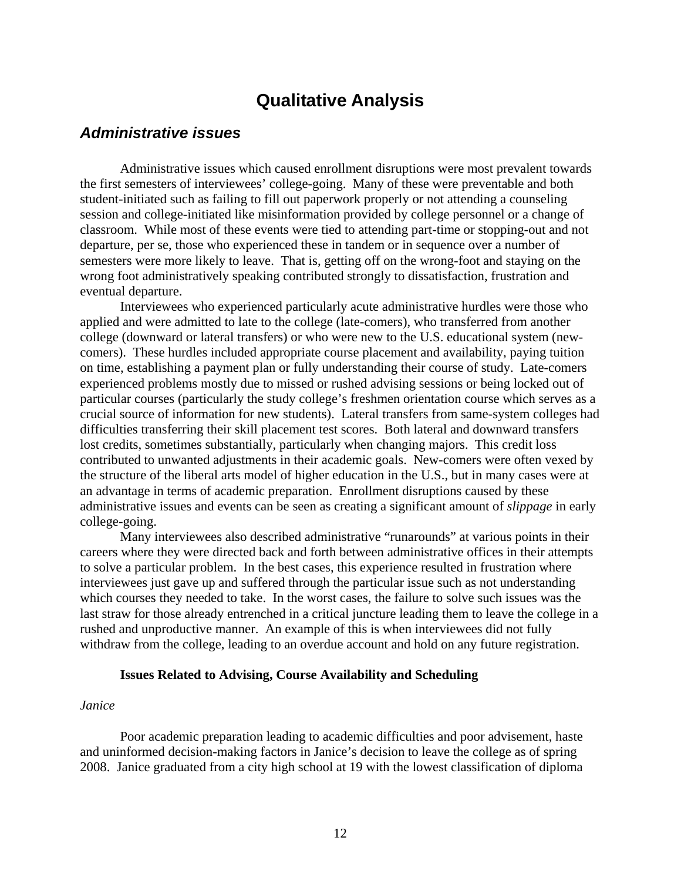# **Qualitative Analysis**

# <span id="page-11-0"></span>*Administrative issues*

Administrative issues which caused enrollment disruptions were most prevalent towards the first semesters of interviewees' college-going. Many of these were preventable and both student-initiated such as failing to fill out paperwork properly or not attending a counseling session and college-initiated like misinformation provided by college personnel or a change of classroom. While most of these events were tied to attending part-time or stopping-out and not departure, per se, those who experienced these in tandem or in sequence over a number of semesters were more likely to leave. That is, getting off on the wrong-foot and staying on the wrong foot administratively speaking contributed strongly to dissatisfaction, frustration and eventual departure.

Interviewees who experienced particularly acute administrative hurdles were those who applied and were admitted to late to the college (late-comers), who transferred from another college (downward or lateral transfers) or who were new to the U.S. educational system (newcomers). These hurdles included appropriate course placement and availability, paying tuition on time, establishing a payment plan or fully understanding their course of study. Late-comers experienced problems mostly due to missed or rushed advising sessions or being locked out of particular courses (particularly the study college's freshmen orientation course which serves as a crucial source of information for new students). Lateral transfers from same-system colleges had difficulties transferring their skill placement test scores. Both lateral and downward transfers lost credits, sometimes substantially, particularly when changing majors. This credit loss contributed to unwanted adjustments in their academic goals. New-comers were often vexed by the structure of the liberal arts model of higher education in the U.S., but in many cases were at an advantage in terms of academic preparation. Enrollment disruptions caused by these administrative issues and events can be seen as creating a significant amount of *slippage* in early college-going.

Many interviewees also described administrative "runarounds" at various points in their careers where they were directed back and forth between administrative offices in their attempts to solve a particular problem. In the best cases, this experience resulted in frustration where interviewees just gave up and suffered through the particular issue such as not understanding which courses they needed to take. In the worst cases, the failure to solve such issues was the last straw for those already entrenched in a critical juncture leading them to leave the college in a rushed and unproductive manner. An example of this is when interviewees did not fully withdraw from the college, leading to an overdue account and hold on any future registration.

### **Issues Related to Advising, Course Availability and Scheduling**

#### *Janice*

Poor academic preparation leading to academic difficulties and poor advisement, haste and uninformed decision-making factors in Janice's decision to leave the college as of spring 2008. Janice graduated from a city high school at 19 with the lowest classification of diploma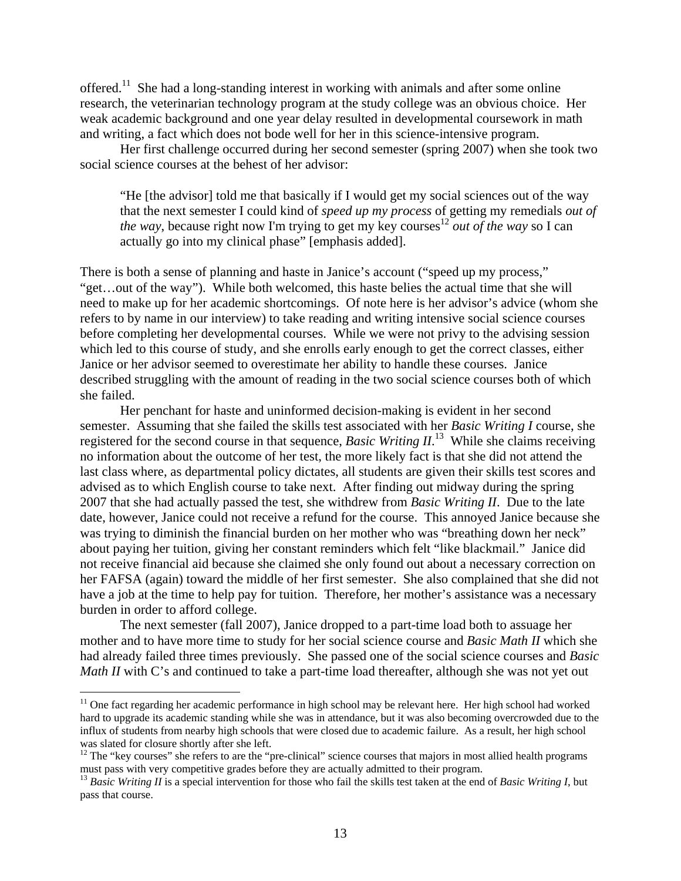offered.<sup>11</sup> She had a long-standing interest in working with animals and after some online research, the veterinarian technology program at the study college was an obvious choice. Her weak academic background and one year delay resulted in developmental coursework in math and writing, a fact which does not bode well for her in this science-intensive program.

Her first challenge occurred during her second semester (spring 2007) when she took two social science courses at the behest of her advisor:

"He [the advisor] told me that basically if I would get my social sciences out of the way that the next semester I could kind of *speed up my process* of getting my remedials *out of the way*, because right now I'm trying to get my key courses<sup>12</sup> *out of the way* so I can actually go into my clinical phase" [emphasis added].

There is both a sense of planning and haste in Janice's account ("speed up my process," "get…out of the way"). While both welcomed, this haste belies the actual time that she will need to make up for her academic shortcomings. Of note here is her advisor's advice (whom she refers to by name in our interview) to take reading and writing intensive social science courses before completing her developmental courses. While we were not privy to the advising session which led to this course of study, and she enrolls early enough to get the correct classes, either Janice or her advisor seemed to overestimate her ability to handle these courses. Janice described struggling with the amount of reading in the two social science courses both of which she failed.

Her penchant for haste and uninformed decision-making is evident in her second semester. Assuming that she failed the skills test associated with her *Basic Writing I* course, she registered for the second course in that sequence, *Basic Writing II*.<sup>13</sup> While she claims receiving no information about the outcome of her test, the more likely fact is that she did not attend the last class where, as departmental policy dictates, all students are given their skills test scores and advised as to which English course to take next. After finding out midway during the spring 2007 that she had actually passed the test, she withdrew from *Basic Writing II*. Due to the late date, however, Janice could not receive a refund for the course. This annoyed Janice because she was trying to diminish the financial burden on her mother who was "breathing down her neck" about paying her tuition, giving her constant reminders which felt "like blackmail." Janice did not receive financial aid because she claimed she only found out about a necessary correction on her FAFSA (again) toward the middle of her first semester. She also complained that she did not have a job at the time to help pay for tuition. Therefore, her mother's assistance was a necessary burden in order to afford college.

The next semester (fall 2007), Janice dropped to a part-time load both to assuage her mother and to have more time to study for her social science course and *Basic Math II* which she had already failed three times previously. She passed one of the social science courses and *Basic Math II* with C's and continued to take a part-time load thereafter, although she was not yet out

 $\overline{a}$ 

<sup>&</sup>lt;sup>11</sup> One fact regarding her academic performance in high school may be relevant here. Her high school had worked hard to upgrade its academic standing while she was in attendance, but it was also becoming overcrowded due to the influx of students from nearby high schools that were closed due to academic failure. As a result, her high school was slated for closure shortly after she left.

<sup>&</sup>lt;sup>12</sup> The "key courses" she refers to are the "pre-clinical" science courses that majors in most allied health programs must pass with very competitive grades before they are actually admitted to their program.

<sup>13</sup>*Basic Writing II* is a special intervention for those who fail the skills test taken at the end of *Basic Writing I*, but pass that course.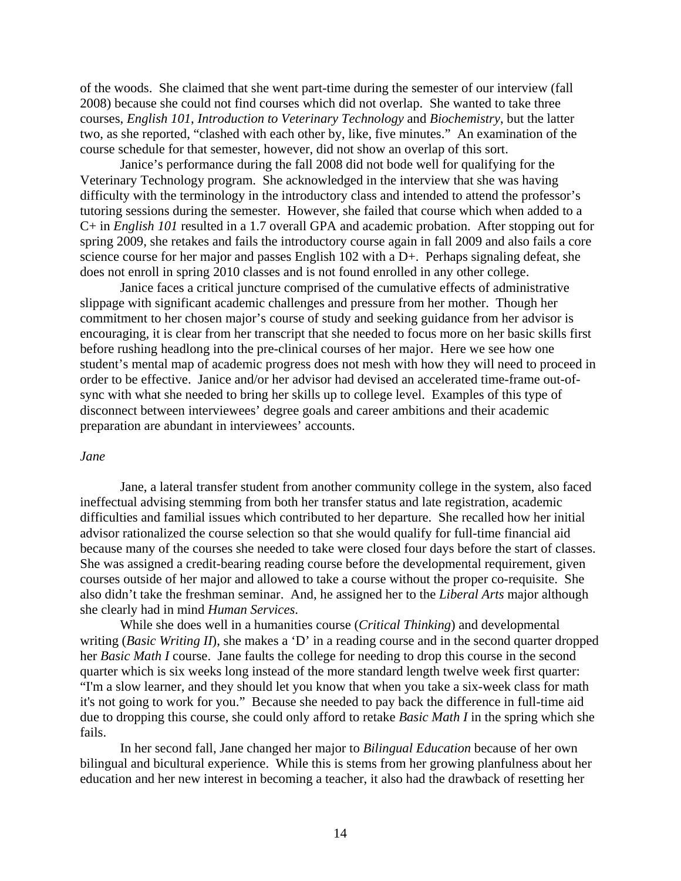of the woods. She claimed that she went part-time during the semester of our interview (fall 2008) because she could not find courses which did not overlap. She wanted to take three courses, *English 101*, *Introduction to Veterinary Technology* and *Biochemistry*, but the latter two, as she reported, "clashed with each other by, like, five minutes." An examination of the course schedule for that semester, however, did not show an overlap of this sort.

Janice's performance during the fall 2008 did not bode well for qualifying for the Veterinary Technology program. She acknowledged in the interview that she was having difficulty with the terminology in the introductory class and intended to attend the professor's tutoring sessions during the semester. However, she failed that course which when added to a C+ in *English 101* resulted in a 1.7 overall GPA and academic probation. After stopping out for spring 2009, she retakes and fails the introductory course again in fall 2009 and also fails a core science course for her major and passes English 102 with a D+. Perhaps signaling defeat, she does not enroll in spring 2010 classes and is not found enrolled in any other college.

Janice faces a critical juncture comprised of the cumulative effects of administrative slippage with significant academic challenges and pressure from her mother. Though her commitment to her chosen major's course of study and seeking guidance from her advisor is encouraging, it is clear from her transcript that she needed to focus more on her basic skills first before rushing headlong into the pre-clinical courses of her major. Here we see how one student's mental map of academic progress does not mesh with how they will need to proceed in order to be effective. Janice and/or her advisor had devised an accelerated time-frame out-ofsync with what she needed to bring her skills up to college level. Examples of this type of disconnect between interviewees' degree goals and career ambitions and their academic preparation are abundant in interviewees' accounts.

### *Jane*

Jane, a lateral transfer student from another community college in the system, also faced ineffectual advising stemming from both her transfer status and late registration, academic difficulties and familial issues which contributed to her departure. She recalled how her initial advisor rationalized the course selection so that she would qualify for full-time financial aid because many of the courses she needed to take were closed four days before the start of classes. She was assigned a credit-bearing reading course before the developmental requirement, given courses outside of her major and allowed to take a course without the proper co-requisite. She also didn't take the freshman seminar. And, he assigned her to the *Liberal Arts* major although she clearly had in mind *Human Services*.

While she does well in a humanities course (*Critical Thinking*) and developmental writing (*Basic Writing II*), she makes a 'D' in a reading course and in the second quarter dropped her *Basic Math I* course. Jane faults the college for needing to drop this course in the second quarter which is six weeks long instead of the more standard length twelve week first quarter: "I'm a slow learner, and they should let you know that when you take a six-week class for math it's not going to work for you." Because she needed to pay back the difference in full-time aid due to dropping this course, she could only afford to retake *Basic Math I* in the spring which she fails.

In her second fall, Jane changed her major to *Bilingual Education* because of her own bilingual and bicultural experience. While this is stems from her growing planfulness about her education and her new interest in becoming a teacher, it also had the drawback of resetting her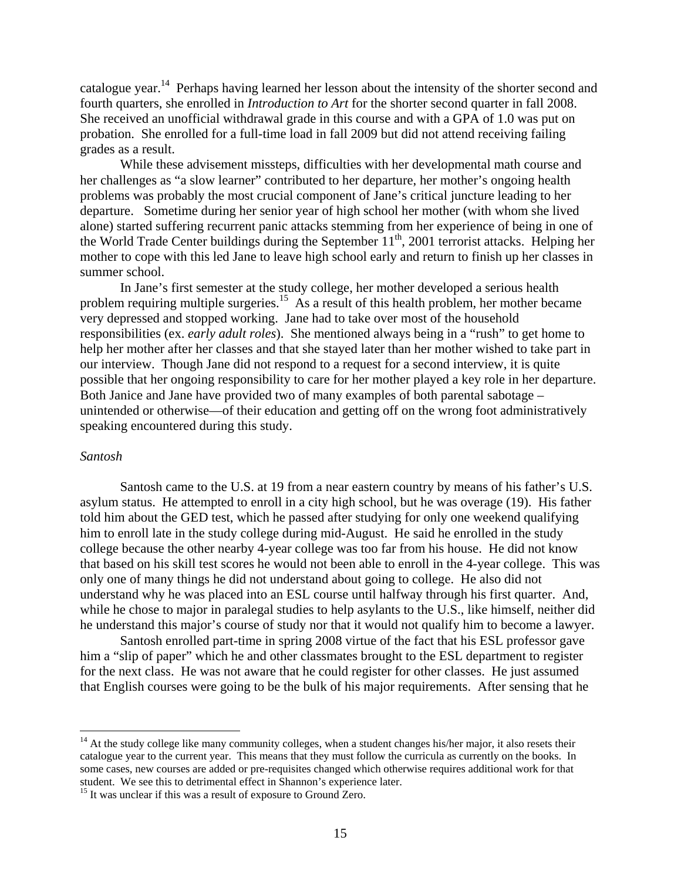catalogue year.<sup>14</sup> Perhaps having learned her lesson about the intensity of the shorter second and fourth quarters, she enrolled in *Introduction to Art* for the shorter second quarter in fall 2008. She received an unofficial withdrawal grade in this course and with a GPA of 1.0 was put on probation. She enrolled for a full-time load in fall 2009 but did not attend receiving failing grades as a result.

While these advisement missteps, difficulties with her developmental math course and her challenges as "a slow learner" contributed to her departure, her mother's ongoing health problems was probably the most crucial component of Jane's critical juncture leading to her departure. Sometime during her senior year of high school her mother (with whom she lived alone) started suffering recurrent panic attacks stemming from her experience of being in one of the World Trade Center buildings during the September  $11<sup>th</sup>$ , 2001 terrorist attacks. Helping her mother to cope with this led Jane to leave high school early and return to finish up her classes in summer school.

In Jane's first semester at the study college, her mother developed a serious health problem requiring multiple [surgeries.](https://surgeries.15)<sup>15</sup> As a result of this health problem, her mother became very depressed and stopped working. Jane had to take over most of the household responsibilities (ex. *early adult roles*). She mentioned always being in a "rush" to get home to help her mother after her classes and that she stayed later than her mother wished to take part in our interview. Though Jane did not respond to a request for a second interview, it is quite possible that her ongoing responsibility to care for her mother played a key role in her departure. Both Janice and Jane have provided two of many examples of both parental sabotage – unintended or otherwise—of their education and getting off on the wrong foot administratively speaking encountered during this study.

### *Santosh*

1

Santosh came to the U.S. at 19 from a near eastern country by means of his father's U.S. asylum status. He attempted to enroll in a city high school, but he was overage (19). His father told him about the GED test, which he passed after studying for only one weekend qualifying him to enroll late in the study college during mid-August. He said he enrolled in the study college because the other nearby 4-year college was too far from his house. He did not know that based on his skill test scores he would not been able to enroll in the 4-year college. This was only one of many things he did not understand about going to college. He also did not understand why he was placed into an ESL course until halfway through his first quarter. And, while he chose to major in paralegal studies to help asylants to the U.S., like himself, neither did he understand this major's course of study nor that it would not qualify him to become a lawyer.

Santosh enrolled part-time in spring 2008 virtue of the fact that his ESL professor gave him a "slip of paper" which he and other classmates brought to the ESL department to register for the next class. He was not aware that he could register for other classes. He just assumed that English courses were going to be the bulk of his major requirements. After sensing that he

 $14$  At the study college like many community colleges, when a student changes his/her major, it also resets their catalogue year to the current year. This means that they must follow the curricula as currently on the books. In some cases, new courses are added or pre-requisites changed which otherwise requires additional work for that student. We see this to detrimental effect in Shannon's experience later.

<sup>&</sup>lt;sup>15</sup> It was unclear if this was a result of exposure to Ground Zero.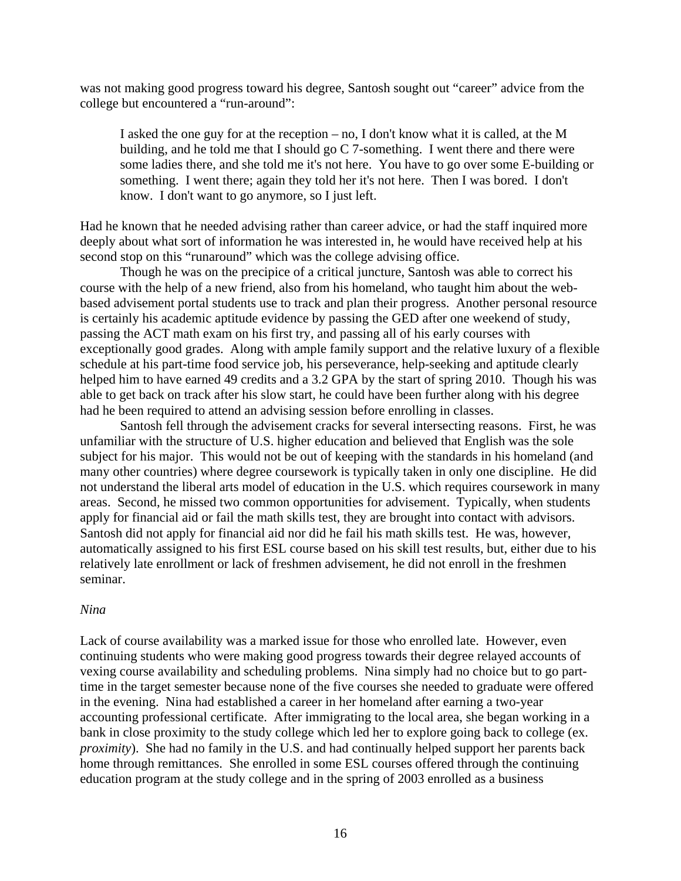was not making good progress toward his degree, Santosh sought out "career" advice from the college but encountered a "run-around":

I asked the one guy for at the reception – no, I don't know what it is called, at the M building, and he told me that I should go C 7-something. I went there and there were some ladies there, and she told me it's not here. You have to go over some E-building or something. I went there; again they told her it's not here. Then I was bored. I don't know. I don't want to go anymore, so I just left.

Had he known that he needed advising rather than career advice, or had the staff inquired more deeply about what sort of information he was interested in, he would have received help at his second stop on this "runaround" which was the college advising office.

Though he was on the precipice of a critical juncture, Santosh was able to correct his course with the help of a new friend, also from his homeland, who taught him about the webbased advisement portal students use to track and plan their progress. Another personal resource is certainly his academic aptitude evidence by passing the GED after one weekend of study, passing the ACT math exam on his first try, and passing all of his early courses with exceptionally good grades. Along with ample family support and the relative luxury of a flexible schedule at his part-time food service job, his perseverance, help-seeking and aptitude clearly helped him to have earned 49 credits and a 3.2 GPA by the start of spring 2010. Though his was able to get back on track after his slow start, he could have been further along with his degree had he been required to attend an advising session before enrolling in classes.

Santosh fell through the advisement cracks for several intersecting reasons. First, he was unfamiliar with the structure of U.S. higher education and believed that English was the sole subject for his major. This would not be out of keeping with the standards in his homeland (and many other countries) where degree coursework is typically taken in only one discipline. He did not understand the liberal arts model of education in the U.S. which requires coursework in many areas. Second, he missed two common opportunities for advisement. Typically, when students apply for financial aid or fail the math skills test, they are brought into contact with advisors. Santosh did not apply for financial aid nor did he fail his math skills test. He was, however, automatically assigned to his first ESL course based on his skill test results, but, either due to his relatively late enrollment or lack of freshmen advisement, he did not enroll in the freshmen seminar.

### *Nina*

Lack of course availability was a marked issue for those who enrolled late. However, even continuing students who were making good progress towards their degree relayed accounts of vexing course availability and scheduling problems. Nina simply had no choice but to go parttime in the target semester because none of the five courses she needed to graduate were offered in the evening. Nina had established a career in her homeland after earning a two-year accounting professional certificate. After immigrating to the local area, she began working in a bank in close proximity to the study college which led her to explore going back to college (ex. *proximity*). She had no family in the U.S. and had continually helped support her parents back home through remittances. She enrolled in some ESL courses offered through the continuing education program at the study college and in the spring of 2003 enrolled as a business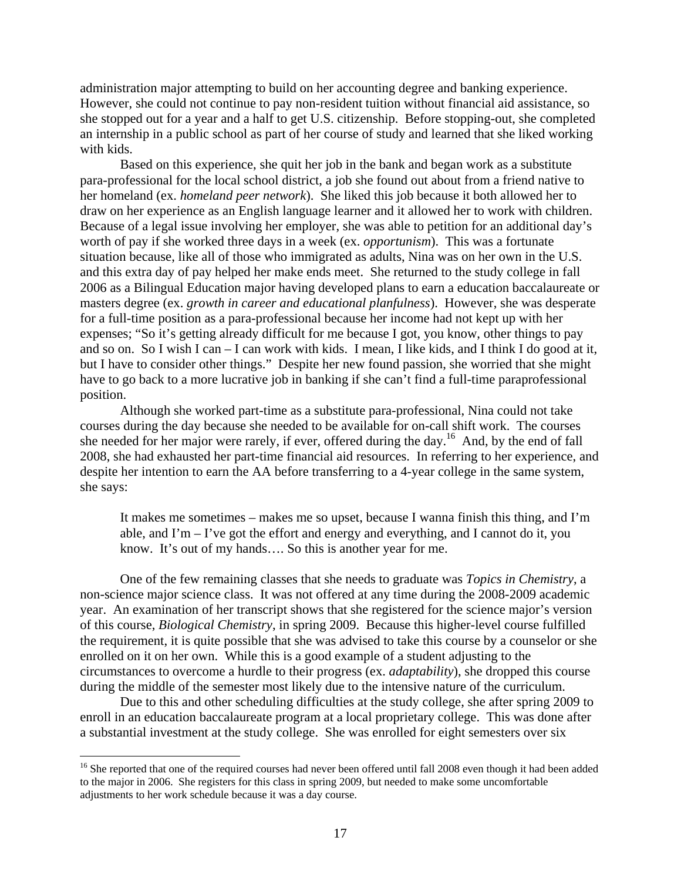administration major attempting to build on her accounting degree and banking experience. However, she could not continue to pay non-resident tuition without financial aid assistance, so she stopped out for a year and a half to get U.S. citizenship. Before stopping-out, she completed an internship in a public school as part of her course of study and learned that she liked working with kids.

Based on this experience, she quit her job in the bank and began work as a substitute para-professional for the local school district, a job she found out about from a friend native to her homeland (ex. *homeland peer network*). She liked this job because it both allowed her to draw on her experience as an English language learner and it allowed her to work with children. Because of a legal issue involving her employer, she was able to petition for an additional day's worth of pay if she worked three days in a week (ex. *opportunism*). This was a fortunate situation because, like all of those who immigrated as adults, Nina was on her own in the U.S. and this extra day of pay helped her make ends meet. She returned to the study college in fall 2006 as a Bilingual Education major having developed plans to earn a education baccalaureate or masters degree (ex. *growth in career and educational planfulness*). However, she was desperate for a full-time position as a para-professional because her income had not kept up with her expenses; "So it's getting already difficult for me because I got, you know, other things to pay and so on. So I wish I can – I can work with kids. I mean, I like kids, and I think I do good at it, but I have to consider other things." Despite her new found passion, she worried that she might have to go back to a more lucrative job in banking if she can't find a full-time paraprofessional position.

Although she worked part-time as a substitute para-professional, Nina could not take courses during the day because she needed to be available for on-call shift work. The courses she needed for her major were rarely, if ever, offered during the day.16 And, by the end of fall 2008, she had exhausted her part-time financial aid resources. In referring to her experience, and despite her intention to earn the AA before transferring to a 4-year college in the same system, she says:

It makes me sometimes – makes me so upset, because I wanna finish this thing, and I'm able, and I'm – I've got the effort and energy and everything, and I cannot do it, you know. It's out of my hands…. So this is another year for me.

One of the few remaining classes that she needs to graduate was *Topics in Chemistry*, a non-science major science class. It was not offered at any time during the 2008-2009 academic year. An examination of her transcript shows that she registered for the science major's version of this course, *Biological Chemistry*, in spring 2009. Because this higher-level course fulfilled the requirement, it is quite possible that she was advised to take this course by a counselor or she enrolled on it on her own. While this is a good example of a student adjusting to the circumstances to overcome a hurdle to their progress (ex. *adaptability*), she dropped this course during the middle of the semester most likely due to the intensive nature of the curriculum.

Due to this and other scheduling difficulties at the study college, she after spring 2009 to enroll in an education baccalaureate program at a local proprietary college. This was done after a substantial investment at the study college. She was enrolled for eight semesters over six

 $\overline{a}$ 

<sup>&</sup>lt;sup>16</sup> She reported that one of the required courses had never been offered until fall 2008 even though it had been added to the major in 2006. She registers for this class in spring 2009, but needed to make some uncomfortable adjustments to her work schedule because it was a day course.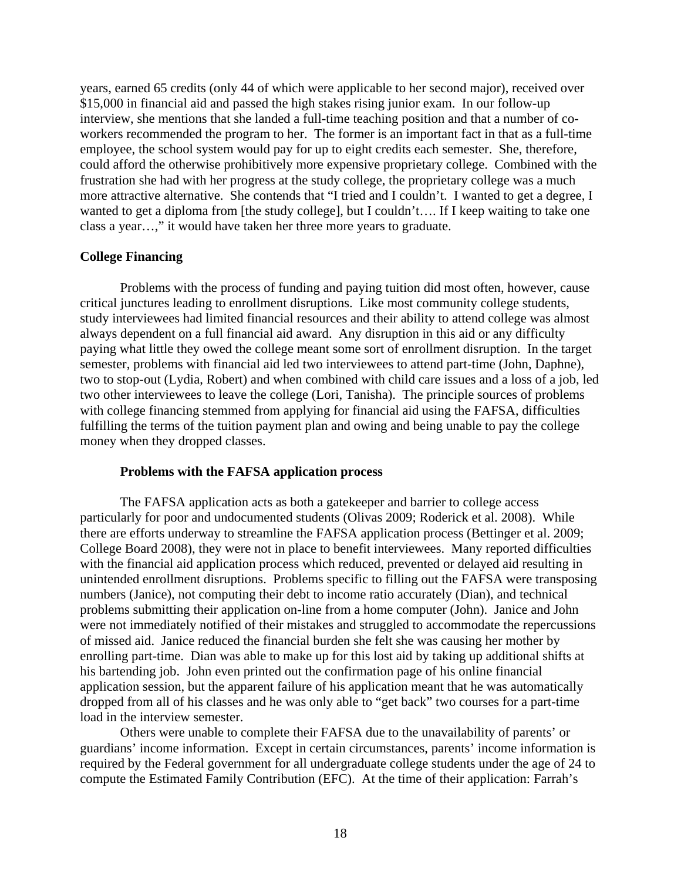years, earned 65 credits (only 44 of which were applicable to her second major), received over \$15,000 in financial aid and passed the high stakes rising junior exam. In our follow-up interview, she mentions that she landed a full-time teaching position and that a number of coworkers recommended the program to her. The former is an important fact in that as a full-time employee, the school system would pay for up to eight credits each semester. She, therefore, could afford the otherwise prohibitively more expensive proprietary college. Combined with the frustration she had with her progress at the study college, the proprietary college was a much more attractive alternative. She contends that "I tried and I couldn't. I wanted to get a degree, I wanted to get a diploma from [the study college], but I couldn't.... If I keep waiting to take one class a year…," it would have taken her three more years to graduate.

# **College Financing**

Problems with the process of funding and paying tuition did most often, however, cause critical junctures leading to enrollment disruptions. Like most community college students, study interviewees had limited financial resources and their ability to attend college was almost always dependent on a full financial aid award. Any disruption in this aid or any difficulty paying what little they owed the college meant some sort of enrollment disruption. In the target semester, problems with financial aid led two interviewees to attend part-time (John, Daphne), two to stop-out (Lydia, Robert) and when combined with child care issues and a loss of a job, led two other interviewees to leave the college (Lori, Tanisha). The principle sources of problems with college financing stemmed from applying for financial aid using the FAFSA, difficulties fulfilling the terms of the tuition payment plan and owing and being unable to pay the college money when they dropped classes.

### **Problems with the FAFSA application process**

The FAFSA application acts as both a gatekeeper and barrier to college access particularly for poor and undocumented students (Olivas 2009; Roderick et al. 2008). While there are efforts underway to streamline the FAFSA application process (Bettinger et al. 2009; College Board 2008), they were not in place to benefit interviewees. Many reported difficulties with the financial aid application process which reduced, prevented or delayed aid resulting in unintended enrollment disruptions. Problems specific to filling out the FAFSA were transposing numbers (Janice), not computing their debt to income ratio accurately (Dian), and technical problems submitting their application on-line from a home computer (John). Janice and John were not immediately notified of their mistakes and struggled to accommodate the repercussions of missed aid. Janice reduced the financial burden she felt she was causing her mother by enrolling part-time. Dian was able to make up for this lost aid by taking up additional shifts at his bartending job. John even printed out the confirmation page of his online financial application session, but the apparent failure of his application meant that he was automatically dropped from all of his classes and he was only able to "get back" two courses for a part-time load in the interview semester.

Others were unable to complete their FAFSA due to the unavailability of parents' or guardians' income information. Except in certain circumstances, parents' income information is required by the Federal government for all undergraduate college students under the age of 24 to compute the Estimated Family Contribution (EFC). At the time of their application: Farrah's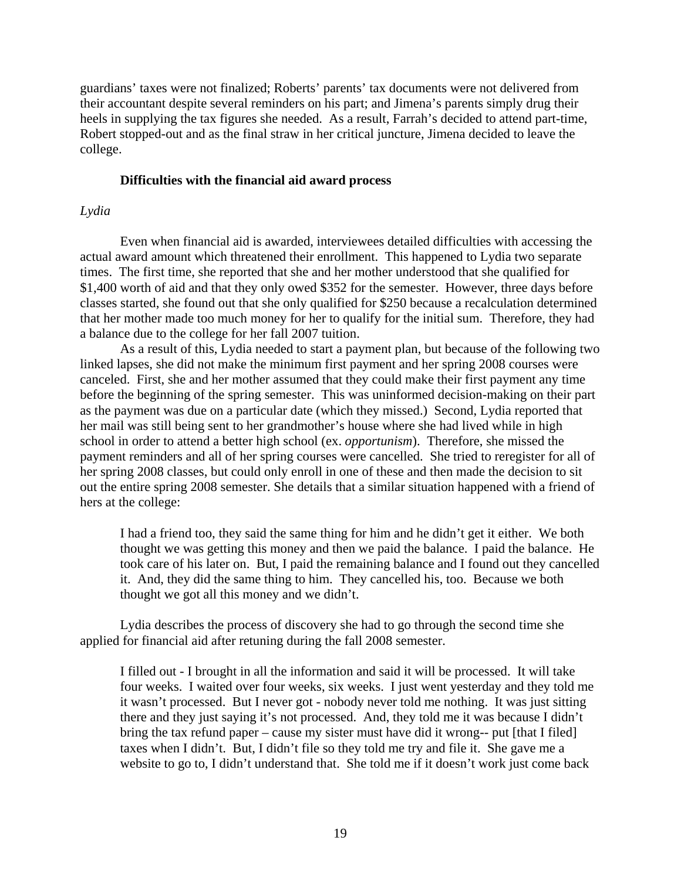guardians' taxes were not finalized; Roberts' parents' tax documents were not delivered from their accountant despite several reminders on his part; and Jimena's parents simply drug their heels in supplying the tax figures she needed. As a result, Farrah's decided to attend part-time, Robert stopped-out and as the final straw in her critical juncture, Jimena decided to leave the college.

# **Difficulties with the financial aid award process**

### *Lydia*

Even when financial aid is awarded, interviewees detailed difficulties with accessing the actual award amount which threatened their enrollment. This happened to Lydia two separate times. The first time, she reported that she and her mother understood that she qualified for \$1,400 worth of aid and that they only owed \$352 for the semester. However, three days before classes started, she found out that she only qualified for \$250 because a recalculation determined that her mother made too much money for her to qualify for the initial sum. Therefore, they had a balance due to the college for her fall 2007 tuition.

As a result of this, Lydia needed to start a payment plan, but because of the following two linked lapses, she did not make the minimum first payment and her spring 2008 courses were canceled. First, she and her mother assumed that they could make their first payment any time before the beginning of the spring semester. This was uninformed decision-making on their part as the payment was due on a particular date (which they missed.) Second, Lydia reported that her mail was still being sent to her grandmother's house where she had lived while in high school in order to attend a better high school (ex. *opportunism*). Therefore, she missed the payment reminders and all of her spring courses were cancelled. She tried to reregister for all of her spring 2008 classes, but could only enroll in one of these and then made the decision to sit out the entire spring 2008 semester. She details that a similar situation happened with a friend of hers at the college:

I had a friend too, they said the same thing for him and he didn't get it either. We both thought we was getting this money and then we paid the balance. I paid the balance. He took care of his later on. But, I paid the remaining balance and I found out they cancelled it. And, they did the same thing to him. They cancelled his, too. Because we both thought we got all this money and we didn't.

Lydia describes the process of discovery she had to go through the second time she applied for financial aid after retuning during the fall 2008 semester.

I filled out - I brought in all the information and said it will be processed. It will take four weeks. I waited over four weeks, six weeks. I just went yesterday and they told me it wasn't processed. But I never got - nobody never told me nothing. It was just sitting there and they just saying it's not processed. And, they told me it was because I didn't bring the tax refund paper – cause my sister must have did it wrong-- put [that I filed] taxes when I didn't. But, I didn't file so they told me try and file it. She gave me a website to go to, I didn't understand that. She told me if it doesn't work just come back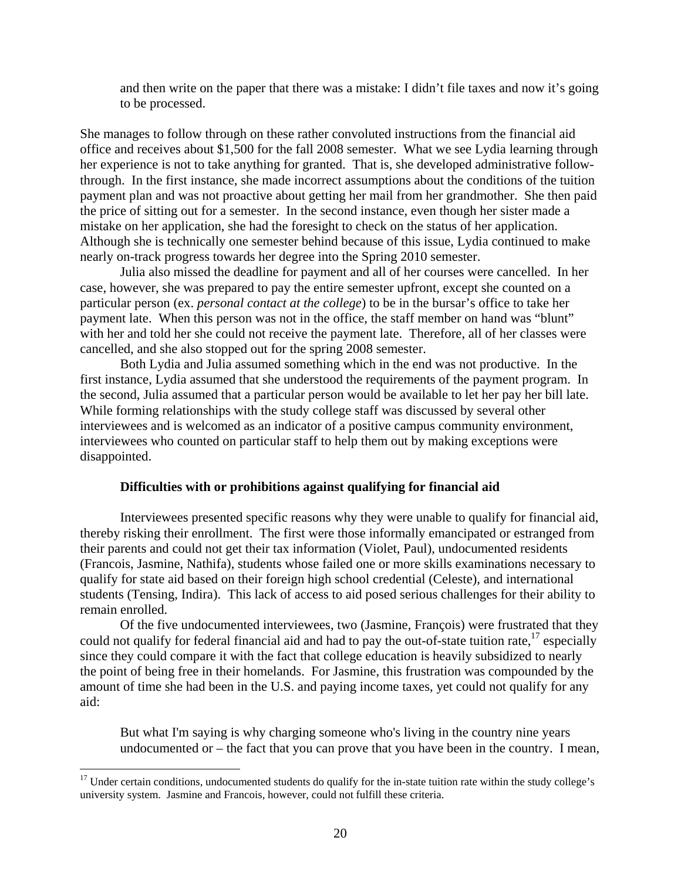and then write on the paper that there was a mistake: I didn't file taxes and now it's going to be processed.

She manages to follow through on these rather convoluted instructions from the financial aid office and receives about \$1,500 for the fall 2008 semester. What we see Lydia learning through her experience is not to take anything for granted. That is, she developed administrative followthrough. In the first instance, she made incorrect assumptions about the conditions of the tuition payment plan and was not proactive about getting her mail from her grandmother. She then paid the price of sitting out for a semester. In the second instance, even though her sister made a mistake on her application, she had the foresight to check on the status of her application. Although she is technically one semester behind because of this issue, Lydia continued to make nearly on-track progress towards her degree into the Spring 2010 semester.

Julia also missed the deadline for payment and all of her courses were cancelled. In her case, however, she was prepared to pay the entire semester upfront, except she counted on a particular person (ex. *personal contact at the college*) to be in the bursar's office to take her payment late. When this person was not in the office, the staff member on hand was "blunt" with her and told her she could not receive the payment late. Therefore, all of her classes were cancelled, and she also stopped out for the spring 2008 semester.

Both Lydia and Julia assumed something which in the end was not productive. In the first instance, Lydia assumed that she understood the requirements of the payment program. In the second, Julia assumed that a particular person would be available to let her pay her bill late. While forming relationships with the study college staff was discussed by several other interviewees and is welcomed as an indicator of a positive campus community environment, interviewees who counted on particular staff to help them out by making exceptions were disappointed.

### **Difficulties with or prohibitions against qualifying for financial aid**

Interviewees presented specific reasons why they were unable to qualify for financial aid, thereby risking their enrollment. The first were those informally emancipated or estranged from their parents and could not get their tax information (Violet, Paul), undocumented residents (Francois, Jasmine, Nathifa), students whose failed one or more skills examinations necessary to qualify for state aid based on their foreign high school credential (Celeste), and international students (Tensing, Indira). This lack of access to aid posed serious challenges for their ability to remain enrolled.

Of the five undocumented interviewees, two (Jasmine, François) were frustrated that they could not qualify for federal financial aid and had to pay the out-of-state tuition rate,  $17$  especially since they could compare it with the fact that college education is heavily subsidized to nearly the point of being free in their homelands. For Jasmine, this frustration was compounded by the amount of time she had been in the U.S. and paying income taxes, yet could not qualify for any aid:

But what I'm saying is why charging someone who's living in the country nine years undocumented or – the fact that you can prove that you have been in the country. I mean,

 $\overline{a}$ 

 university system. Jasmine and Francois, however, could not fulfill these criteria.  $17$  Under certain conditions, undocumented students do qualify for the in-state tuition rate within the study college's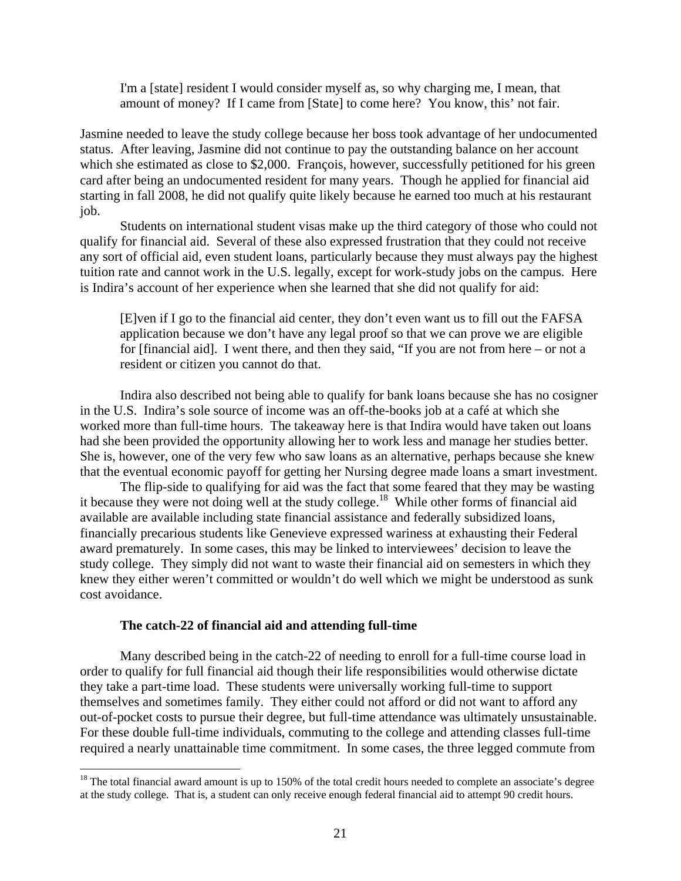I'm a [state] resident I would consider myself as, so why charging me, I mean, that amount of money? If I came from [State] to come here? You know, this' not fair.

Jasmine needed to leave the study college because her boss took advantage of her undocumented status. After leaving, Jasmine did not continue to pay the outstanding balance on her account which she estimated as close to \$2,000. François, however, successfully petitioned for his green card after being an undocumented resident for many years. Though he applied for financial aid starting in fall 2008, he did not qualify quite likely because he earned too much at his restaurant job.

Students on international student visas make up the third category of those who could not qualify for financial aid. Several of these also expressed frustration that they could not receive any sort of official aid, even student loans, particularly because they must always pay the highest tuition rate and cannot work in the U.S. legally, except for work-study jobs on the campus. Here is Indira's account of her experience when she learned that she did not qualify for aid:

[E]ven if I go to the financial aid center, they don't even want us to fill out the FAFSA application because we don't have any legal proof so that we can prove we are eligible for [financial aid]. I went there, and then they said, "If you are not from here – or not a resident or citizen you cannot do that.

Indira also described not being able to qualify for bank loans because she has no cosigner in the U.S. Indira's sole source of income was an off-the-books job at a café at which she worked more than full-time hours. The takeaway here is that Indira would have taken out loans had she been provided the opportunity allowing her to work less and manage her studies better. She is, however, one of the very few who saw loans as an alternative, perhaps because she knew that the eventual economic payoff for getting her Nursing degree made loans a smart investment.

The flip-side to qualifying for aid was the fact that some feared that they may be wasting it because they were not doing well at the study college.<sup>18</sup> While other forms of financial aid available are available including state financial assistance and federally subsidized loans, financially precarious students like Genevieve expressed wariness at exhausting their Federal award prematurely. In some cases, this may be linked to interviewees' decision to leave the study college. They simply did not want to waste their financial aid on semesters in which they knew they either weren't committed or wouldn't do well which we might be understood as sunk cost avoidance.

### **The catch-22 of financial aid and attending full-time**

 $\overline{a}$ 

Many described being in the catch-22 of needing to enroll for a full-time course load in order to qualify for full financial aid though their life responsibilities would otherwise dictate they take a part-time load. These students were universally working full-time to support themselves and sometimes family. They either could not afford or did not want to afford any out-of-pocket costs to pursue their degree, but full-time attendance was ultimately unsustainable. For these double full-time individuals, commuting to the college and attending classes full-time required a nearly unattainable time commitment. In some cases, the three legged commute from

 $18$  The total financial award amount is up to 150% of the total credit hours needed to complete an associate's degree at the study college. That is, a student can only receive enough federal financial aid to attempt 90 credit hours.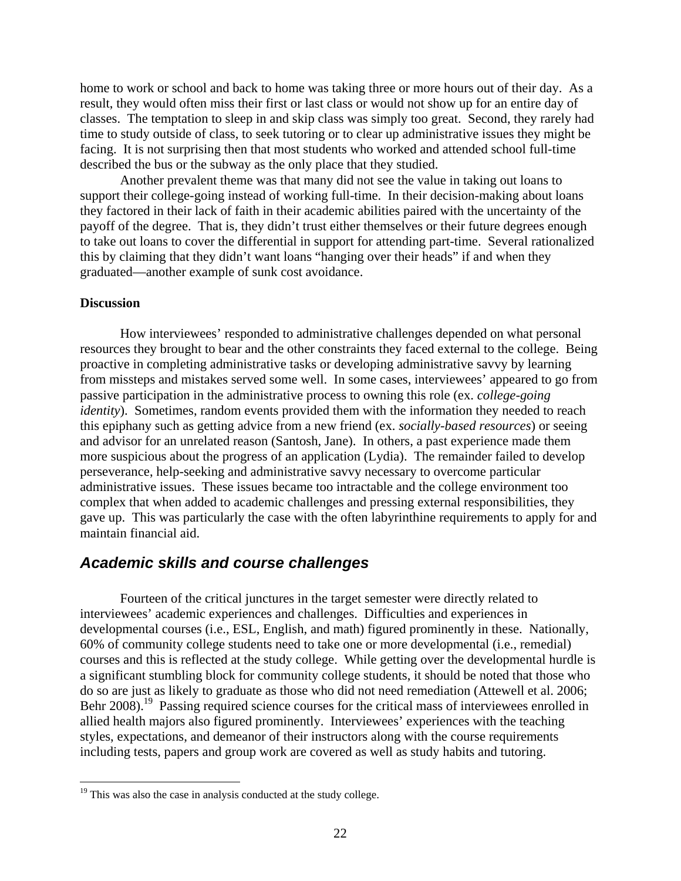<span id="page-21-0"></span>home to work or school and back to home was taking three or more hours out of their day. As a result, they would often miss their first or last class or would not show up for an entire day of classes. The temptation to sleep in and skip class was simply too great. Second, they rarely had time to study outside of class, to seek tutoring or to clear up administrative issues they might be facing. It is not surprising then that most students who worked and attended school full-time described the bus or the subway as the only place that they studied.

Another prevalent theme was that many did not see the value in taking out loans to support their college-going instead of working full-time. In their decision-making about loans they factored in their lack of faith in their academic abilities paired with the uncertainty of the payoff of the degree. That is, they didn't trust either themselves or their future degrees enough to take out loans to cover the differential in support for attending part-time. Several rationalized this by claiming that they didn't want loans "hanging over their heads" if and when they graduated—another example of sunk cost avoidance.

### **Discussion**

 $\overline{a}$ 

How interviewees' responded to administrative challenges depended on what personal resources they brought to bear and the other constraints they faced external to the college. Being proactive in completing administrative tasks or developing administrative savvy by learning from missteps and mistakes served some well. In some cases, interviewees' appeared to go from passive participation in the administrative process to owning this role (ex. *college-going identity*). Sometimes, random events provided them with the information they needed to reach this epiphany such as getting advice from a new friend (ex. *socially-based resources*) or seeing and advisor for an unrelated reason (Santosh, Jane). In others, a past experience made them more suspicious about the progress of an application (Lydia). The remainder failed to develop perseverance, help-seeking and administrative savvy necessary to overcome particular administrative issues. These issues became too intractable and the college environment too complex that when added to academic challenges and pressing external responsibilities, they gave up. This was particularly the case with the often labyrinthine requirements to apply for and maintain financial aid.

# *Academic skills and course challenges*

Fourteen of the critical junctures in the target semester were directly related to interviewees' academic experiences and challenges. Difficulties and experiences in developmental courses (i.e., ESL, English, and math) figured prominently in these. Nationally, 60% of community college students need to take one or more developmental (i.e., remedial) courses and this is reflected at the study college. While getting over the developmental hurdle is a significant stumbling block for community college students, it should be noted that those who do so are just as likely to graduate as those who did not need remediation (Attewell et al. 2006; Behr 2008).<sup>19</sup> Passing required science courses for the critical mass of interviewees enrolled in allied health majors also figured prominently. Interviewees' experiences with the teaching styles, expectations, and demeanor of their instructors along with the course requirements including tests, papers and group work are covered as well as study habits and tutoring.

 $19$  This was also the case in analysis conducted at the study college.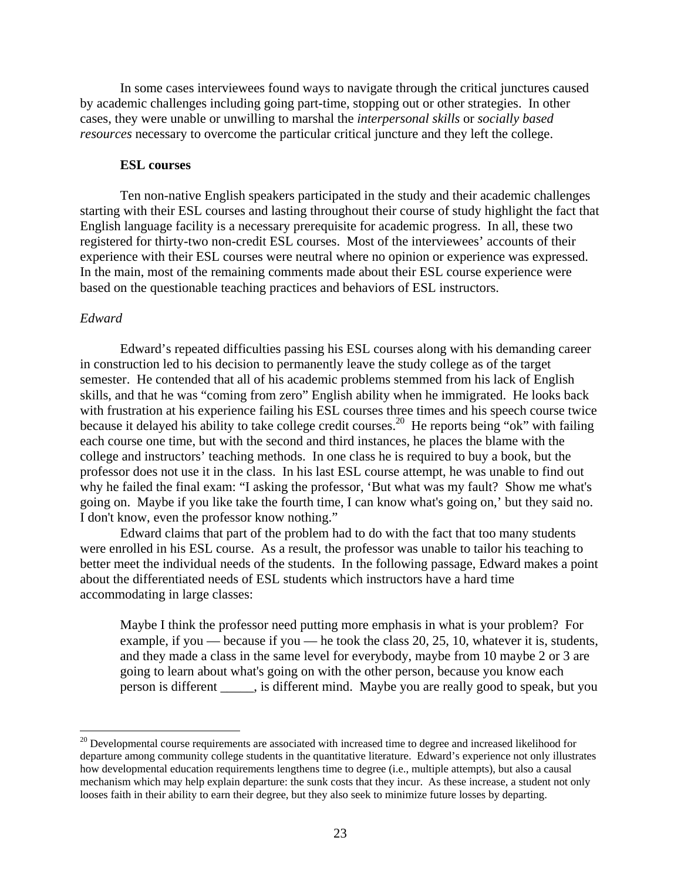In some cases interviewees found ways to navigate through the critical junctures caused by academic challenges including going part-time, stopping out or other strategies. In other cases, they were unable or unwilling to marshal the *interpersonal skills* or *socially based resources* necessary to overcome the particular critical juncture and they left the college.

### **ESL courses**

Ten non-native English speakers participated in the study and their academic challenges starting with their ESL courses and lasting throughout their course of study highlight the fact that English language facility is a necessary prerequisite for academic progress. In all, these two registered for thirty-two non-credit ESL courses. Most of the interviewees' accounts of their experience with their ESL courses were neutral where no opinion or experience was expressed. In the main, most of the remaining comments made about their ESL course experience were based on the questionable teaching practices and behaviors of ESL instructors.

# *Edward*

 $\overline{a}$ 

Edward's repeated difficulties passing his ESL courses along with his demanding career in construction led to his decision to permanently leave the study college as of the target semester. He contended that all of his academic problems stemmed from his lack of English skills, and that he was "coming from zero" English ability when he immigrated. He looks back with frustration at his experience failing his ESL courses three times and his speech course twice because it delayed his ability to take college credit courses.<sup>20</sup> He reports being "ok" with failing each course one time, but with the second and third instances, he places the blame with the college and instructors' teaching methods. In one class he is required to buy a book, but the professor does not use it in the class. In his last ESL course attempt, he was unable to find out why he failed the final exam: "I asking the professor, 'But what was my fault? Show me what's going on. Maybe if you like take the fourth time, I can know what's going on,' but they said no. I don't know, even the professor know nothing."

Edward claims that part of the problem had to do with the fact that too many students were enrolled in his ESL course. As a result, the professor was unable to tailor his teaching to better meet the individual needs of the students. In the following passage, Edward makes a point about the differentiated needs of ESL students which instructors have a hard time accommodating in large classes:

Maybe I think the professor need putting more emphasis in what is your problem? For example, if you — because if you — he took the class 20, 25, 10, whatever it is, students, and they made a class in the same level for everybody, maybe from 10 maybe 2 or 3 are going to learn about what's going on with the other person, because you know each person is different \_\_\_\_\_, is different mind. Maybe you are really good to speak, but you

 looses faith in their ability to earn their degree, but they also seek to minimize future losses by departing. <sup>20</sup> Developmental course requirements are associated with increased time to degree and increased likelihood for departure among community college students in the quantitative literature. Edward's experience not only illustrates how developmental education requirements lengthens time to degree (i.e., multiple attempts), but also a causal mechanism which may help explain departure: the sunk costs that they incur. As these increase, a student not only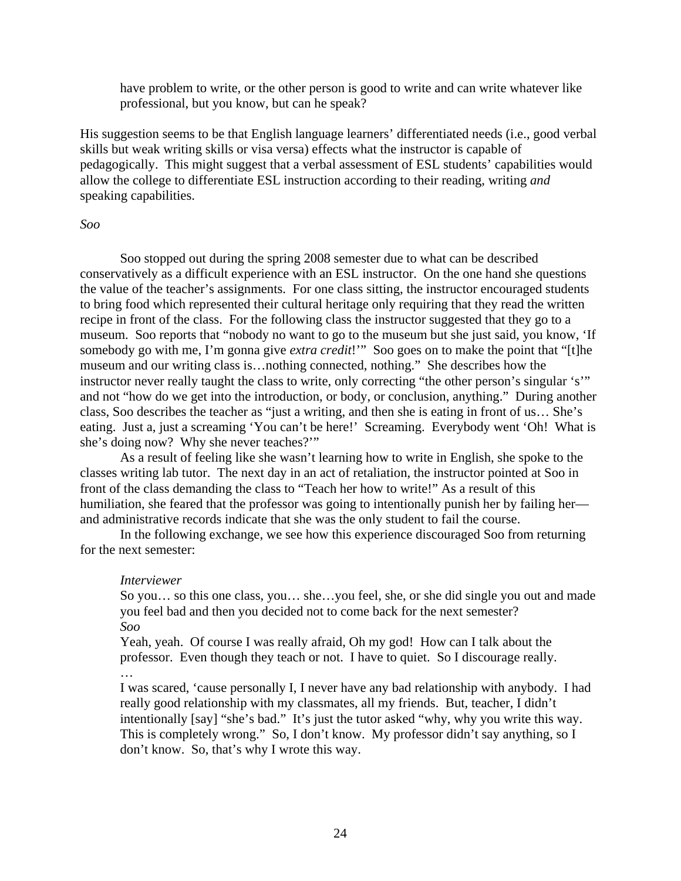have problem to write, or the other person is good to write and can write whatever like professional, but you know, but can he speak?

His suggestion seems to be that English language learners' differentiated needs (i.e., good verbal skills but weak writing skills or visa versa) effects what the instructor is capable of pedagogically. This might suggest that a verbal assessment of ESL students' capabilities would allow the college to differentiate ESL instruction according to their reading, writing *and*  speaking capabilities.

### *Soo*

Soo stopped out during the spring 2008 semester due to what can be described conservatively as a difficult experience with an ESL instructor. On the one hand she questions the value of the teacher's assignments. For one class sitting, the instructor encouraged students to bring food which represented their cultural heritage only requiring that they read the written recipe in front of the class. For the following class the instructor suggested that they go to a museum. Soo reports that "nobody no want to go to the museum but she just said, you know, 'If somebody go with me, I'm gonna give *extra credit*!'" Soo goes on to make the point that "[t]he museum and our writing class is…nothing connected, nothing." She describes how the instructor never really taught the class to write, only correcting "the other person's singular 's'" and not "how do we get into the introduction, or body, or conclusion, anything." During another class, Soo describes the teacher as "just a writing, and then she is eating in front of us… She's eating. Just a, just a screaming 'You can't be here!' Screaming. Everybody went 'Oh! What is she's doing now? Why she never teaches?'"

As a result of feeling like she wasn't learning how to write in English, she spoke to the classes writing lab tutor. The next day in an act of retaliation, the instructor pointed at Soo in front of the class demanding the class to "Teach her how to write!" As a result of this humiliation, she feared that the professor was going to intentionally punish her by failing her and administrative records indicate that she was the only student to fail the course.

In the following exchange, we see how this experience discouraged Soo from returning for the next semester:

#### *Interviewer*

So you… so this one class, you… she…you feel, she, or she did single you out and made you feel bad and then you decided not to come back for the next semester? *Soo* 

Yeah, yeah. Of course I was really afraid, Oh my god! How can I talk about the professor. Even though they teach or not. I have to quiet. So I discourage really. …

I was scared, 'cause personally I, I never have any bad relationship with anybody. I had really good relationship with my classmates, all my friends. But, teacher, I didn't intentionally [say] "she's bad." It's just the tutor asked "why, why you write this way. This is completely wrong." So, I don't know. My professor didn't say anything, so I don't know. So, that's why I wrote this way.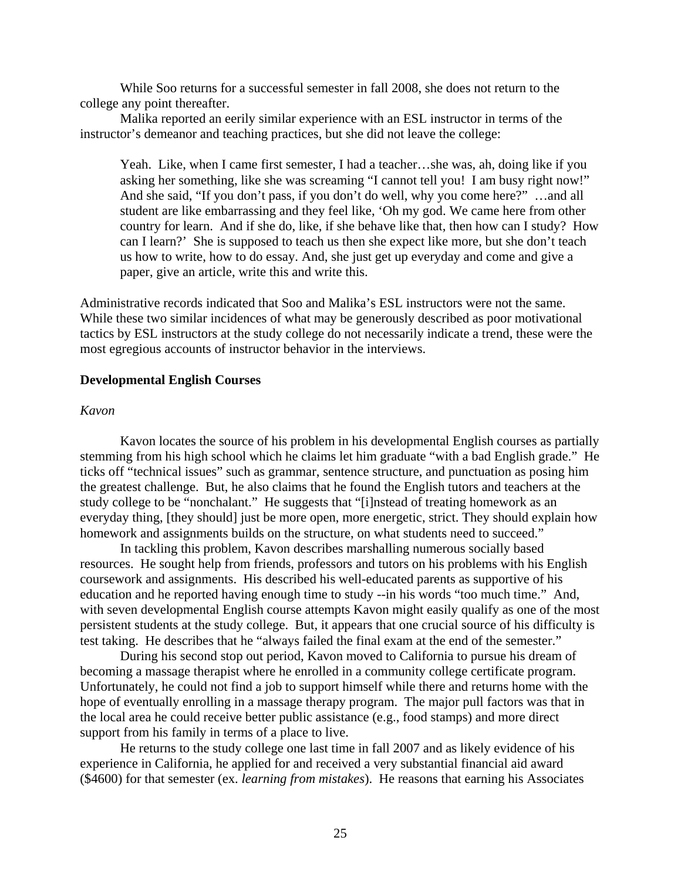While Soo returns for a successful semester in fall 2008, she does not return to the college any point thereafter.

Malika reported an eerily similar experience with an ESL instructor in terms of the instructor's demeanor and teaching practices, but she did not leave the college:

Yeah. Like, when I came first semester, I had a teacher…she was, ah, doing like if you asking her something, like she was screaming "I cannot tell you! I am busy right now!" And she said, "If you don't pass, if you don't do well, why you come here?" …and all student are like embarrassing and they feel like, 'Oh my god. We came here from other country for learn. And if she do, like, if she behave like that, then how can I study? How can I learn?' She is supposed to teach us then she expect like more, but she don't teach us how to write, how to do essay. And, she just get up everyday and come and give a paper, give an article, write this and write this.

Administrative records indicated that Soo and Malika's ESL instructors were not the same. While these two similar incidences of what may be generously described as poor motivational tactics by ESL instructors at the study college do not necessarily indicate a trend, these were the most egregious accounts of instructor behavior in the interviews.

### **Developmental English Courses**

# *Kavon*

Kavon locates the source of his problem in his developmental English courses as partially stemming from his high school which he claims let him graduate "with a bad English grade." He ticks off "technical issues" such as grammar, sentence structure, and punctuation as posing him the greatest challenge. But, he also claims that he found the English tutors and teachers at the study college to be "nonchalant." He suggests that "[i]nstead of treating homework as an everyday thing, [they should] just be more open, more energetic, strict. They should explain how homework and assignments builds on the structure, on what students need to succeed."

In tackling this problem, Kavon describes marshalling numerous socially based resources. He sought help from friends, professors and tutors on his problems with his English coursework and assignments. His described his well-educated parents as supportive of his education and he reported having enough time to study --in his words "too much time." And, with seven developmental English course attempts Kavon might easily qualify as one of the most persistent students at the study college. But, it appears that one crucial source of his difficulty is test taking. He describes that he "always failed the final exam at the end of the semester."

During his second stop out period, Kavon moved to California to pursue his dream of becoming a massage therapist where he enrolled in a community college certificate program. Unfortunately, he could not find a job to support himself while there and returns home with the hope of eventually enrolling in a massage therapy program. The major pull factors was that in the local area he could receive better public assistance (e.g., food stamps) and more direct support from his family in terms of a place to live.

He returns to the study college one last time in fall 2007 and as likely evidence of his experience in California, he applied for and received a very substantial financial aid award (\$4600) for that semester (ex. *learning from mistakes*). He reasons that earning his Associates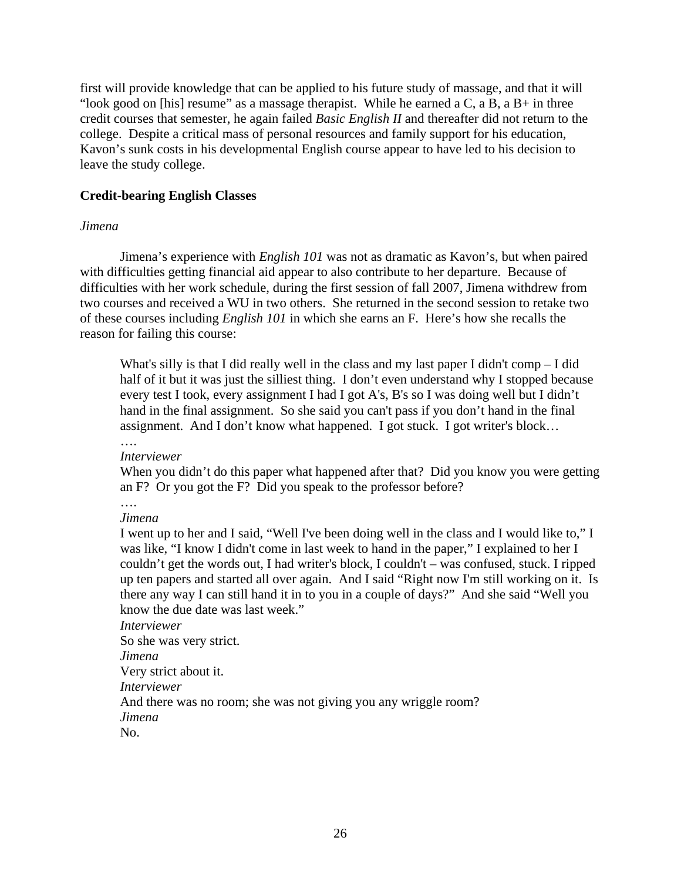first will provide knowledge that can be applied to his future study of massage, and that it will "look good on [his] resume" as a massage therapist. While he earned a  $C$ , a  $B$ , a  $B+$  in three credit courses that semester, he again failed *Basic English II* and thereafter did not return to the college. Despite a critical mass of personal resources and family support for his education, Kavon's sunk costs in his developmental English course appear to have led to his decision to leave the study college.

# **Credit-bearing English Classes**

# *Jimena*

Jimena's experience with *English 101* was not as dramatic as Kavon's, but when paired with difficulties getting financial aid appear to also contribute to her departure. Because of difficulties with her work schedule, during the first session of fall 2007, Jimena withdrew from two courses and received a WU in two others. She returned in the second session to retake two of these courses including *English 101* in which she earns an F. Here's how she recalls the reason for failing this course:

What's silly is that I did really well in the class and my last paper I didn't comp – I did half of it but it was just the silliest thing. I don't even understand why I stopped because every test I took, every assignment I had I got A's, B's so I was doing well but I didn't hand in the final assignment. So she said you can't pass if you don't hand in the final assignment. And I don't know what happened. I got stuck. I got writer's block… ….

#### *Interviewer*

When you didn't do this paper what happened after that? Did you know you were getting an F? Or you got the F? Did you speak to the professor before?

….

### *Jimena*

I went up to her and I said, "Well I've been doing well in the class and I would like to," I was like, "I know I didn't come in last week to hand in the paper," I explained to her I couldn't get the words out, I had writer's block, I couldn't – was confused, stuck. I ripped up ten papers and started all over again. And I said "Right now I'm still working on it. Is there any way I can still hand it in to you in a couple of days?" And she said "Well you know the due date was last week."

*Interviewer*  So she was very strict. *Jimena*  Very strict about it. *Interviewer*  And there was no room; she was not giving you any wriggle room? *Jimena*  No.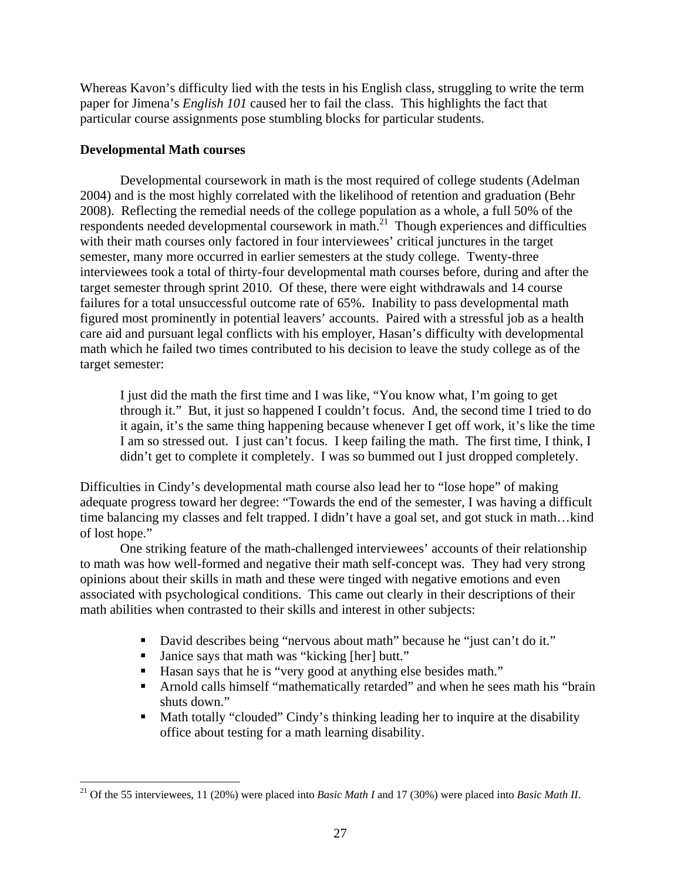Whereas Kavon's difficulty lied with the tests in his English class, struggling to write the term paper for Jimena's *English 101* caused her to fail the class. This highlights the fact that particular course assignments pose stumbling blocks for particular students.

# **Developmental Math courses**

 $\overline{a}$ 

Developmental coursework in math is the most required of college students (Adelman 2004) and is the most highly correlated with the likelihood of retention and graduation (Behr 2008). Reflecting the remedial needs of the college population as a whole, a full 50% of the respondents needed developmental coursework in math.21 Though experiences and difficulties with their math courses only factored in four interviewees' critical junctures in the target semester, many more occurred in earlier semesters at the study college. Twenty-three interviewees took a total of thirty-four developmental math courses before, during and after the target semester through sprint 2010. Of these, there were eight withdrawals and 14 course failures for a total unsuccessful outcome rate of 65%. Inability to pass developmental math figured most prominently in potential leavers' accounts. Paired with a stressful job as a health care aid and pursuant legal conflicts with his employer, Hasan's difficulty with developmental math which he failed two times contributed to his decision to leave the study college as of the target semester:

I just did the math the first time and I was like, "You know what, I'm going to get through it." But, it just so happened I couldn't focus. And, the second time I tried to do it again, it's the same thing happening because whenever I get off work, it's like the time I am so stressed out. I just can't focus. I keep failing the math. The first time, I think, I didn't get to complete it completely. I was so bummed out I just dropped completely.

Difficulties in Cindy's developmental math course also lead her to "lose hope" of making adequate progress toward her degree: "Towards the end of the semester, I was having a difficult time balancing my classes and felt trapped. I didn't have a goal set, and got stuck in math…kind of lost hope."

One striking feature of the math-challenged interviewees' accounts of their relationship to math was how well-formed and negative their math self-concept was. They had very strong opinions about their skills in math and these were tinged with negative emotions and even associated with psychological conditions. This came out clearly in their descriptions of their math abilities when contrasted to their skills and interest in other subjects:

- David describes being "nervous about math" because he "just can't do it."
- Janice says that math was "kicking [her] butt."
- Hasan says that he is "very good at anything else besides math."
- Arnold calls himself "mathematically retarded" and when he sees math his "brain shuts down."
- Math totally "clouded" Cindy's thinking leading her to inquire at the disability office about testing for a math learning disability.

<sup>21</sup> Of the 55 interviewees, 11 (20%) were placed into *Basic Math I* and 17 (30%) were placed into *Basic Math II*.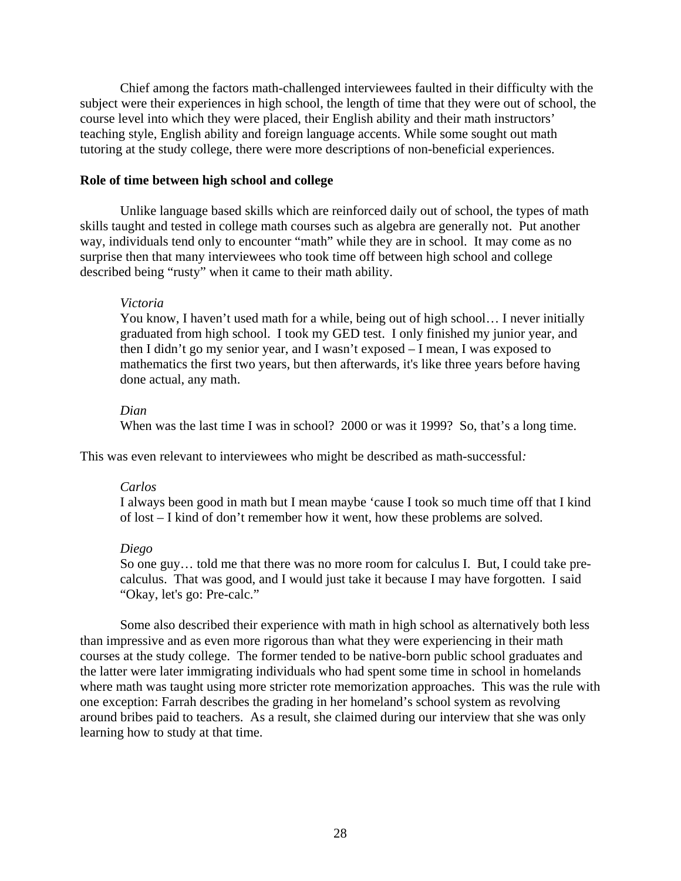Chief among the factors math-challenged interviewees faulted in their difficulty with the subject were their experiences in high school, the length of time that they were out of school, the course level into which they were placed, their English ability and their math instructors' teaching style, English ability and foreign language accents. While some sought out math tutoring at the study college, there were more descriptions of non-beneficial experiences.

### **Role of time between high school and college**

Unlike language based skills which are reinforced daily out of school, the types of math skills taught and tested in college math courses such as algebra are generally not. Put another way, individuals tend only to encounter "math" while they are in school. It may come as no surprise then that many interviewees who took time off between high school and college described being "rusty" when it came to their math ability.

### *Victoria*

You know, I haven't used math for a while, being out of high school... I never initially graduated from high school. I took my GED test. I only finished my junior year, and then I didn't go my senior year, and I wasn't exposed – I mean, I was exposed to mathematics the first two years, but then afterwards, it's like three years before having done actual, any math.

# *Dian*

When was the last time I was in school? 2000 or was it 1999? So, that's a long time.

This was even relevant to interviewees who might be described as math-successful*:* 

## *Carlos*

I always been good in math but I mean maybe 'cause I took so much time off that I kind of lost – I kind of don't remember how it went, how these problems are solved.

#### *Diego*

So one guy… told me that there was no more room for calculus I. But, I could take precalculus. That was good, and I would just take it because I may have forgotten. I said "Okay, let's go: Pre-calc."

Some also described their experience with math in high school as alternatively both less than impressive and as even more rigorous than what they were experiencing in their math courses at the study college. The former tended to be native-born public school graduates and the latter were later immigrating individuals who had spent some time in school in homelands where math was taught using more stricter rote memorization approaches. This was the rule with one exception: Farrah describes the grading in her homeland's school system as revolving around bribes paid to teachers. As a result, she claimed during our interview that she was only learning how to study at that time.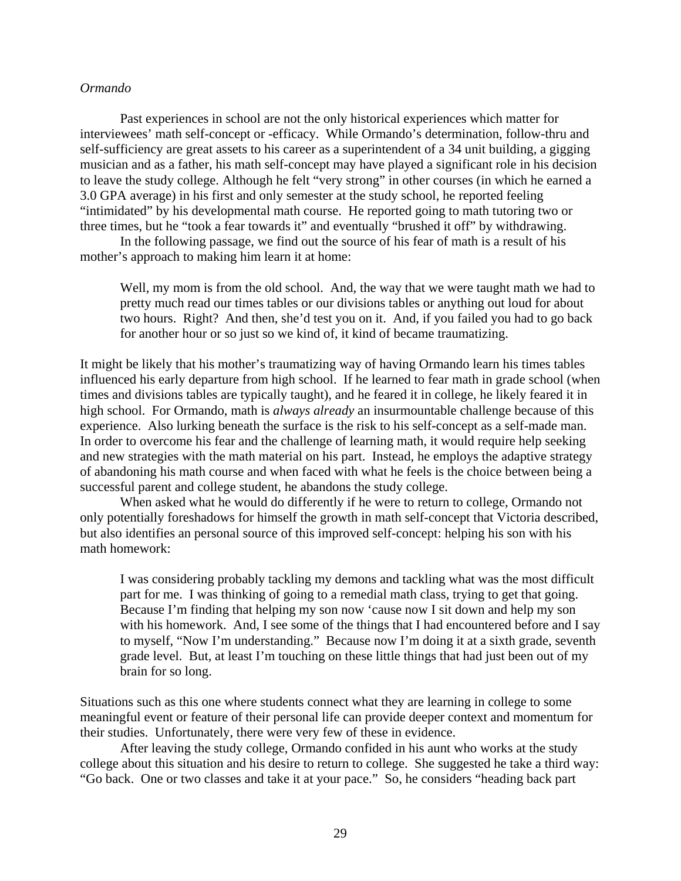### *Ormando*

Past experiences in school are not the only historical experiences which matter for interviewees' math self-concept or -efficacy. While Ormando's determination, follow-thru and self-sufficiency are great assets to his career as a superintendent of a 34 unit building, a gigging musician and as a father, his math self-concept may have played a significant role in his decision to leave the study college. Although he felt "very strong" in other courses (in which he earned a 3.0 GPA average) in his first and only semester at the study school, he reported feeling "intimidated" by his developmental math course. He reported going to math tutoring two or three times, but he "took a fear towards it" and eventually "brushed it off" by withdrawing.

In the following passage, we find out the source of his fear of math is a result of his mother's approach to making him learn it at home:

Well, my mom is from the old school. And, the way that we were taught math we had to pretty much read our times tables or our divisions tables or anything out loud for about two hours. Right? And then, she'd test you on it. And, if you failed you had to go back for another hour or so just so we kind of, it kind of became traumatizing.

It might be likely that his mother's traumatizing way of having Ormando learn his times tables influenced his early departure from high school. If he learned to fear math in grade school (when times and divisions tables are typically taught), and he feared it in college, he likely feared it in high school. For Ormando, math is *always already* an insurmountable challenge because of this experience. Also lurking beneath the surface is the risk to his self-concept as a self-made man. In order to overcome his fear and the challenge of learning math, it would require help seeking and new strategies with the math material on his part. Instead, he employs the adaptive strategy of abandoning his math course and when faced with what he feels is the choice between being a successful parent and college student, he abandons the study college.

When asked what he would do differently if he were to return to college, Ormando not only potentially foreshadows for himself the growth in math self-concept that Victoria described, but also identifies an personal source of this improved self-concept: helping his son with his math homework:

I was considering probably tackling my demons and tackling what was the most difficult part for me. I was thinking of going to a remedial math class, trying to get that going. Because I'm finding that helping my son now 'cause now I sit down and help my son with his homework. And, I see some of the things that I had encountered before and I say to myself, "Now I'm understanding." Because now I'm doing it at a sixth grade, seventh grade level. But, at least I'm touching on these little things that had just been out of my brain for so long.

Situations such as this one where students connect what they are learning in college to some meaningful event or feature of their personal life can provide deeper context and momentum for their studies. Unfortunately, there were very few of these in evidence.

After leaving the study college, Ormando confided in his aunt who works at the study college about this situation and his desire to return to college. She suggested he take a third way: "Go back. One or two classes and take it at your pace." So, he considers "heading back part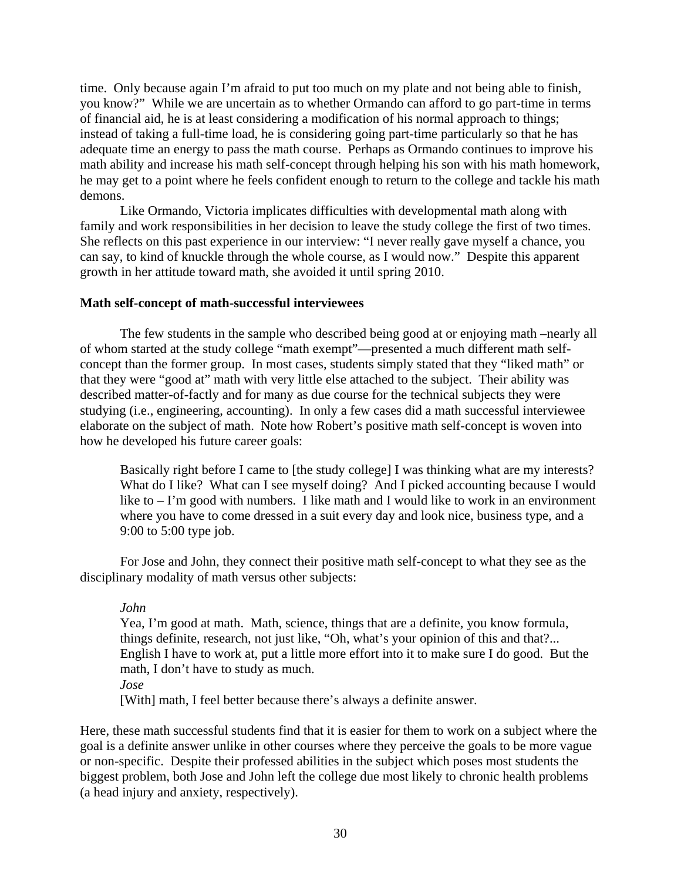time. Only because again I'm afraid to put too much on my plate and not being able to finish, you know?" While we are uncertain as to whether Ormando can afford to go part-time in terms of financial aid, he is at least considering a modification of his normal approach to things; instead of taking a full-time load, he is considering going part-time particularly so that he has adequate time an energy to pass the math course. Perhaps as Ormando continues to improve his math ability and increase his math self-concept through helping his son with his math homework, he may get to a point where he feels confident enough to return to the college and tackle his math demons.

Like Ormando, Victoria implicates difficulties with developmental math along with family and work responsibilities in her decision to leave the study college the first of two times. She reflects on this past experience in our interview: "I never really gave myself a chance, you can say, to kind of knuckle through the whole course, as I would now." Despite this apparent growth in her attitude toward math, she avoided it until spring 2010.

# **Math self-concept of math-successful interviewees**

The few students in the sample who described being good at or enjoying math –nearly all of whom started at the study college "math exempt"—presented a much different math selfconcept than the former group. In most cases, students simply stated that they "liked math" or that they were "good at" math with very little else attached to the subject. Their ability was described matter-of-factly and for many as due course for the technical subjects they were studying (i.e., engineering, accounting). In only a few cases did a math successful interviewee elaborate on the subject of math. Note how Robert's positive math self-concept is woven into how he developed his future career goals:

 Basically right before I came to [the study college] I was thinking what are my interests? What do I like? What can I see myself doing? And I picked accounting because I would like to  $-1$ 'm good with numbers. I like math and I would like to work in an environment where you have to come dressed in a suit every day and look nice, business type, and a 9:00 to 5:00 type job.

For Jose and John, they connect their positive math self-concept to what they see as the disciplinary modality of math versus other subjects:

# *John*

Yea, I'm good at math. Math, science, things that are a definite, you know formula, things definite, research, not just like, "Oh, what's your opinion of this and that?... English I have to work at, put a little more effort into it to make sure I do good. But the math, I don't have to study as much.

*Jose* 

[With] math, I feel better because there's always a definite answer.

Here, these math successful students find that it is easier for them to work on a subject where the goal is a definite answer unlike in other courses where they perceive the goals to be more vague or non-specific. Despite their professed abilities in the subject which poses most students the biggest problem, both Jose and John left the college due most likely to chronic health problems (a head injury and anxiety, respectively).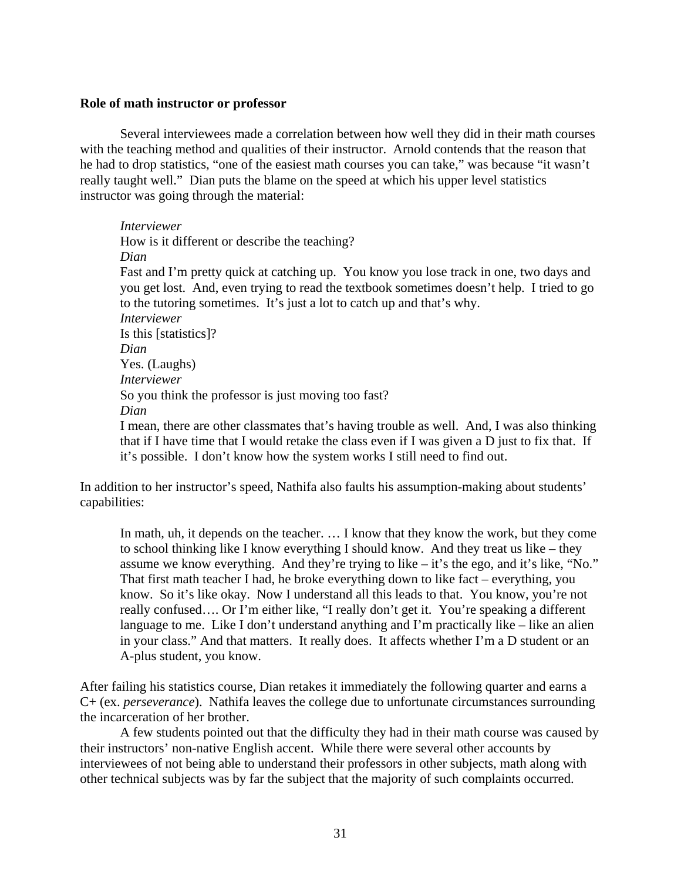# **Role of math instructor or professor**

Several interviewees made a correlation between how well they did in their math courses with the teaching method and qualities of their instructor. Arnold contends that the reason that he had to drop statistics, "one of the easiest math courses you can take," was because "it wasn't really taught well." Dian puts the blame on the speed at which his upper level statistics instructor was going through the material:

*Interviewer*  How is it different or describe the teaching? *Dian*  Fast and I'm pretty quick at catching up. You know you lose track in one, two days and you get lost. And, even trying to read the textbook sometimes doesn't help. I tried to go to the tutoring sometimes. It's just a lot to catch up and that's why. *Interviewer*  Is this [statistics]? *Dian*  Yes. (Laughs) *Interviewer*  So you think the professor is just moving too fast? *Dian*  I mean, there are other classmates that's having trouble as well. And, I was also thinking that if I have time that I would retake the class even if I was given a D just to fix that. If it's possible. I don't know how the system works I still need to find out.

In addition to her instructor's speed, Nathifa also faults his assumption-making about students' capabilities:

In math, uh, it depends on the teacher. … I know that they know the work, but they come to school thinking like I know everything I should know. And they treat us like – they assume we know everything. And they're trying to like – it's the ego, and it's like, "No." That first math teacher I had, he broke everything down to like fact – everything, you know. So it's like okay. Now I understand all this leads to that. You know, you're not really confused…. Or I'm either like, "I really don't get it. You're speaking a different language to me. Like I don't understand anything and I'm practically like – like an alien in your class." And that matters. It really does. It affects whether I'm a D student or an A-plus student, you know.

After failing his statistics course, Dian retakes it immediately the following quarter and earns a C+ (ex. *perseverance*). Nathifa leaves the college due to unfortunate circumstances surrounding the incarceration of her brother.

A few students pointed out that the difficulty they had in their math course was caused by their instructors' non-native English accent. While there were several other accounts by interviewees of not being able to understand their professors in other subjects, math along with other technical subjects was by far the subject that the majority of such complaints occurred.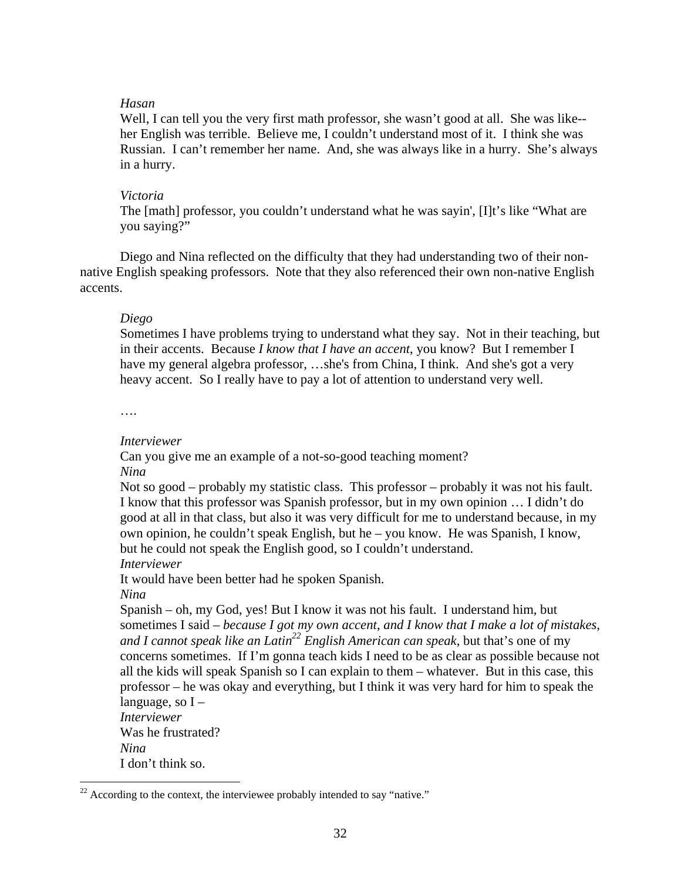# *Hasan*

Well, I can tell you the very first math professor, she wasn't good at all. She was like-her English was terrible. Believe me, I couldn't understand most of it. I think she was Russian. I can't remember her name. And, she was always like in a hurry. She's always in a hurry.

# *Victoria*

The [math] professor, you couldn't understand what he was sayin', [I]t's like "What are you saying?"

Diego and Nina reflected on the difficulty that they had understanding two of their nonnative English speaking professors. Note that they also referenced their own non-native English accents.

# *Diego*

Sometimes I have problems trying to understand what they say. Not in their teaching, but in their accents. Because *I know that I have an accent*, you know? But I remember I have my general algebra professor, …she's from China, I think. And she's got a very heavy accent. So I really have to pay a lot of attention to understand very well.

….

## *Interviewer*

Can you give me an example of a not-so-good teaching moment? *Nina* 

Not so good – probably my statistic class. This professor – probably it was not his fault. I know that this professor was Spanish professor, but in my own opinion … I didn't do good at all in that class, but also it was very difficult for me to understand because, in my own opinion, he couldn't speak English, but he – you know. He was Spanish, I know, but he could not speak the English good, so I couldn't understand.

*Interviewer* 

It would have been better had he spoken Spanish.

*Nina* 

 $\overline{a}$ 

Spanish – oh, my God, yes! But I know it was not his fault. I understand him, but sometimes I said – *because I got my own accent*, *and I know that I make a lot of mistakes, and I cannot speak like an Latin22 English American can speak*, but that's one of my concerns sometimes. If I'm gonna teach kids I need to be as clear as possible because not all the kids will speak Spanish so I can explain to them – whatever. But in this case, this professor – he was okay and everything, but I think it was very hard for him to speak the language, so  $I -$ 

*Interviewer*  Was he frustrated? *Nina*  I don't think so.

 $22$  According to the context, the interviewee probably intended to say "native."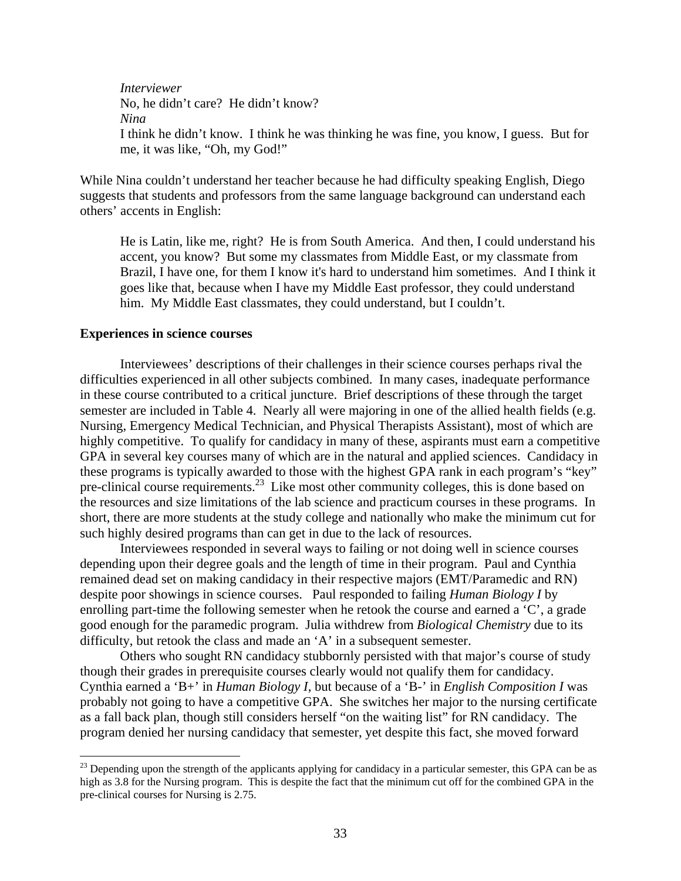*Interviewer*  No, he didn't care? He didn't know? *Nina*  I think he didn't know. I think he was thinking he was fine, you know, I guess. But for me, it was like, "Oh, my God!"

While Nina couldn't understand her teacher because he had difficulty speaking English, Diego suggests that students and professors from the same language background can understand each others' accents in English:

He is Latin, like me, right? He is from South America. And then, I could understand his accent, you know? But some my classmates from Middle East, or my classmate from Brazil, I have one, for them I know it's hard to understand him sometimes. And I think it goes like that, because when I have my Middle East professor, they could understand him. My Middle East classmates, they could understand, but I couldn't.

### **Experiences in science courses**

1

Interviewees' descriptions of their challenges in their science courses perhaps rival the difficulties experienced in all other subjects combined. In many cases, inadequate performance in these course contributed to a critical juncture. Brief descriptions of these through the target semester are included in Table 4. Nearly all were majoring in one of the allied health fields (e.g. Nursing, Emergency Medical Technician, and Physical Therapists Assistant), most of which are highly competitive. To qualify for candidacy in many of these, aspirants must earn a competitive GPA in several key courses many of which are in the natural and applied sciences. Candidacy in these programs is typically awarded to those with the highest GPA rank in each program's "key" pre-clinical course [requirements.](https://requirements.23)<sup>23</sup> Like most other community colleges, this is done based on the resources and size limitations of the lab science and practicum courses in these programs. In short, there are more students at the study college and nationally who make the minimum cut for such highly desired programs than can get in due to the lack of resources.

Interviewees responded in several ways to failing or not doing well in science courses depending upon their degree goals and the length of time in their program. Paul and Cynthia remained dead set on making candidacy in their respective majors (EMT/Paramedic and RN) despite poor showings in science courses. Paul responded to failing *Human Biology I* by enrolling part-time the following semester when he retook the course and earned a 'C', a grade good enough for the paramedic program. Julia withdrew from *Biological Chemistry* due to its difficulty, but retook the class and made an 'A' in a subsequent semester.

Others who sought RN candidacy stubbornly persisted with that major's course of study though their grades in prerequisite courses clearly would not qualify them for candidacy. Cynthia earned a 'B+' in *Human Biology I*, but because of a 'B-' in *English Composition I* was probably not going to have a competitive GPA. She switches her major to the nursing certificate as a fall back plan, though still considers herself "on the waiting list" for RN candidacy. The program denied her nursing candidacy that semester, yet despite this fact, she moved forward

<sup>&</sup>lt;sup>23</sup> Depending upon the strength of the applicants applying for candidacy in a particular semester, this GPA can be as high as 3.8 for the Nursing program. This is despite the fact that the minimum cut off for the combined GPA in the pre-clinical courses for Nursing is 2.75.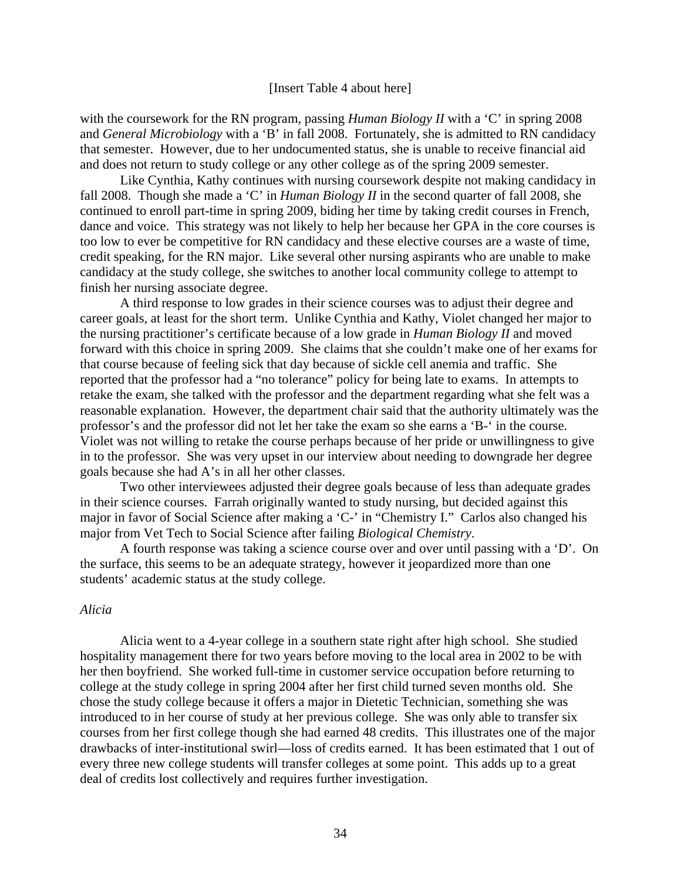#### [Insert Table 4 about here]

with the coursework for the RN program, passing *Human Biology II* with a 'C' in spring 2008 and *General Microbiology* with a 'B' in fall 2008. Fortunately, she is admitted to RN candidacy that semester. However, due to her undocumented status, she is unable to receive financial aid and does not return to study college or any other college as of the spring 2009 semester.

Like Cynthia, Kathy continues with nursing coursework despite not making candidacy in fall 2008. Though she made a 'C' in *Human Biology II* in the second quarter of fall 2008, she continued to enroll part-time in spring 2009, biding her time by taking credit courses in French, dance and voice. This strategy was not likely to help her because her GPA in the core courses is too low to ever be competitive for RN candidacy and these elective courses are a waste of time, credit speaking, for the RN major. Like several other nursing aspirants who are unable to make candidacy at the study college, she switches to another local community college to attempt to finish her nursing associate degree.

A third response to low grades in their science courses was to adjust their degree and career goals, at least for the short term. Unlike Cynthia and Kathy, Violet changed her major to the nursing practitioner's certificate because of a low grade in *Human Biology II* and moved forward with this choice in spring 2009. She claims that she couldn't make one of her exams for that course because of feeling sick that day because of sickle cell anemia and traffic. She reported that the professor had a "no tolerance" policy for being late to exams. In attempts to retake the exam, she talked with the professor and the department regarding what she felt was a reasonable explanation. However, the department chair said that the authority ultimately was the professor's and the professor did not let her take the exam so she earns a 'B-' in the course. Violet was not willing to retake the course perhaps because of her pride or unwillingness to give in to the professor. She was very upset in our interview about needing to downgrade her degree goals because she had A's in all her other classes.

Two other interviewees adjusted their degree goals because of less than adequate grades in their science courses. Farrah originally wanted to study nursing, but decided against this major in favor of Social Science after making a 'C-' in "Chemistry I." Carlos also changed his major from Vet Tech to Social Science after failing *Biological Chemistry*.

A fourth response was taking a science course over and over until passing with a 'D'. On the surface, this seems to be an adequate strategy, however it jeopardized more than one students' academic status at the study college.

### *Alicia*

Alicia went to a 4-year college in a southern state right after high school. She studied hospitality management there for two years before moving to the local area in 2002 to be with her then boyfriend. She worked full-time in customer service occupation before returning to college at the study college in spring 2004 after her first child turned seven months old. She chose the study college because it offers a major in Dietetic Technician, something she was introduced to in her course of study at her previous college. She was only able to transfer six courses from her first college though she had earned 48 credits. This illustrates one of the major drawbacks of inter-institutional swirl—loss of credits earned. It has been estimated that 1 out of every three new college students will transfer colleges at some point. This adds up to a great deal of credits lost collectively and requires further investigation.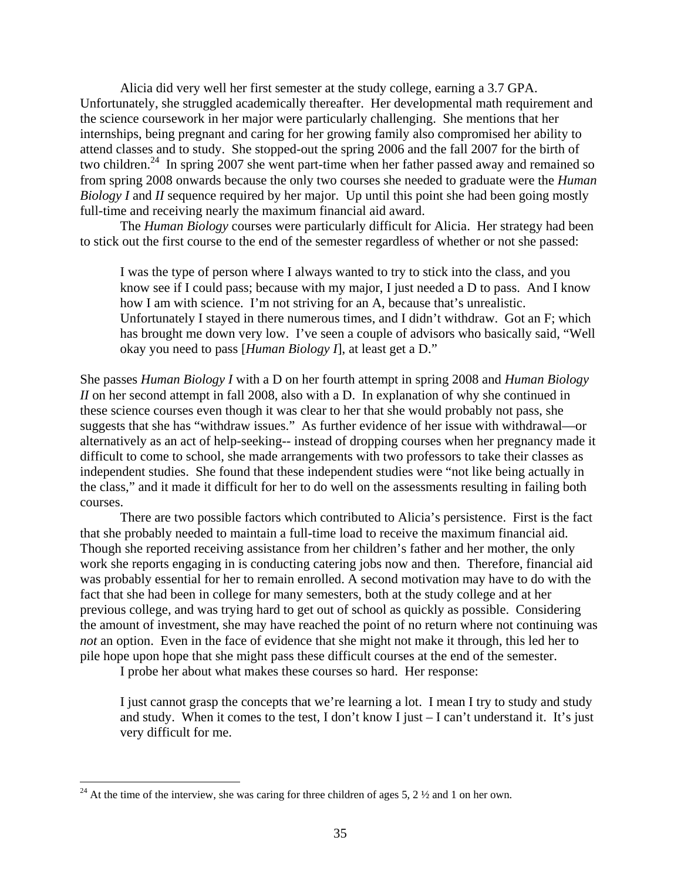Alicia did very well her first semester at the study college, earning a 3.7 GPA. Unfortunately, she struggled academically thereafter. Her developmental math requirement and the science coursework in her major were particularly challenging. She mentions that her internships, being pregnant and caring for her growing family also compromised her ability to attend classes and to study. She stopped-out the spring 2006 and the fall 2007 for the birth of two children.<sup>24</sup> In spring 2007 she went part-time when her father passed away and remained so from spring 2008 onwards because the only two courses she needed to graduate were the *Human Biology I* and *II* sequence required by her major. Up until this point she had been going mostly full-time and receiving nearly the maximum financial aid award.

The *Human Biology* courses were particularly difficult for Alicia. Her strategy had been to stick out the first course to the end of the semester regardless of whether or not she passed:

I was the type of person where I always wanted to try to stick into the class, and you know see if I could pass; because with my major, I just needed a D to pass. And I know how I am with science. I'm not striving for an A, because that's unrealistic. Unfortunately I stayed in there numerous times, and I didn't withdraw. Got an F; which has brought me down very low. I've seen a couple of advisors who basically said, "Well okay you need to pass [*Human Biology I*], at least get a D."

She passes *Human Biology I* with a D on her fourth attempt in spring 2008 and *Human Biology II* on her second attempt in fall 2008, also with a D. In explanation of why she continued in these science courses even though it was clear to her that she would probably not pass, she suggests that she has "withdraw issues." As further evidence of her issue with withdrawal—or alternatively as an act of help-seeking-- instead of dropping courses when her pregnancy made it difficult to come to school, she made arrangements with two professors to take their classes as independent studies. She found that these independent studies were "not like being actually in the class," and it made it difficult for her to do well on the assessments resulting in failing both courses.

There are two possible factors which contributed to Alicia's persistence. First is the fact that she probably needed to maintain a full-time load to receive the maximum financial aid. Though she reported receiving assistance from her children's father and her mother, the only work she reports engaging in is conducting catering jobs now and then. Therefore, financial aid was probably essential for her to remain enrolled. A second motivation may have to do with the fact that she had been in college for many semesters, both at the study college and at her previous college, and was trying hard to get out of school as quickly as possible. Considering the amount of investment, she may have reached the point of no return where not continuing was *not* an option. Even in the face of evidence that she might not make it through, this led her to pile hope upon hope that she might pass these difficult courses at the end of the semester.

I probe her about what makes these courses so hard. Her response:

I just cannot grasp the concepts that we're learning a lot. I mean I try to study and study and study. When it comes to the test, I don't know I just – I can't understand it. It's just very difficult for me.

 $\overline{a}$ 

<sup>&</sup>lt;sup>24</sup> At the time of the interview, she was caring for three children of ages 5, 2  $\frac{1}{2}$  and 1 on her own.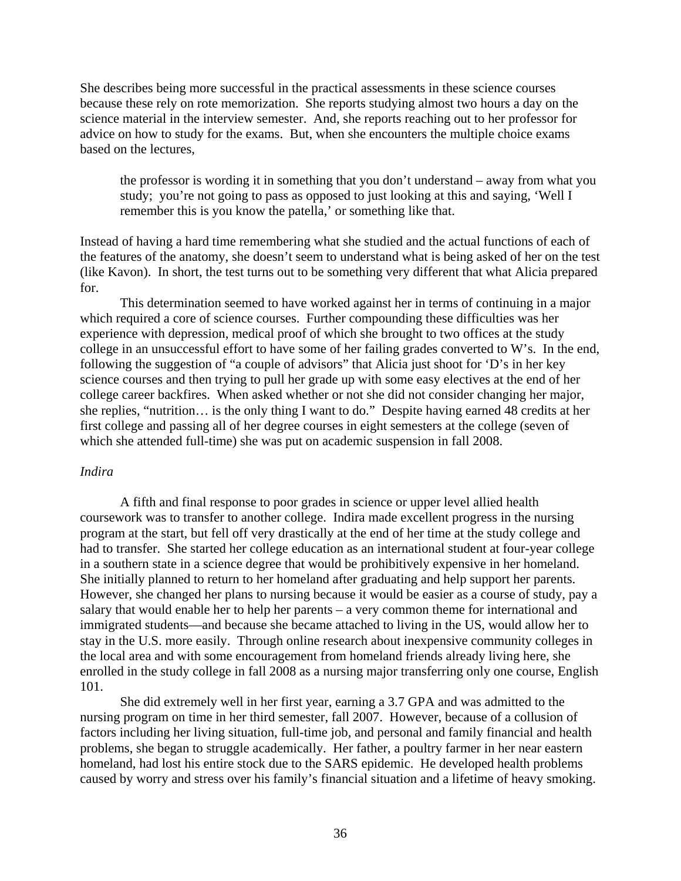She describes being more successful in the practical assessments in these science courses because these rely on rote memorization. She reports studying almost two hours a day on the science material in the interview semester. And, she reports reaching out to her professor for advice on how to study for the exams. But, when she encounters the multiple choice exams based on the lectures,

the professor is wording it in something that you don't understand – away from what you study; you're not going to pass as opposed to just looking at this and saying, 'Well I remember this is you know the patella,' or something like that.

Instead of having a hard time remembering what she studied and the actual functions of each of the features of the anatomy, she doesn't seem to understand what is being asked of her on the test (like Kavon). In short, the test turns out to be something very different that what Alicia prepared for.

This determination seemed to have worked against her in terms of continuing in a major which required a core of science courses. Further compounding these difficulties was her experience with depression, medical proof of which she brought to two offices at the study college in an unsuccessful effort to have some of her failing grades converted to W's. In the end, following the suggestion of "a couple of advisors" that Alicia just shoot for 'D's in her key science courses and then trying to pull her grade up with some easy electives at the end of her college career backfires. When asked whether or not she did not consider changing her major, she replies, "nutrition… is the only thing I want to do." Despite having earned 48 credits at her first college and passing all of her degree courses in eight semesters at the college (seven of which she attended full-time) she was put on academic suspension in fall 2008.

# *Indira*

A fifth and final response to poor grades in science or upper level allied health coursework was to transfer to another college. Indira made excellent progress in the nursing program at the start, but fell off very drastically at the end of her time at the study college and had to transfer. She started her college education as an international student at four-year college in a southern state in a science degree that would be prohibitively expensive in her homeland. She initially planned to return to her homeland after graduating and help support her parents. However, she changed her plans to nursing because it would be easier as a course of study, pay a salary that would enable her to help her parents – a very common theme for international and immigrated students—and because she became attached to living in the US, would allow her to stay in the U.S. more easily. Through online research about inexpensive community colleges in the local area and with some encouragement from homeland friends already living here, she enrolled in the study college in fall 2008 as a nursing major transferring only one course, English 101.

She did extremely well in her first year, earning a 3.7 GPA and was admitted to the nursing program on time in her third semester, fall 2007. However, because of a collusion of factors including her living situation, full-time job, and personal and family financial and health problems, she began to struggle academically. Her father, a poultry farmer in her near eastern homeland, had lost his entire stock due to the SARS epidemic. He developed health problems caused by worry and stress over his family's financial situation and a lifetime of heavy smoking.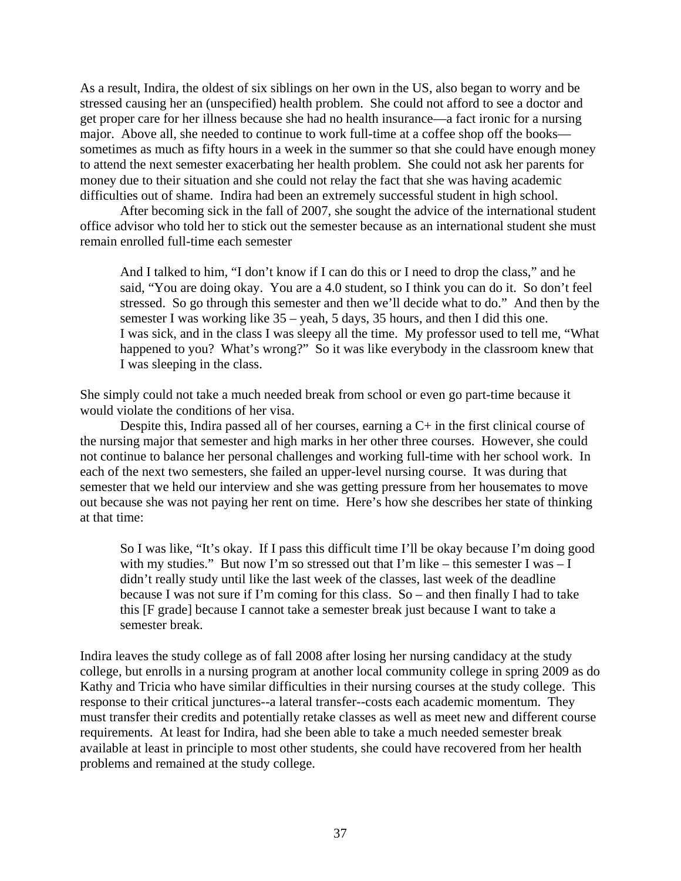As a result, Indira, the oldest of six siblings on her own in the US, also began to worry and be stressed causing her an (unspecified) health problem. She could not afford to see a doctor and get proper care for her illness because she had no health insurance—a fact ironic for a nursing major. Above all, she needed to continue to work full-time at a coffee shop off the books sometimes as much as fifty hours in a week in the summer so that she could have enough money to attend the next semester exacerbating her health problem. She could not ask her parents for money due to their situation and she could not relay the fact that she was having academic difficulties out of shame. Indira had been an extremely successful student in high school.

After becoming sick in the fall of 2007, she sought the advice of the international student office advisor who told her to stick out the semester because as an international student she must remain enrolled full-time each semester

And I talked to him, "I don't know if I can do this or I need to drop the class," and he said, "You are doing okay. You are a 4.0 student, so I think you can do it. So don't feel stressed. So go through this semester and then we'll decide what to do." And then by the semester I was working like 35 – yeah, 5 days, 35 hours, and then I did this one. I was sick, and in the class I was sleepy all the time. My professor used to tell me, "What happened to you? What's wrong?" So it was like everybody in the classroom knew that I was sleeping in the class.

She simply could not take a much needed break from school or even go part-time because it would violate the conditions of her visa.

Despite this, Indira passed all of her courses, earning a C+ in the first clinical course of the nursing major that semester and high marks in her other three courses. However, she could not continue to balance her personal challenges and working full-time with her school work. In each of the next two semesters, she failed an upper-level nursing course. It was during that semester that we held our interview and she was getting pressure from her housemates to move out because she was not paying her rent on time. Here's how she describes her state of thinking at that time:

So I was like, "It's okay. If I pass this difficult time I'll be okay because I'm doing good with my studies." But now I'm so stressed out that I'm like – this semester I was – I didn't really study until like the last week of the classes, last week of the deadline because I was not sure if I'm coming for this class. So – and then finally I had to take this [F grade] because I cannot take a semester break just because I want to take a semester break.

Indira leaves the study college as of fall 2008 after losing her nursing candidacy at the study college, but enrolls in a nursing program at another local community college in spring 2009 as do Kathy and Tricia who have similar difficulties in their nursing courses at the study college. This response to their critical junctures--a lateral transfer--costs each academic momentum. They must transfer their credits and potentially retake classes as well as meet new and different course requirements. At least for Indira, had she been able to take a much needed semester break available at least in principle to most other students, she could have recovered from her health problems and remained at the study college.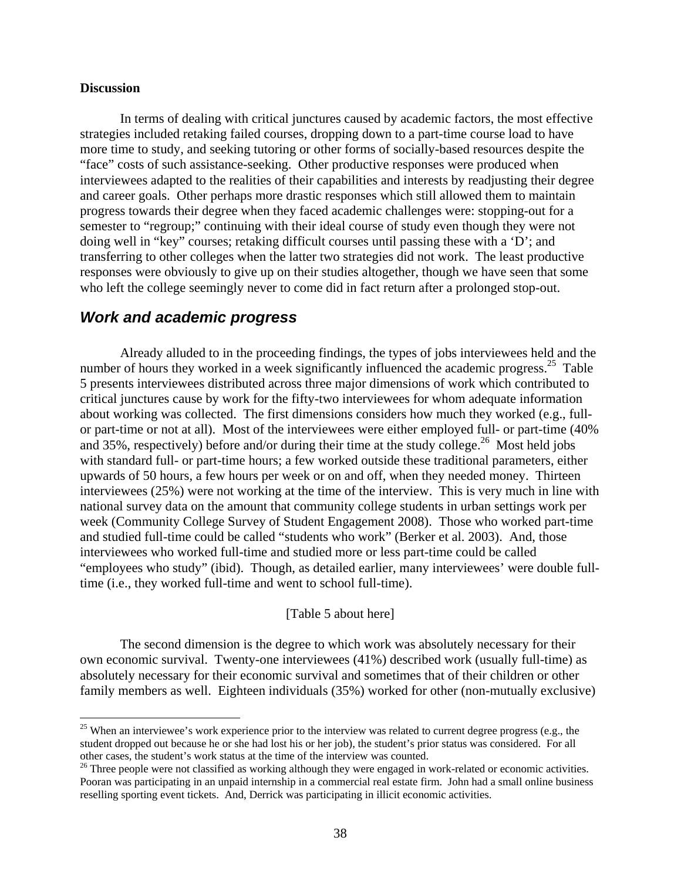#### **Discussion**

1

In terms of dealing with critical junctures caused by academic factors, the most effective strategies included retaking failed courses, dropping down to a part-time course load to have more time to study, and seeking tutoring or other forms of socially-based resources despite the "face" costs of such assistance-seeking. Other productive responses were produced when interviewees adapted to the realities of their capabilities and interests by readjusting their degree and career goals. Other perhaps more drastic responses which still allowed them to maintain progress towards their degree when they faced academic challenges were: stopping-out for a semester to "regroup;" continuing with their ideal course of study even though they were not doing well in "key" courses; retaking difficult courses until passing these with a 'D'; and transferring to other colleges when the latter two strategies did not work. The least productive responses were obviously to give up on their studies altogether, though we have seen that some who left the college seemingly never to come did in fact return after a prolonged stop-out.

## *Work and academic progress*

Already alluded to in the proceeding findings, the types of jobs interviewees held and the number of hours they worked in a week significantly influenced the academic progress.<sup>25</sup> Table 5 presents interviewees distributed across three major dimensions of work which contributed to critical junctures cause by work for the fifty-two interviewees for whom adequate information about working was collected. The first dimensions considers how much they worked (e.g., fullor part-time or not at all). Most of the interviewees were either employed full- or part-time (40% and 35%, respectively) before and/or during their time at the study college.<sup>26</sup> Most held jobs with standard full- or part-time hours; a few worked outside these traditional parameters, either upwards of 50 hours, a few hours per week or on and off, when they needed money. Thirteen interviewees (25%) were not working at the time of the interview. This is very much in line with national survey data on the amount that community college students in urban settings work per week (Community College Survey of Student Engagement 2008). Those who worked part-time and studied full-time could be called "students who work" (Berker et al. 2003). And, those interviewees who worked full-time and studied more or less part-time could be called "employees who study" (ibid). Though, as detailed earlier, many interviewees' were double fulltime (i.e., they worked full-time and went to school full-time).

#### [Table 5 about here]

The second dimension is the degree to which work was absolutely necessary for their own economic survival. Twenty-one interviewees (41%) described work (usually full-time) as absolutely necessary for their economic survival and sometimes that of their children or other family members as well. Eighteen individuals (35%) worked for other (non-mutually exclusive)

 student dropped out because he or she had lost his or her job), the student's prior status was considered. For all  $25$  When an interviewee's work experience prior to the interview was related to current degree progress (e.g., the other cases, the student's work status at the time of the interview was counted.

 $26$  Three people were not classified as working although they were engaged in work-related or economic activities. Pooran was participating in an unpaid internship in a commercial real estate firm. John had a small online business reselling sporting event tickets. And, Derrick was participating in illicit economic activities.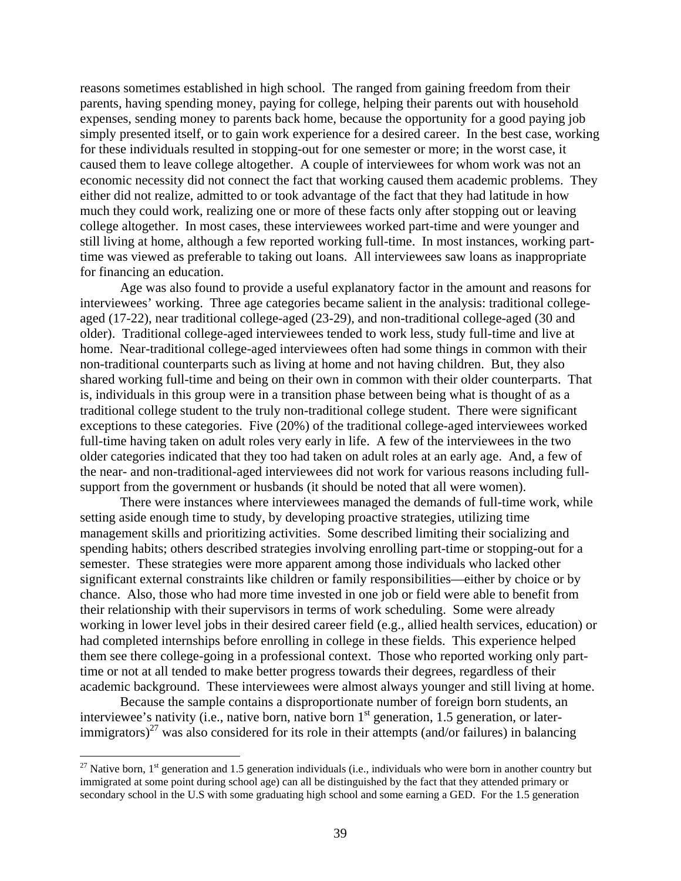reasons sometimes established in high school. The ranged from gaining freedom from their parents, having spending money, paying for college, helping their parents out with household expenses, sending money to parents back home, because the opportunity for a good paying job simply presented itself, or to gain work experience for a desired career. In the best case, working for these individuals resulted in stopping-out for one semester or more; in the worst case, it caused them to leave college altogether. A couple of interviewees for whom work was not an economic necessity did not connect the fact that working caused them academic problems. They either did not realize, admitted to or took advantage of the fact that they had latitude in how much they could work, realizing one or more of these facts only after stopping out or leaving college altogether. In most cases, these interviewees worked part-time and were younger and still living at home, although a few reported working full-time. In most instances, working parttime was viewed as preferable to taking out loans. All interviewees saw loans as inappropriate for financing an education.

Age was also found to provide a useful explanatory factor in the amount and reasons for interviewees' working. Three age categories became salient in the analysis: traditional collegeaged (17-22), near traditional college-aged (23-29), and non-traditional college-aged (30 and older). Traditional college-aged interviewees tended to work less, study full-time and live at home. Near-traditional college-aged interviewees often had some things in common with their non-traditional counterparts such as living at home and not having children. But, they also shared working full-time and being on their own in common with their older counterparts. That is, individuals in this group were in a transition phase between being what is thought of as a traditional college student to the truly non-traditional college student. There were significant exceptions to these categories. Five (20%) of the traditional college-aged interviewees worked full-time having taken on adult roles very early in life. A few of the interviewees in the two older categories indicated that they too had taken on adult roles at an early age. And, a few of the near- and non-traditional-aged interviewees did not work for various reasons including fullsupport from the government or husbands (it should be noted that all were women).

There were instances where interviewees managed the demands of full-time work, while setting aside enough time to study, by developing proactive strategies, utilizing time management skills and prioritizing activities. Some described limiting their socializing and spending habits; others described strategies involving enrolling part-time or stopping-out for a semester. These strategies were more apparent among those individuals who lacked other significant external constraints like children or family responsibilities—either by choice or by chance. Also, those who had more time invested in one job or field were able to benefit from their relationship with their supervisors in terms of work scheduling. Some were already working in lower level jobs in their desired career field (e.g., allied health services, education) or had completed internships before enrolling in college in these fields. This experience helped them see there college-going in a professional context. Those who reported working only parttime or not at all tended to make better progress towards their degrees, regardless of their academic background. These interviewees were almost always younger and still living at home.

Because the sample contains a disproportionate number of foreign born students, an interviewee's nativity (i.e., native born, native born 1<sup>st</sup> generation, 1.5 generation, or laterimmigrators)<sup>27</sup> was also considered for its role in their attempts (and/or failures) in balancing

 $\overline{a}$ 

 immigrated at some point during school age) can all be distinguished by the fact that they attended primary or secondary school in the U.S with some graduating high school and some earning a GED. For the 1.5 generation <sup>27</sup> Native born, 1<sup>st</sup> generation and 1.5 generation individuals (i.e., individuals who were born in another country but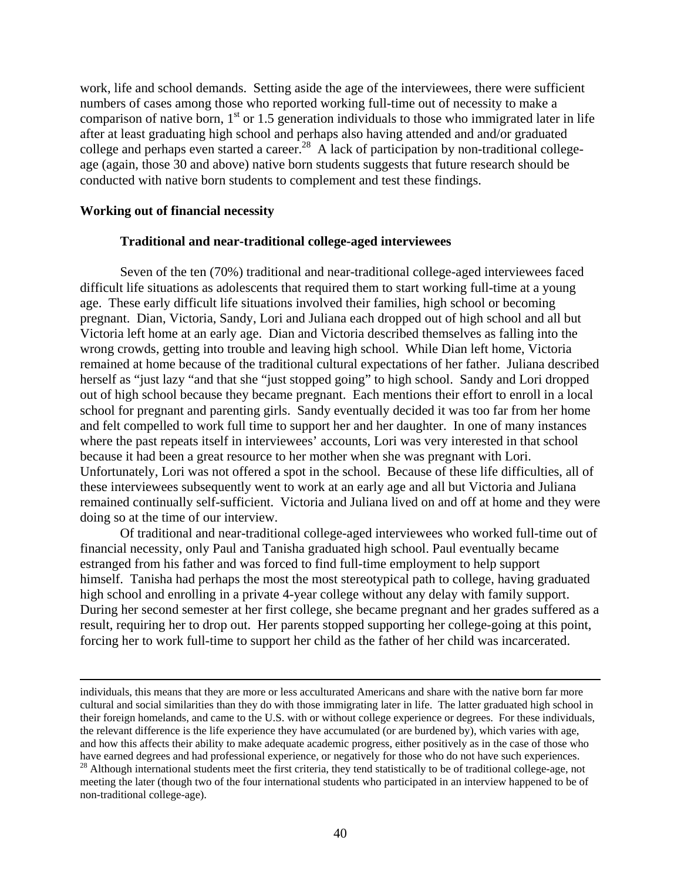work, life and school demands. Setting aside the age of the interviewees, there were sufficient numbers of cases among those who reported working full-time out of necessity to make a comparison of native born,  $1<sup>st</sup>$  or 1.5 generation individuals to those who immigrated later in life after at least graduating high school and perhaps also having attended and and/or graduated college and perhaps even started a career.<sup>28</sup> A lack of participation by non-traditional collegeage (again, those 30 and above) native born students suggests that future research should be conducted with native born students to complement and test these findings.

#### **Working out of financial necessity**

1

#### **Traditional and near-traditional college-aged interviewees**

Seven of the ten (70%) traditional and near-traditional college-aged interviewees faced difficult life situations as adolescents that required them to start working full-time at a young age. These early difficult life situations involved their families, high school or becoming pregnant. Dian, Victoria, Sandy, Lori and Juliana each dropped out of high school and all but Victoria left home at an early age. Dian and Victoria described themselves as falling into the wrong crowds, getting into trouble and leaving high school. While Dian left home, Victoria remained at home because of the traditional cultural expectations of her father. Juliana described herself as "just lazy "and that she "just stopped going" to high school. Sandy and Lori dropped out of high school because they became pregnant. Each mentions their effort to enroll in a local school for pregnant and parenting girls. Sandy eventually decided it was too far from her home and felt compelled to work full time to support her and her daughter. In one of many instances where the past repeats itself in interviewees' accounts, Lori was very interested in that school because it had been a great resource to her mother when she was pregnant with Lori. Unfortunately, Lori was not offered a spot in the school. Because of these life difficulties, all of these interviewees subsequently went to work at an early age and all but Victoria and Juliana remained continually self-sufficient. Victoria and Juliana lived on and off at home and they were doing so at the time of our interview.

Of traditional and near-traditional college-aged interviewees who worked full-time out of financial necessity, only Paul and Tanisha graduated high school. Paul eventually became estranged from his father and was forced to find full-time employment to help support himself. Tanisha had perhaps the most the most stereotypical path to college, having graduated high school and enrolling in a private 4-year college without any delay with family support. During her second semester at her first college, she became pregnant and her grades suffered as a result, requiring her to drop out. Her parents stopped supporting her college-going at this point, forcing her to work full-time to support her child as the father of her child was incarcerated.

individuals, this means that they are more or less acculturated Americans and share with the native born far more cultural and social similarities than they do with those immigrating later in life. The latter graduated high school in their foreign homelands, and came to the U.S. with or without college experience or degrees. For these individuals, the relevant difference is the life experience they have accumulated (or are burdened by), which varies with age, and how this affects their ability to make adequate academic progress, either positively as in the case of those who have earned degrees and had professional experience, or negatively for those who do not have such experiences.

<sup>&</sup>lt;sup>28</sup> Although international students meet the first criteria, they tend statistically to be of traditional college-age, not meeting the later (though two of the four international students who participated in an interview happened to be of non-traditional college-age).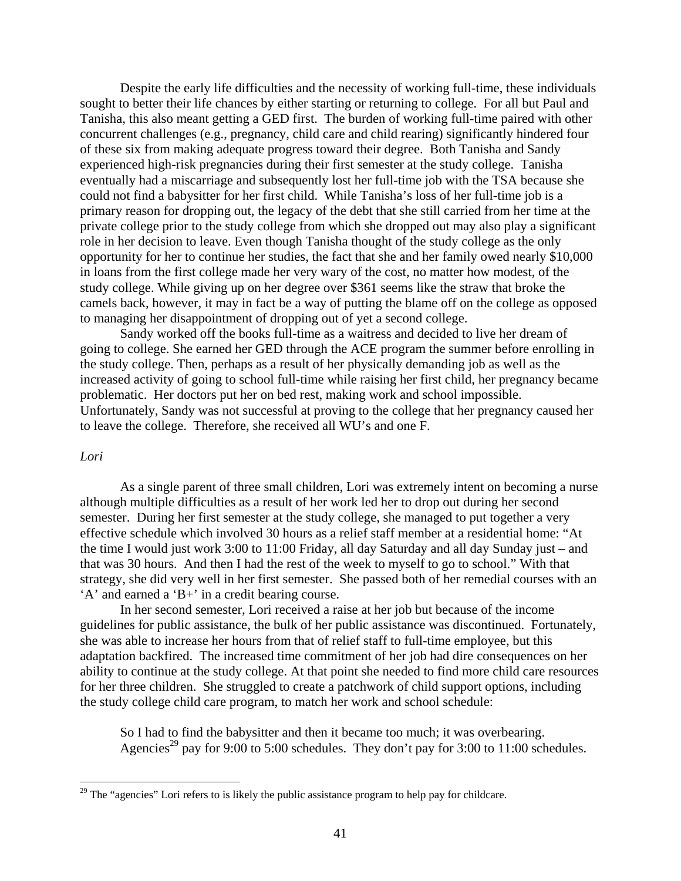Despite the early life difficulties and the necessity of working full-time, these individuals sought to better their life chances by either starting or returning to college. For all but Paul and Tanisha, this also meant getting a GED first. The burden of working full-time paired with other concurrent challenges (e.g., pregnancy, child care and child rearing) significantly hindered four of these six from making adequate progress toward their degree. Both Tanisha and Sandy experienced high-risk pregnancies during their first semester at the study college. Tanisha eventually had a miscarriage and subsequently lost her full-time job with the TSA because she could not find a babysitter for her first child. While Tanisha's loss of her full-time job is a primary reason for dropping out, the legacy of the debt that she still carried from her time at the private college prior to the study college from which she dropped out may also play a significant role in her decision to leave. Even though Tanisha thought of the study college as the only opportunity for her to continue her studies, the fact that she and her family owed nearly \$10,000 in loans from the first college made her very wary of the cost, no matter how modest, of the study college. While giving up on her degree over \$361 seems like the straw that broke the camels back, however, it may in fact be a way of putting the blame off on the college as opposed to managing her disappointment of dropping out of yet a second college.

Sandy worked off the books full-time as a waitress and decided to live her dream of going to college. She earned her GED through the ACE program the summer before enrolling in the study college. Then, perhaps as a result of her physically demanding job as well as the increased activity of going to school full-time while raising her first child, her pregnancy became problematic. Her doctors put her on bed rest, making work and school impossible. Unfortunately, Sandy was not successful at proving to the college that her pregnancy caused her to leave the college. Therefore, she received all WU's and one F.

#### *Lori*

 $\overline{a}$ 

As a single parent of three small children, Lori was extremely intent on becoming a nurse although multiple difficulties as a result of her work led her to drop out during her second semester. During her first semester at the study college, she managed to put together a very effective schedule which involved 30 hours as a relief staff member at a residential home: "At the time I would just work 3:00 to 11:00 Friday, all day Saturday and all day Sunday just – and that was 30 hours. And then I had the rest of the week to myself to go to school." With that strategy, she did very well in her first semester. She passed both of her remedial courses with an 'A' and earned a 'B+' in a credit bearing course.

In her second semester, Lori received a raise at her job but because of the income guidelines for public assistance, the bulk of her public assistance was discontinued. Fortunately, she was able to increase her hours from that of relief staff to full-time employee, but this adaptation backfired. The increased time commitment of her job had dire consequences on her ability to continue at the study college. At that point she needed to find more child care resources for her three children. She struggled to create a patchwork of child support options, including the study college child care program, to match her work and school schedule:

So I had to find the babysitter and then it became too much; it was overbearing. Agencies<sup>29</sup> pay for 9:00 to 5:00 schedules. They don't pay for 3:00 to 11:00 schedules.

 $29$  The "agencies" Lori refers to is likely the public assistance program to help pay for childcare.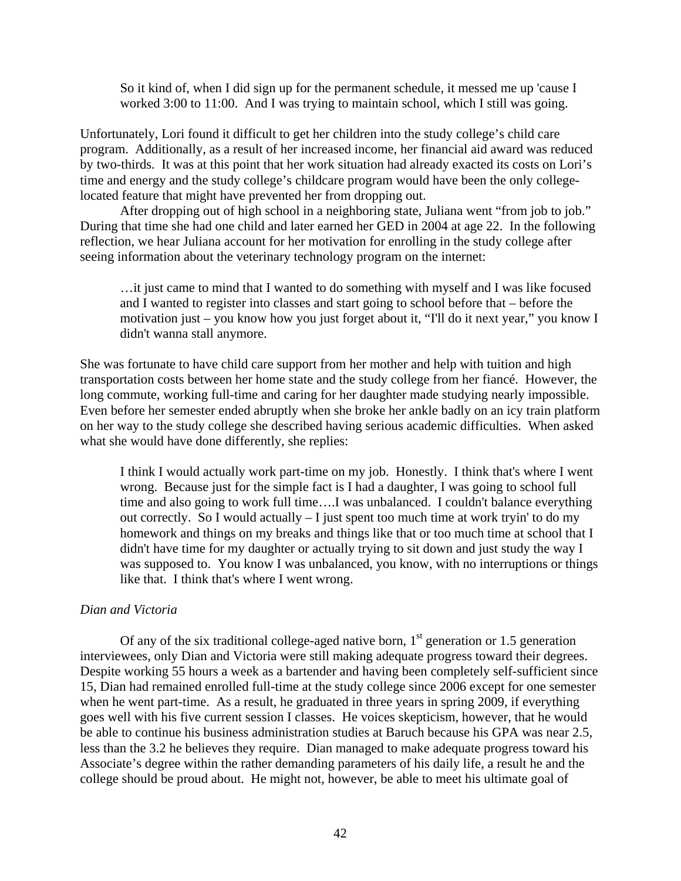So it kind of, when I did sign up for the permanent schedule, it messed me up 'cause I worked 3:00 to 11:00. And I was trying to maintain school, which I still was going.

Unfortunately, Lori found it difficult to get her children into the study college's child care program. Additionally, as a result of her increased income, her financial aid award was reduced by two-thirds. It was at this point that her work situation had already exacted its costs on Lori's time and energy and the study college's childcare program would have been the only collegelocated feature that might have prevented her from dropping out.

After dropping out of high school in a neighboring state, Juliana went "from job to job." During that time she had one child and later earned her GED in 2004 at age 22. In the following reflection, we hear Juliana account for her motivation for enrolling in the study college after seeing information about the veterinary technology program on the internet:

…it just came to mind that I wanted to do something with myself and I was like focused and I wanted to register into classes and start going to school before that – before the motivation just – you know how you just forget about it, "I'll do it next year," you know I didn't wanna stall anymore.

She was fortunate to have child care support from her mother and help with tuition and high transportation costs between her home state and the study college from her fiancé. However, the long commute, working full-time and caring for her daughter made studying nearly impossible. Even before her semester ended abruptly when she broke her ankle badly on an icy train platform on her way to the study college she described having serious academic difficulties. When asked what she would have done differently, she replies:

I think I would actually work part-time on my job. Honestly. I think that's where I went wrong. Because just for the simple fact is I had a daughter, I was going to school full time and also going to work full time….I was unbalanced. I couldn't balance everything out correctly. So I would actually – I just spent too much time at work tryin' to do my homework and things on my breaks and things like that or too much time at school that I didn't have time for my daughter or actually trying to sit down and just study the way I was supposed to. You know I was unbalanced, you know, with no interruptions or things like that. I think that's where I went wrong.

#### *Dian and Victoria*

Of any of the six traditional college-aged native born,  $1<sup>st</sup>$  generation or 1.5 generation interviewees, only Dian and Victoria were still making adequate progress toward their degrees. Despite working 55 hours a week as a bartender and having been completely self-sufficient since 15, Dian had remained enrolled full-time at the study college since 2006 except for one semester when he went part-time. As a result, he graduated in three years in spring 2009, if everything goes well with his five current session I classes. He voices skepticism, however, that he would be able to continue his business administration studies at Baruch because his GPA was near 2.5, less than the 3.2 he believes they require. Dian managed to make adequate progress toward his Associate's degree within the rather demanding parameters of his daily life, a result he and the college should be proud about. He might not, however, be able to meet his ultimate goal of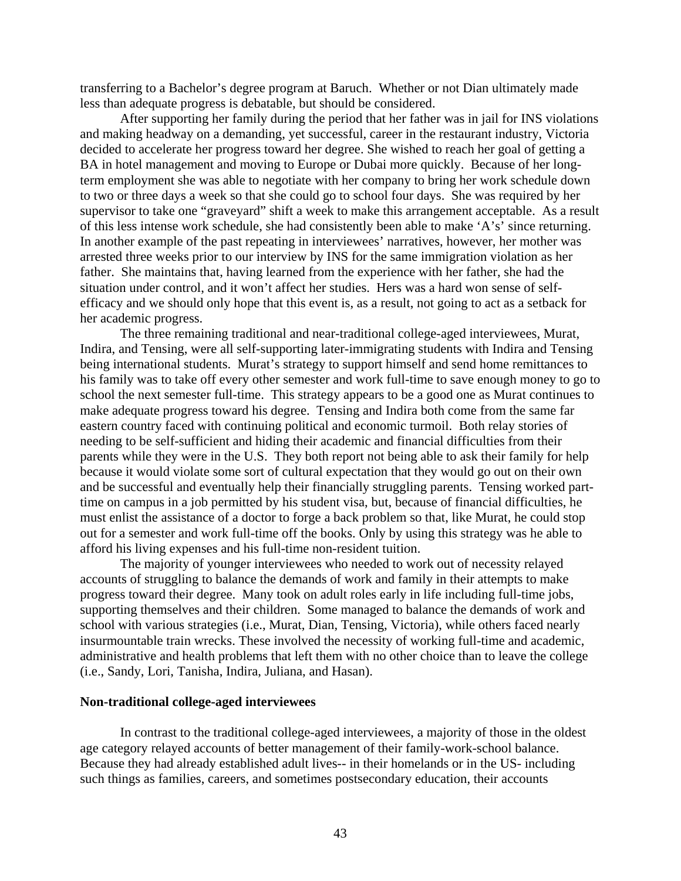transferring to a Bachelor's degree program at Baruch. Whether or not Dian ultimately made less than adequate progress is debatable, but should be considered.

After supporting her family during the period that her father was in jail for INS violations and making headway on a demanding, yet successful, career in the restaurant industry, Victoria decided to accelerate her progress toward her degree. She wished to reach her goal of getting a BA in hotel management and moving to Europe or Dubai more quickly. Because of her longterm employment she was able to negotiate with her company to bring her work schedule down to two or three days a week so that she could go to school four days. She was required by her supervisor to take one "graveyard" shift a week to make this arrangement acceptable. As a result of this less intense work schedule, she had consistently been able to make 'A's' since returning. In another example of the past repeating in interviewees' narratives, however, her mother was arrested three weeks prior to our interview by INS for the same immigration violation as her father. She maintains that, having learned from the experience with her father, she had the situation under control, and it won't affect her studies. Hers was a hard won sense of selfefficacy and we should only hope that this event is, as a result, not going to act as a setback for her academic progress.

The three remaining traditional and near-traditional college-aged interviewees, Murat, Indira, and Tensing, were all self-supporting later-immigrating students with Indira and Tensing being international students. Murat's strategy to support himself and send home remittances to his family was to take off every other semester and work full-time to save enough money to go to school the next semester full-time. This strategy appears to be a good one as Murat continues to make adequate progress toward his degree. Tensing and Indira both come from the same far eastern country faced with continuing political and economic turmoil. Both relay stories of needing to be self-sufficient and hiding their academic and financial difficulties from their parents while they were in the U.S. They both report not being able to ask their family for help because it would violate some sort of cultural expectation that they would go out on their own and be successful and eventually help their financially struggling parents. Tensing worked parttime on campus in a job permitted by his student visa, but, because of financial difficulties, he must enlist the assistance of a doctor to forge a back problem so that, like Murat, he could stop out for a semester and work full-time off the books. Only by using this strategy was he able to afford his living expenses and his full-time non-resident tuition.

The majority of younger interviewees who needed to work out of necessity relayed accounts of struggling to balance the demands of work and family in their attempts to make progress toward their degree. Many took on adult roles early in life including full-time jobs, supporting themselves and their children. Some managed to balance the demands of work and school with various strategies (i.e., Murat, Dian, Tensing, Victoria), while others faced nearly insurmountable train wrecks. These involved the necessity of working full-time and academic, administrative and health problems that left them with no other choice than to leave the college (i.e., Sandy, Lori, Tanisha, Indira, Juliana, and Hasan).

#### **Non-traditional college-aged interviewees**

In contrast to the traditional college-aged interviewees, a majority of those in the oldest age category relayed accounts of better management of their family-work-school balance. Because they had already established adult lives-- in their homelands or in the US- including such things as families, careers, and sometimes postsecondary education, their accounts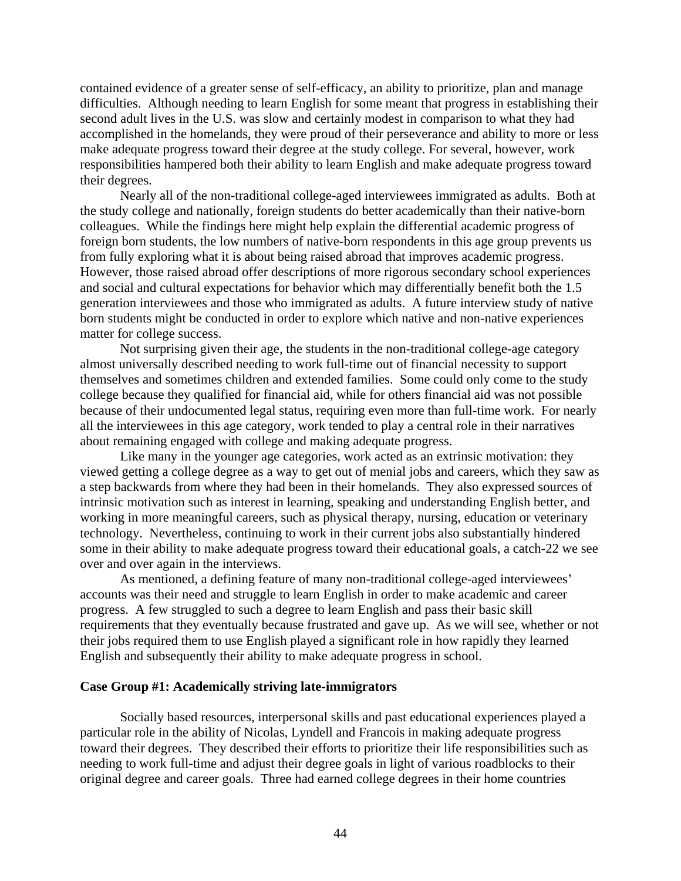contained evidence of a greater sense of self-efficacy, an ability to prioritize, plan and manage difficulties. Although needing to learn English for some meant that progress in establishing their second adult lives in the U.S. was slow and certainly modest in comparison to what they had accomplished in the homelands, they were proud of their perseverance and ability to more or less make adequate progress toward their degree at the study college. For several, however, work responsibilities hampered both their ability to learn English and make adequate progress toward their degrees.

Nearly all of the non-traditional college-aged interviewees immigrated as adults. Both at the study college and nationally, foreign students do better academically than their native-born colleagues. While the findings here might help explain the differential academic progress of foreign born students, the low numbers of native-born respondents in this age group prevents us from fully exploring what it is about being raised abroad that improves academic progress. However, those raised abroad offer descriptions of more rigorous secondary school experiences and social and cultural expectations for behavior which may differentially benefit both the 1.5 generation interviewees and those who immigrated as adults. A future interview study of native born students might be conducted in order to explore which native and non-native experiences matter for college success.

Not surprising given their age, the students in the non-traditional college-age category almost universally described needing to work full-time out of financial necessity to support themselves and sometimes children and extended families. Some could only come to the study college because they qualified for financial aid, while for others financial aid was not possible because of their undocumented legal status, requiring even more than full-time work. For nearly all the interviewees in this age category, work tended to play a central role in their narratives about remaining engaged with college and making adequate progress.

Like many in the younger age categories, work acted as an extrinsic motivation: they viewed getting a college degree as a way to get out of menial jobs and careers, which they saw as a step backwards from where they had been in their homelands. They also expressed sources of intrinsic motivation such as interest in learning, speaking and understanding English better, and working in more meaningful careers, such as physical therapy, nursing, education or veterinary technology. Nevertheless, continuing to work in their current jobs also substantially hindered some in their ability to make adequate progress toward their educational goals, a catch-22 we see over and over again in the interviews.

As mentioned, a defining feature of many non-traditional college-aged interviewees' accounts was their need and struggle to learn English in order to make academic and career progress. A few struggled to such a degree to learn English and pass their basic skill requirements that they eventually because frustrated and gave up. As we will see, whether or not their jobs required them to use English played a significant role in how rapidly they learned English and subsequently their ability to make adequate progress in school.

#### **Case Group #1: Academically striving late-immigrators**

Socially based resources, interpersonal skills and past educational experiences played a particular role in the ability of Nicolas, Lyndell and Francois in making adequate progress toward their degrees. They described their efforts to prioritize their life responsibilities such as needing to work full-time and adjust their degree goals in light of various roadblocks to their original degree and career goals. Three had earned college degrees in their home countries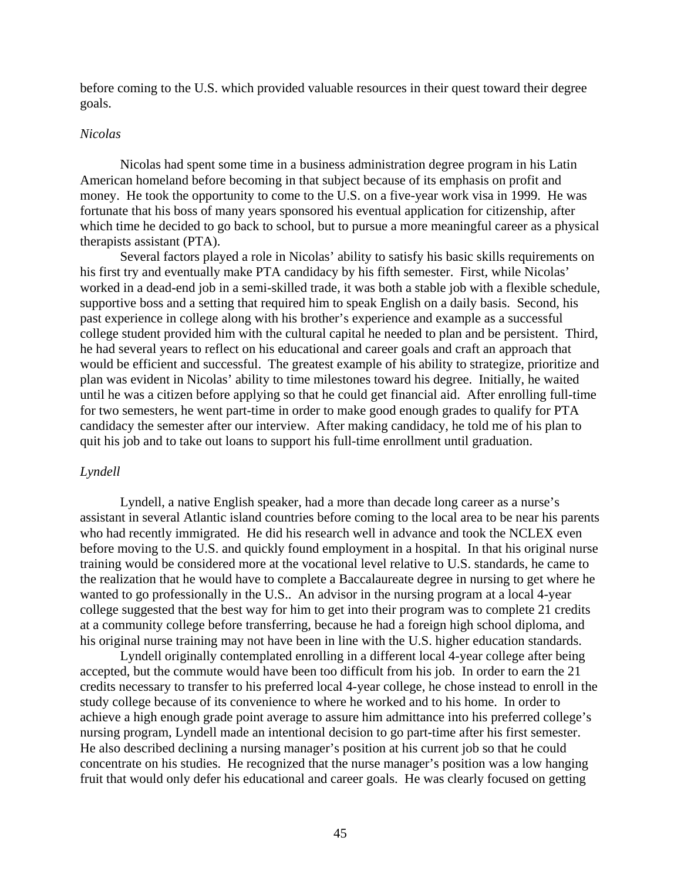before coming to the U.S. which provided valuable resources in their quest toward their degree goals.

#### *Nicolas*

Nicolas had spent some time in a business administration degree program in his Latin American homeland before becoming in that subject because of its emphasis on profit and money. He took the opportunity to come to the U.S. on a five-year work visa in 1999. He was fortunate that his boss of many years sponsored his eventual application for citizenship, after which time he decided to go back to school, but to pursue a more meaningful career as a physical therapists assistant (PTA).

Several factors played a role in Nicolas' ability to satisfy his basic skills requirements on his first try and eventually make PTA candidacy by his fifth semester. First, while Nicolas' worked in a dead-end job in a semi-skilled trade, it was both a stable job with a flexible schedule, supportive boss and a setting that required him to speak English on a daily basis. Second, his past experience in college along with his brother's experience and example as a successful college student provided him with the cultural capital he needed to plan and be persistent. Third, he had several years to reflect on his educational and career goals and craft an approach that would be efficient and successful. The greatest example of his ability to strategize, prioritize and plan was evident in Nicolas' ability to time milestones toward his degree. Initially, he waited until he was a citizen before applying so that he could get financial aid. After enrolling full-time for two semesters, he went part-time in order to make good enough grades to qualify for PTA candidacy the semester after our interview. After making candidacy, he told me of his plan to quit his job and to take out loans to support his full-time enrollment until graduation.

#### *Lyndell*

Lyndell, a native English speaker, had a more than decade long career as a nurse's assistant in several Atlantic island countries before coming to the local area to be near his parents who had recently immigrated. He did his research well in advance and took the NCLEX even before moving to the U.S. and quickly found employment in a hospital. In that his original nurse training would be considered more at the vocational level relative to U.S. standards, he came to the realization that he would have to complete a Baccalaureate degree in nursing to get where he wanted to go professionally in the U.S.. An advisor in the nursing program at a local 4-year college suggested that the best way for him to get into their program was to complete 21 credits at a community college before transferring, because he had a foreign high school diploma, and his original nurse training may not have been in line with the U.S. higher education standards.

Lyndell originally contemplated enrolling in a different local 4-year college after being accepted, but the commute would have been too difficult from his job. In order to earn the 21 credits necessary to transfer to his preferred local 4-year college, he chose instead to enroll in the study college because of its convenience to where he worked and to his home. In order to achieve a high enough grade point average to assure him admittance into his preferred college's nursing program, Lyndell made an intentional decision to go part-time after his first semester. He also described declining a nursing manager's position at his current job so that he could concentrate on his studies. He recognized that the nurse manager's position was a low hanging fruit that would only defer his educational and career goals. He was clearly focused on getting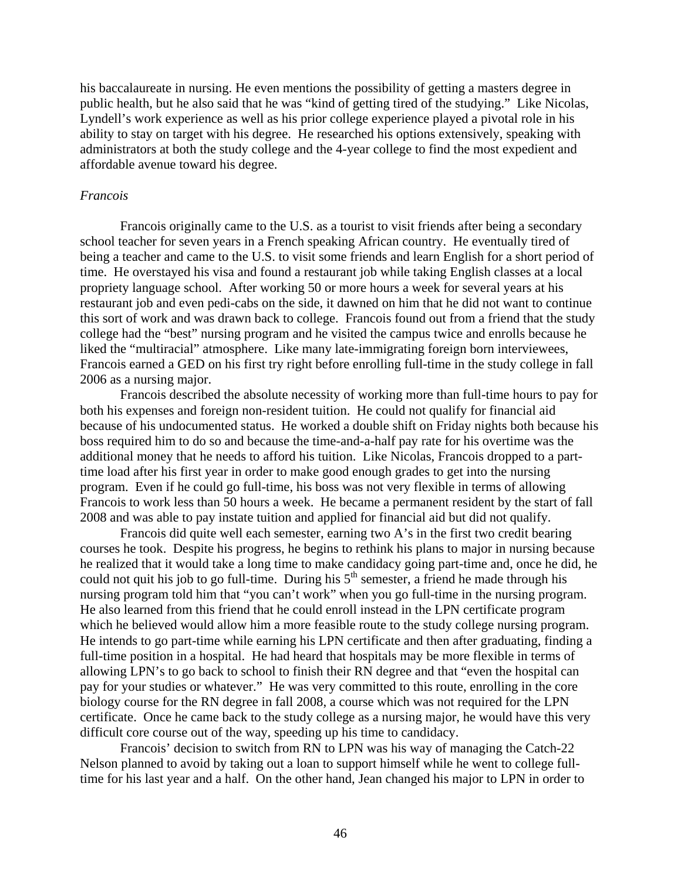his baccalaureate in nursing. He even mentions the possibility of getting a masters degree in public health, but he also said that he was "kind of getting tired of the studying." Like Nicolas, Lyndell's work experience as well as his prior college experience played a pivotal role in his ability to stay on target with his degree. He researched his options extensively, speaking with administrators at both the study college and the 4-year college to find the most expedient and affordable avenue toward his degree.

#### *Francois*

Francois originally came to the U.S. as a tourist to visit friends after being a secondary school teacher for seven years in a French speaking African country. He eventually tired of being a teacher and came to the U.S. to visit some friends and learn English for a short period of time. He overstayed his visa and found a restaurant job while taking English classes at a local propriety language school. After working 50 or more hours a week for several years at his restaurant job and even pedi-cabs on the side, it dawned on him that he did not want to continue this sort of work and was drawn back to college. Francois found out from a friend that the study college had the "best" nursing program and he visited the campus twice and enrolls because he liked the "multiracial" atmosphere. Like many late-immigrating foreign born interviewees, Francois earned a GED on his first try right before enrolling full-time in the study college in fall 2006 as a nursing major.

Francois described the absolute necessity of working more than full-time hours to pay for both his expenses and foreign non-resident tuition. He could not qualify for financial aid because of his undocumented status. He worked a double shift on Friday nights both because his boss required him to do so and because the time-and-a-half pay rate for his overtime was the additional money that he needs to afford his tuition. Like Nicolas, Francois dropped to a parttime load after his first year in order to make good enough grades to get into the nursing program. Even if he could go full-time, his boss was not very flexible in terms of allowing Francois to work less than 50 hours a week. He became a permanent resident by the start of fall 2008 and was able to pay instate tuition and applied for financial aid but did not qualify.

Francois did quite well each semester, earning two A's in the first two credit bearing courses he took. Despite his progress, he begins to rethink his plans to major in nursing because he realized that it would take a long time to make candidacy going part-time and, once he did, he could not quit his job to go full-time. During his  $5<sup>th</sup>$  semester, a friend he made through his nursing program told him that "you can't work" when you go full-time in the nursing program. He also learned from this friend that he could enroll instead in the LPN certificate program which he believed would allow him a more feasible route to the study college nursing program. He intends to go part-time while earning his LPN certificate and then after graduating, finding a full-time position in a hospital. He had heard that hospitals may be more flexible in terms of allowing LPN's to go back to school to finish their RN degree and that "even the hospital can pay for your studies or whatever." He was very committed to this route, enrolling in the core biology course for the RN degree in fall 2008, a course which was not required for the LPN certificate. Once he came back to the study college as a nursing major, he would have this very difficult core course out of the way, speeding up his time to candidacy.

Francois' decision to switch from RN to LPN was his way of managing the Catch-22 Nelson planned to avoid by taking out a loan to support himself while he went to college fulltime for his last year and a half. On the other hand, Jean changed his major to LPN in order to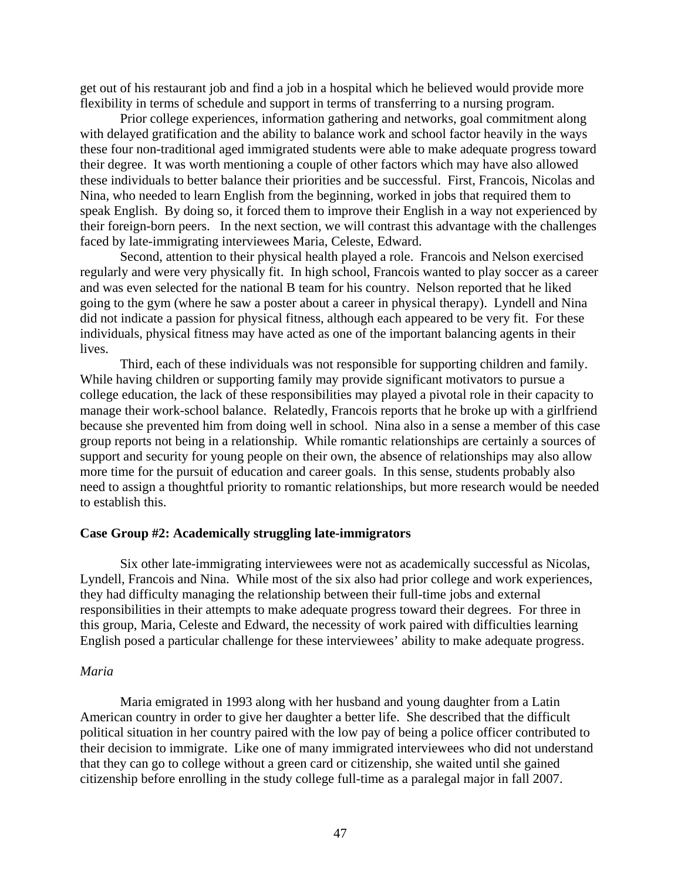get out of his restaurant job and find a job in a hospital which he believed would provide more flexibility in terms of schedule and support in terms of transferring to a nursing program.

Prior college experiences, information gathering and networks, goal commitment along with delayed gratification and the ability to balance work and school factor heavily in the ways these four non-traditional aged immigrated students were able to make adequate progress toward their degree. It was worth mentioning a couple of other factors which may have also allowed these individuals to better balance their priorities and be successful. First, Francois, Nicolas and Nina, who needed to learn English from the beginning, worked in jobs that required them to speak English. By doing so, it forced them to improve their English in a way not experienced by their foreign-born peers. In the next section, we will contrast this advantage with the challenges faced by late-immigrating interviewees Maria, Celeste, Edward.

Second, attention to their physical health played a role. Francois and Nelson exercised regularly and were very physically fit. In high school, Francois wanted to play soccer as a career and was even selected for the national B team for his country. Nelson reported that he liked going to the gym (where he saw a poster about a career in physical therapy). Lyndell and Nina did not indicate a passion for physical fitness, although each appeared to be very fit. For these individuals, physical fitness may have acted as one of the important balancing agents in their lives.

Third, each of these individuals was not responsible for supporting children and family. While having children or supporting family may provide significant motivators to pursue a college education, the lack of these responsibilities may played a pivotal role in their capacity to manage their work-school balance. Relatedly, Francois reports that he broke up with a girlfriend because she prevented him from doing well in school. Nina also in a sense a member of this case group reports not being in a relationship. While romantic relationships are certainly a sources of support and security for young people on their own, the absence of relationships may also allow more time for the pursuit of education and career goals. In this sense, students probably also need to assign a thoughtful priority to romantic relationships, but more research would be needed to establish this.

#### **Case Group #2: Academically struggling late-immigrators**

Six other late-immigrating interviewees were not as academically successful as Nicolas, Lyndell, Francois and Nina. While most of the six also had prior college and work experiences, they had difficulty managing the relationship between their full-time jobs and external responsibilities in their attempts to make adequate progress toward their degrees. For three in this group, Maria, Celeste and Edward, the necessity of work paired with difficulties learning English posed a particular challenge for these interviewees' ability to make adequate progress.

#### *Maria*

Maria emigrated in 1993 along with her husband and young daughter from a Latin American country in order to give her daughter a better life. She described that the difficult political situation in her country paired with the low pay of being a police officer contributed to their decision to immigrate. Like one of many immigrated interviewees who did not understand that they can go to college without a green card or citizenship, she waited until she gained citizenship before enrolling in the study college full-time as a paralegal major in fall 2007.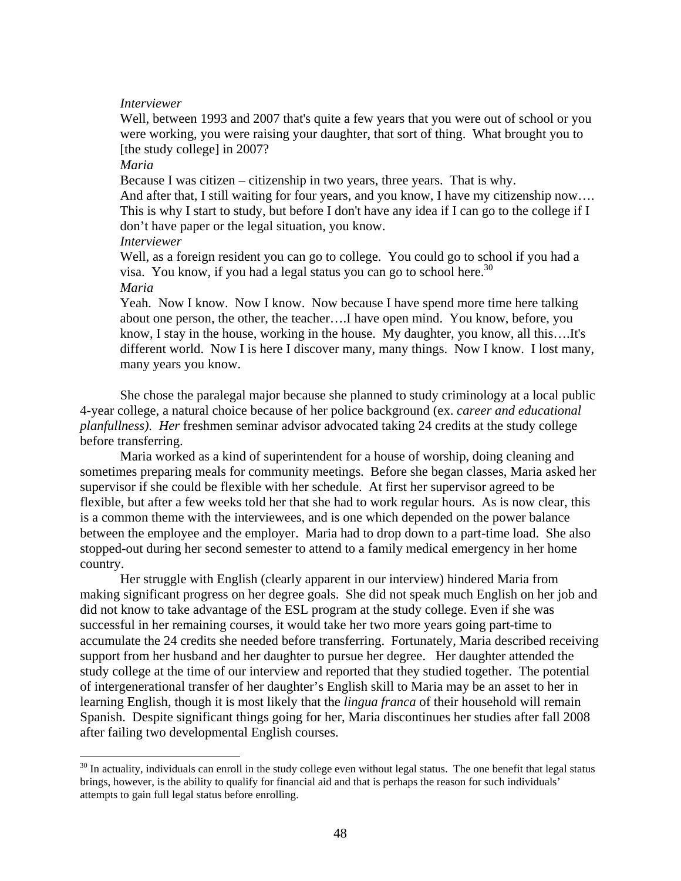#### *Interviewer*

Well, between 1993 and 2007 that's quite a few years that you were out of school or you were working, you were raising your daughter, that sort of thing. What brought you to [the study college] in 2007?

#### *Maria*

 $\overline{a}$ 

Because I was citizen – citizenship in two years, three years. That is why.

And after that, I still waiting for four years, and you know, I have my citizenship now.... This is why I start to study, but before I don't have any idea if I can go to the college if I don't have paper or the legal situation, you know.

## *Interviewer*

Well, as a foreign resident you can go to college. You could go to school if you had a visa. You know, if you had a legal status you can go to school here.<sup>30</sup> *Maria* 

Yeah. Now I know. Now I know. Now because I have spend more time here talking about one person, the other, the teacher….I have open mind. You know, before, you know, I stay in the house, working in the house. My daughter, you know, all this….It's different world. Now I is here I discover many, many things. Now I know. I lost many, many years you know.

She chose the paralegal major because she planned to study criminology at a local public 4-year college, a natural choice because of her police background (ex. *career and educational planfullness). Her* freshmen seminar advisor advocated taking 24 credits at the study college before transferring.

Maria worked as a kind of superintendent for a house of worship, doing cleaning and sometimes preparing meals for community meetings. Before she began classes, Maria asked her supervisor if she could be flexible with her schedule. At first her supervisor agreed to be flexible, but after a few weeks told her that she had to work regular hours. As is now clear, this is a common theme with the interviewees, and is one which depended on the power balance between the employee and the employer. Maria had to drop down to a part-time load. She also stopped-out during her second semester to attend to a family medical emergency in her home country.

Her struggle with English (clearly apparent in our interview) hindered Maria from making significant progress on her degree goals. She did not speak much English on her job and did not know to take advantage of the ESL program at the study college. Even if she was successful in her remaining courses, it would take her two more years going part-time to accumulate the 24 credits she needed before transferring. Fortunately, Maria described receiving support from her husband and her daughter to pursue her degree. Her daughter attended the study college at the time of our interview and reported that they studied together. The potential of intergenerational transfer of her daughter's English skill to Maria may be an asset to her in learning English, though it is most likely that the *lingua franca* of their household will remain Spanish. Despite significant things going for her, Maria discontinues her studies after fall 2008 after failing two developmental English courses.

 $30$  In actuality, individuals can enroll in the study college even without legal status. The one benefit that legal status brings, however, is the ability to qualify for financial aid and that is perhaps the reason for such individuals' attempts to gain full legal status before enrolling.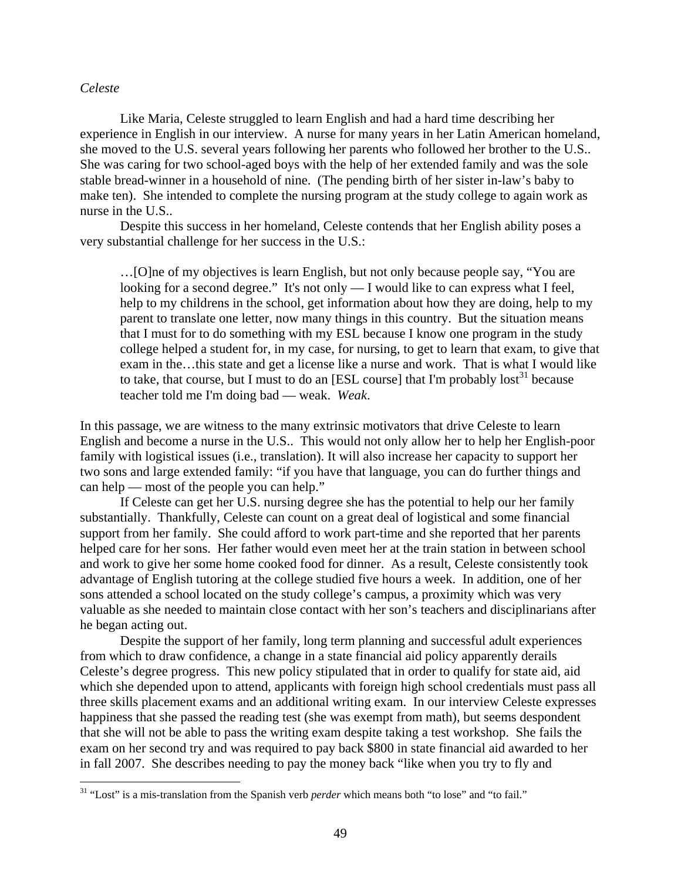#### *Celeste*

 $\overline{a}$ 

Like Maria, Celeste struggled to learn English and had a hard time describing her experience in English in our interview. A nurse for many years in her Latin American homeland, she moved to the U.S. several years following her parents who followed her brother to the U.S.. She was caring for two school-aged boys with the help of her extended family and was the sole stable bread-winner in a household of nine. (The pending birth of her sister in-law's baby to make ten). She intended to complete the nursing program at the study college to again work as nurse in the U.S..

Despite this success in her homeland, Celeste contends that her English ability poses a very substantial challenge for her success in the U.S.:

…[O]ne of my objectives is learn English, but not only because people say, "You are looking for a second degree." It's not only  $- I$  would like to can express what I feel, help to my childrens in the school, get information about how they are doing, help to my parent to translate one letter, now many things in this country. But the situation means that I must for to do something with my ESL because I know one program in the study college helped a student for, in my case, for nursing, to get to learn that exam, to give that exam in the…this state and get a license like a nurse and work. That is what I would like to take, that course, but I must to do an [ESL course] that I'm probably  $\text{lost}^{31}$  because teacher told me I'm doing bad — weak. *Weak*.

In this passage, we are witness to the many extrinsic motivators that drive Celeste to learn English and become a nurse in the U.S.. This would not only allow her to help her English-poor family with logistical issues (i.e., translation). It will also increase her capacity to support her two sons and large extended family: "if you have that language, you can do further things and can help — most of the people you can help."

If Celeste can get her U.S. nursing degree she has the potential to help our her family substantially. Thankfully, Celeste can count on a great deal of logistical and some financial support from her family. She could afford to work part-time and she reported that her parents helped care for her sons. Her father would even meet her at the train station in between school and work to give her some home cooked food for dinner. As a result, Celeste consistently took advantage of English tutoring at the college studied five hours a week. In addition, one of her sons attended a school located on the study college's campus, a proximity which was very valuable as she needed to maintain close contact with her son's teachers and disciplinarians after he began acting out.

Despite the support of her family, long term planning and successful adult experiences from which to draw confidence, a change in a state financial aid policy apparently derails Celeste's degree progress. This new policy stipulated that in order to qualify for state aid, aid which she depended upon to attend, applicants with foreign high school credentials must pass all three skills placement exams and an additional writing exam. In our interview Celeste expresses happiness that she passed the reading test (she was exempt from math), but seems despondent that she will not be able to pass the writing exam despite taking a test workshop. She fails the exam on her second try and was required to pay back \$800 in state financial aid awarded to her in fall 2007. She describes needing to pay the money back "like when you try to fly and

<sup>31 &</sup>quot;Lost" is a mis-translation from the Spanish verb *perder* which means both "to lose" and "to fail."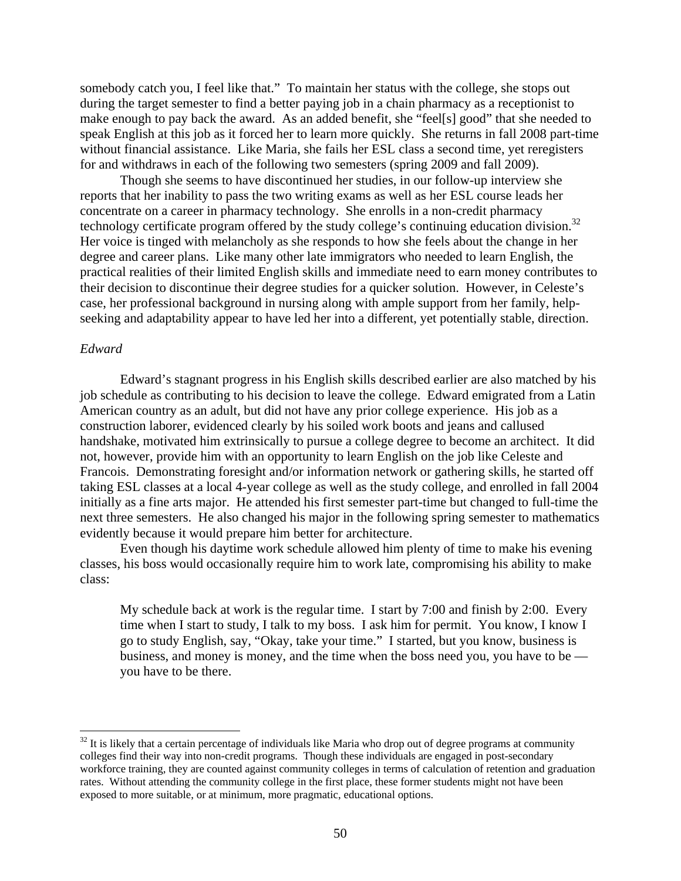somebody catch you, I feel like that." To maintain her status with the college, she stops out during the target semester to find a better paying job in a chain pharmacy as a receptionist to make enough to pay back the award. As an added benefit, she "feel[s] good" that she needed to speak English at this job as it forced her to learn more quickly. She returns in fall 2008 part-time without financial assistance. Like Maria, she fails her ESL class a second time, yet reregisters for and withdraws in each of the following two semesters (spring 2009 and fall 2009).

technology certificate program offered by the study college's continuing education division.<sup>32</sup> Though she seems to have discontinued her studies, in our follow-up interview she reports that her inability to pass the two writing exams as well as her ESL course leads her concentrate on a career in pharmacy technology. She enrolls in a non-credit pharmacy Her voice is tinged with melancholy as she responds to how she feels about the change in her degree and career plans. Like many other late immigrators who needed to learn English, the practical realities of their limited English skills and immediate need to earn money contributes to their decision to discontinue their degree studies for a quicker solution. However, in Celeste's case, her professional background in nursing along with ample support from her family, helpseeking and adaptability appear to have led her into a different, yet potentially stable, direction.

#### *Edward*

1

Edward's stagnant progress in his English skills described earlier are also matched by his job schedule as contributing to his decision to leave the college. Edward emigrated from a Latin American country as an adult, but did not have any prior college experience. His job as a construction laborer, evidenced clearly by his soiled work boots and jeans and callused handshake, motivated him extrinsically to pursue a college degree to become an architect. It did not, however, provide him with an opportunity to learn English on the job like Celeste and Francois. Demonstrating foresight and/or information network or gathering skills, he started off taking ESL classes at a local 4-year college as well as the study college, and enrolled in fall 2004 initially as a fine arts major. He attended his first semester part-time but changed to full-time the next three semesters. He also changed his major in the following spring semester to mathematics evidently because it would prepare him better for architecture.

Even though his daytime work schedule allowed him plenty of time to make his evening classes, his boss would occasionally require him to work late, compromising his ability to make class:

My schedule back at work is the regular time. I start by 7:00 and finish by 2:00. Every time when I start to study, I talk to my boss. I ask him for permit. You know, I know I go to study English, say, "Okay, take your time." I started, but you know, business is business, and money is money, and the time when the boss need you, you have to be you have to be there.

 colleges find their way into non-credit programs. Though these individuals are engaged in post-secondary exposed to more suitable, or at minimum, more pragmatic, educational options.  $32$  It is likely that a certain percentage of individuals like Maria who drop out of degree programs at community workforce training, they are counted against community colleges in terms of calculation of retention and graduation rates. Without attending the community college in the first place, these former students might not have been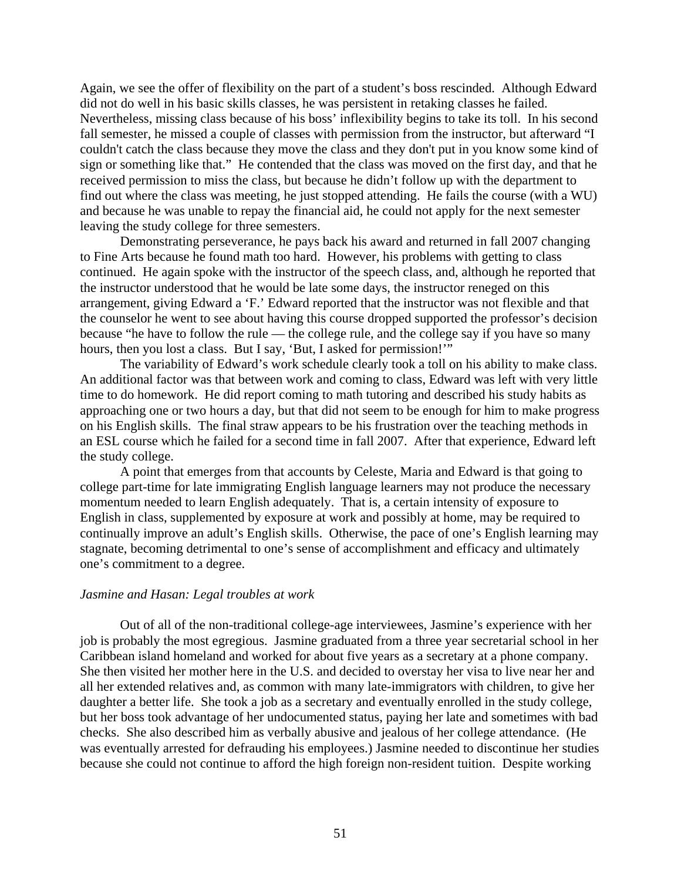Again, we see the offer of flexibility on the part of a student's boss rescinded. Although Edward did not do well in his basic skills classes, he was persistent in retaking classes he failed. Nevertheless, missing class because of his boss' inflexibility begins to take its toll. In his second fall semester, he missed a couple of classes with permission from the instructor, but afterward "I couldn't catch the class because they move the class and they don't put in you know some kind of sign or something like that." He contended that the class was moved on the first day, and that he received permission to miss the class, but because he didn't follow up with the department to find out where the class was meeting, he just stopped attending. He fails the course (with a WU) and because he was unable to repay the financial aid, he could not apply for the next semester leaving the study college for three semesters.

Demonstrating perseverance, he pays back his award and returned in fall 2007 changing to Fine Arts because he found math too hard. However, his problems with getting to class continued. He again spoke with the instructor of the speech class, and, although he reported that the instructor understood that he would be late some days, the instructor reneged on this arrangement, giving Edward a 'F.' Edward reported that the instructor was not flexible and that the counselor he went to see about having this course dropped supported the professor's decision because "he have to follow the rule — the college rule, and the college say if you have so many hours, then you lost a class. But I say, 'But, I asked for permission!'"

The variability of Edward's work schedule clearly took a toll on his ability to make class. An additional factor was that between work and coming to class, Edward was left with very little time to do homework. He did report coming to math tutoring and described his study habits as approaching one or two hours a day, but that did not seem to be enough for him to make progress on his English skills. The final straw appears to be his frustration over the teaching methods in an ESL course which he failed for a second time in fall 2007. After that experience, Edward left the study college.

A point that emerges from that accounts by Celeste, Maria and Edward is that going to college part-time for late immigrating English language learners may not produce the necessary momentum needed to learn English adequately. That is, a certain intensity of exposure to English in class, supplemented by exposure at work and possibly at home, may be required to continually improve an adult's English skills. Otherwise, the pace of one's English learning may stagnate, becoming detrimental to one's sense of accomplishment and efficacy and ultimately one's commitment to a degree.

#### *Jasmine and Hasan: Legal troubles at work*

Out of all of the non-traditional college-age interviewees, Jasmine's experience with her job is probably the most egregious. Jasmine graduated from a three year secretarial school in her Caribbean island homeland and worked for about five years as a secretary at a phone company. She then visited her mother here in the U.S. and decided to overstay her visa to live near her and all her extended relatives and, as common with many late-immigrators with children, to give her daughter a better life. She took a job as a secretary and eventually enrolled in the study college, but her boss took advantage of her undocumented status, paying her late and sometimes with bad checks. She also described him as verbally abusive and jealous of her college attendance. (He was eventually arrested for defrauding his employees.) Jasmine needed to discontinue her studies because she could not continue to afford the high foreign non-resident tuition. Despite working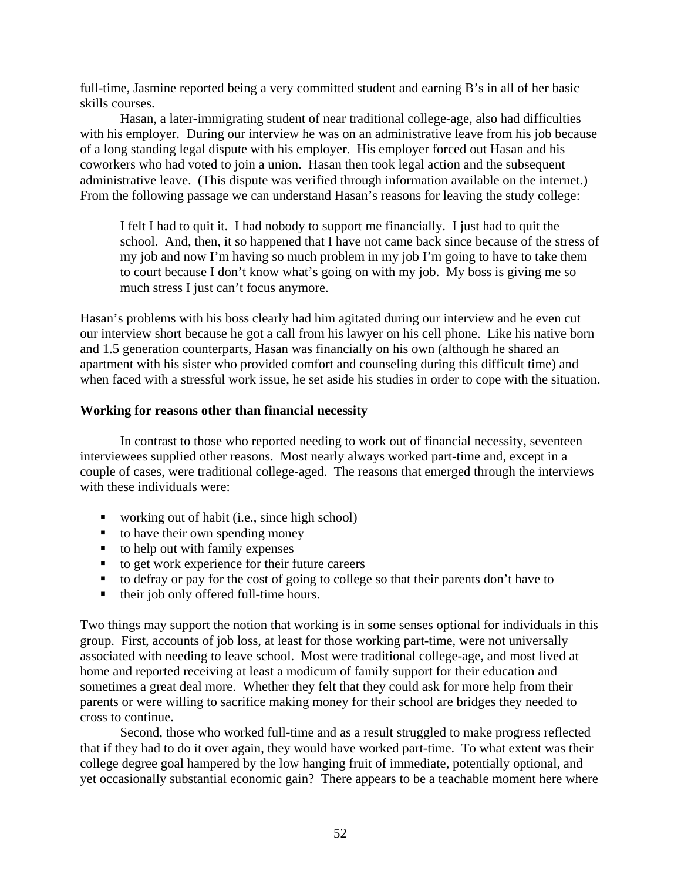full-time, Jasmine reported being a very committed student and earning B's in all of her basic skills courses.

Hasan, a later-immigrating student of near traditional college-age, also had difficulties with his employer. During our interview he was on an administrative leave from his job because of a long standing legal dispute with his employer. His employer forced out Hasan and his coworkers who had voted to join a union. Hasan then took legal action and the subsequent administrative leave. (This dispute was verified through information available on the internet.) From the following passage we can understand Hasan's reasons for leaving the study college:

I felt I had to quit it. I had nobody to support me financially. I just had to quit the school. And, then, it so happened that I have not came back since because of the stress of my job and now I'm having so much problem in my job I'm going to have to take them to court because I don't know what's going on with my job. My boss is giving me so much stress I just can't focus anymore.

Hasan's problems with his boss clearly had him agitated during our interview and he even cut our interview short because he got a call from his lawyer on his cell phone. Like his native born and 1.5 generation counterparts, Hasan was financially on his own (although he shared an apartment with his sister who provided comfort and counseling during this difficult time) and when faced with a stressful work issue, he set aside his studies in order to cope with the situation.

## **Working for reasons other than financial necessity**

In contrast to those who reported needing to work out of financial necessity, seventeen interviewees supplied other reasons. Most nearly always worked part-time and, except in a couple of cases, were traditional college-aged. The reasons that emerged through the interviews with these individuals were:

- working out of habit (i.e., since high school)
- $\blacksquare$  to have their own spending money
- $\bullet$  to help out with family expenses
- $\bullet$  to get work experience for their future careers
- $\bullet$  to defray or pay for the cost of going to college so that their parents don't have to
- their job only offered full-time hours.

Two things may support the notion that working is in some senses optional for individuals in this group. First, accounts of job loss, at least for those working part-time, were not universally associated with needing to leave school. Most were traditional college-age, and most lived at home and reported receiving at least a modicum of family support for their education and sometimes a great deal more. Whether they felt that they could ask for more help from their parents or were willing to sacrifice making money for their school are bridges they needed to cross to continue.

Second, those who worked full-time and as a result struggled to make progress reflected that if they had to do it over again, they would have worked part-time. To what extent was their college degree goal hampered by the low hanging fruit of immediate, potentially optional, and yet occasionally substantial economic gain? There appears to be a teachable moment here where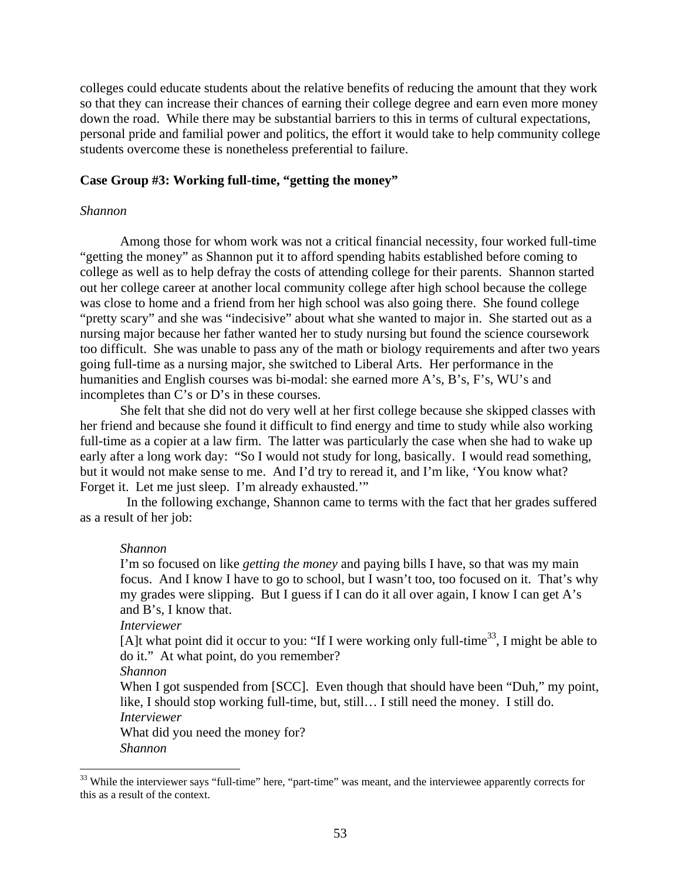colleges could educate students about the relative benefits of reducing the amount that they work so that they can increase their chances of earning their college degree and earn even more money down the road. While there may be substantial barriers to this in terms of cultural expectations, personal pride and familial power and politics, the effort it would take to help community college students overcome these is nonetheless preferential to failure.

#### **Case Group #3: Working full-time, "getting the money"**

#### *Shannon*

Among those for whom work was not a critical financial necessity, four worked full-time "getting the money" as Shannon put it to afford spending habits established before coming to college as well as to help defray the costs of attending college for their parents. Shannon started out her college career at another local community college after high school because the college was close to home and a friend from her high school was also going there. She found college "pretty scary" and she was "indecisive" about what she wanted to major in. She started out as a nursing major because her father wanted her to study nursing but found the science coursework too difficult. She was unable to pass any of the math or biology requirements and after two years going full-time as a nursing major, she switched to Liberal Arts. Her performance in the humanities and English courses was bi-modal: she earned more A's, B's, F's, WU's and incompletes than C's or D's in these courses.

 but it would not make sense to me. And I'd try to reread it, and I'm like, 'You know what? Forget it. Let me just sleep. I'm already exhausted.'" She felt that she did not do very well at her first college because she skipped classes with her friend and because she found it difficult to find energy and time to study while also working full-time as a copier at a law firm. The latter was particularly the case when she had to wake up early after a long work day: "So I would not study for long, basically. I would read something,

 In the following exchange, Shannon came to terms with the fact that her grades suffered as a result of her job:

#### *Shannon*

I'm so focused on like *getting the money* and paying bills I have, so that was my main focus. And I know I have to go to school, but I wasn't too, too focused on it. That's why my grades were slipping. But I guess if I can do it all over again, I know I can get A's and B's, I know that.

## *Interviewer*

[A]t what point did it occur to you: "If I were working only full-time<sup>33</sup>, I might be able to do it." At what point, do you remember?

*Shannon* 

When I got suspended from [SCC]. Even though that should have been "Duh," my point, like, I should stop working full-time, but, still… I still need the money. I still do.

*Interviewer* 

What did you need the money for?

*Shannon* 

 $\overline{a}$ 

<sup>&</sup>lt;sup>33</sup> While the interviewer says "full-time" here, "part-time" was meant, and the interviewee apparently corrects for this as a result of the context.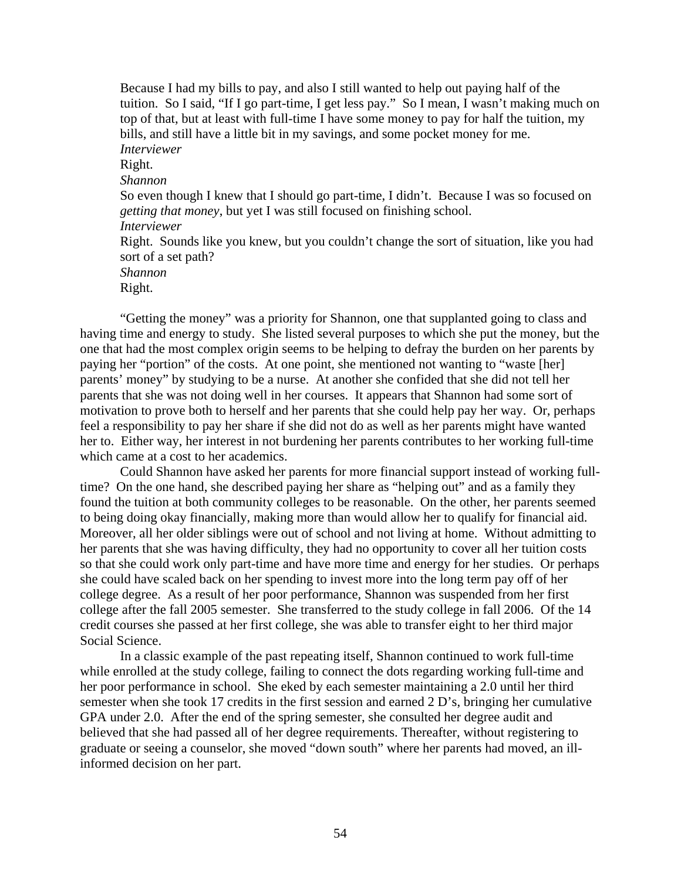Because I had my bills to pay, and also I still wanted to help out paying half of the tuition. So I said, "If I go part-time, I get less pay." So I mean, I wasn't making much on top of that, but at least with full-time I have some money to pay for half the tuition, my bills, and still have a little bit in my savings, and some pocket money for me. *Interviewer*  Right. *Shannon*  So even though I knew that I should go part-time, I didn't. Because I was so focused on *getting that money*, but yet I was still focused on finishing school. *Interviewer*  Right. Sounds like you knew, but you couldn't change the sort of situation, like you had sort of a set path? *Shannon*  Right.

"Getting the money" was a priority for Shannon, one that supplanted going to class and having time and energy to study. She listed several purposes to which she put the money, but the one that had the most complex origin seems to be helping to defray the burden on her parents by paying her "portion" of the costs. At one point, she mentioned not wanting to "waste [her] parents' money" by studying to be a nurse. At another she confided that she did not tell her parents that she was not doing well in her courses. It appears that Shannon had some sort of motivation to prove both to herself and her parents that she could help pay her way. Or, perhaps feel a responsibility to pay her share if she did not do as well as her parents might have wanted her to. Either way, her interest in not burdening her parents contributes to her working full-time which came at a cost to her academics.

Could Shannon have asked her parents for more financial support instead of working fulltime? On the one hand, she described paying her share as "helping out" and as a family they found the tuition at both community colleges to be reasonable. On the other, her parents seemed to being doing okay financially, making more than would allow her to qualify for financial aid. Moreover, all her older siblings were out of school and not living at home. Without admitting to her parents that she was having difficulty, they had no opportunity to cover all her tuition costs so that she could work only part-time and have more time and energy for her studies. Or perhaps she could have scaled back on her spending to invest more into the long term pay off of her college degree. As a result of her poor performance, Shannon was suspended from her first college after the fall 2005 semester. She transferred to the study college in fall 2006. Of the 14 credit courses she passed at her first college, she was able to transfer eight to her third major Social Science.

In a classic example of the past repeating itself, Shannon continued to work full-time while enrolled at the study college, failing to connect the dots regarding working full-time and her poor performance in school. She eked by each semester maintaining a 2.0 until her third semester when she took 17 credits in the first session and earned 2 D's, bringing her cumulative GPA under 2.0. After the end of the spring semester, she consulted her degree audit and believed that she had passed all of her degree requirements. Thereafter, without registering to graduate or seeing a counselor, she moved "down south" where her parents had moved, an illinformed decision on her part.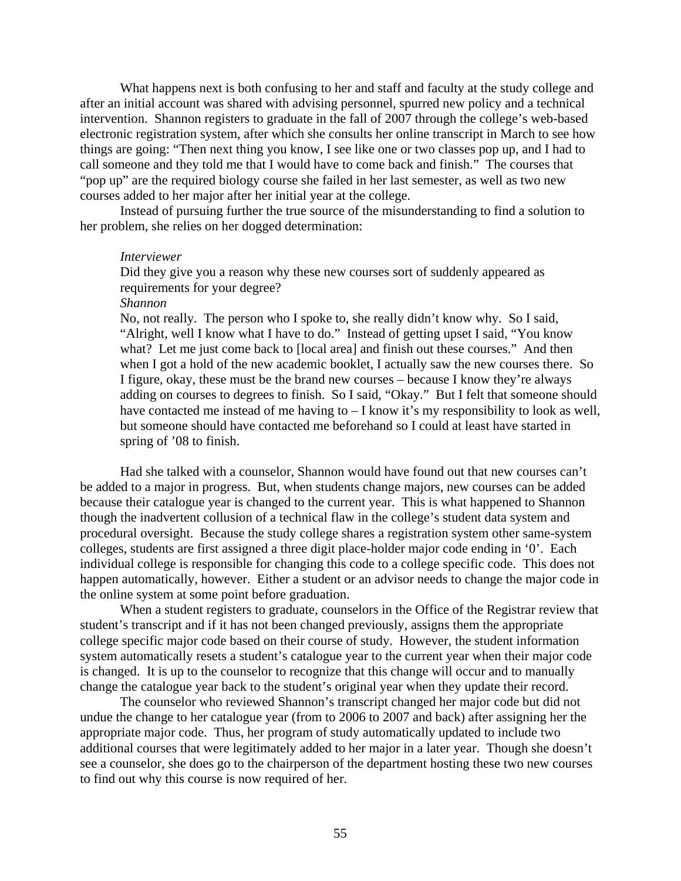What happens next is both confusing to her and staff and faculty at the study college and after an initial account was shared with advising personnel, spurred new policy and a technical intervention. Shannon registers to graduate in the fall of 2007 through the college's web-based electronic registration system, after which she consults her online transcript in March to see how things are going: "Then next thing you know, I see like one or two classes pop up, and I had to call someone and they told me that I would have to come back and finish." The courses that "pop up" are the required biology course she failed in her last semester, as well as two new courses added to her major after her initial year at the college.

Instead of pursuing further the true source of the misunderstanding to find a solution to her problem, she relies on her dogged determination:

#### *Interviewer*

Did they give you a reason why these new courses sort of suddenly appeared as requirements for your degree?

*Shannon* 

No, not really. The person who I spoke to, she really didn't know why. So I said, "Alright, well I know what I have to do." Instead of getting upset I said, "You know what? Let me just come back to [local area] and finish out these courses." And then when I got a hold of the new academic booklet, I actually saw the new courses there. So I figure, okay, these must be the brand new courses – because I know they're always adding on courses to degrees to finish. So I said, "Okay." But I felt that someone should have contacted me instead of me having to  $-$  I know it's my responsibility to look as well, but someone should have contacted me beforehand so I could at least have started in spring of '08 to finish.

Had she talked with a counselor, Shannon would have found out that new courses can't be added to a major in progress. But, when students change majors, new courses can be added because their catalogue year is changed to the current year. This is what happened to Shannon though the inadvertent collusion of a technical flaw in the college's student data system and procedural oversight. Because the study college shares a registration system other same-system colleges, students are first assigned a three digit place-holder major code ending in '0'. Each individual college is responsible for changing this code to a college specific code. This does not happen automatically, however. Either a student or an advisor needs to change the major code in the online system at some point before graduation.

When a student registers to graduate, counselors in the Office of the Registrar review that student's transcript and if it has not been changed previously, assigns them the appropriate college specific major code based on their course of study. However, the student information system automatically resets a student's catalogue year to the current year when their major code is changed. It is up to the counselor to recognize that this change will occur and to manually change the catalogue year back to the student's original year when they update their record.

The counselor who reviewed Shannon's transcript changed her major code but did not undue the change to her catalogue year (from to 2006 to 2007 and back) after assigning her the appropriate major code. Thus, her program of study automatically updated to include two additional courses that were legitimately added to her major in a later year. Though she doesn't see a counselor, she does go to the chairperson of the department hosting these two new courses to find out why this course is now required of her.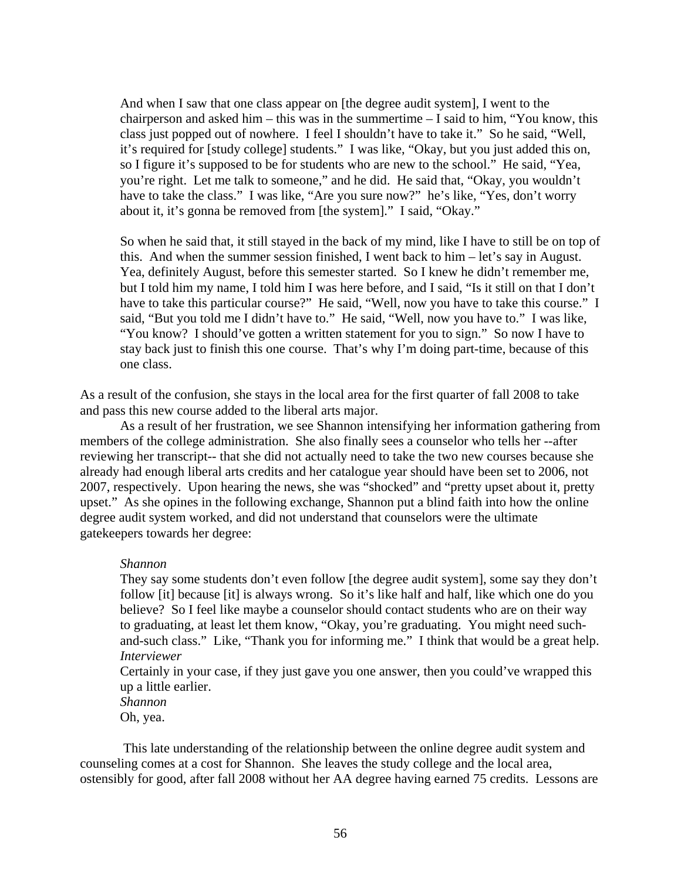And when I saw that one class appear on [the degree audit system], I went to the chairperson and asked him – this was in the summertime – I said to him, "You know, this class just popped out of nowhere. I feel I shouldn't have to take it." So he said, "Well, it's required for [study college] students." I was like, "Okay, but you just added this on, so I figure it's supposed to be for students who are new to the school." He said, "Yea, you're right. Let me talk to someone," and he did. He said that, "Okay, you wouldn't have to take the class." I was like, "Are you sure now?" he's like, "Yes, don't worry about it, it's gonna be removed from [the system]." I said, "Okay."

So when he said that, it still stayed in the back of my mind, like I have to still be on top of this. And when the summer session finished, I went back to him – let's say in August. Yea, definitely August, before this semester started. So I knew he didn't remember me, but I told him my name, I told him I was here before, and I said, "Is it still on that I don't have to take this particular course?" He said, "Well, now you have to take this course." I said, "But you told me I didn't have to." He said, "Well, now you have to." I was like, "You know? I should've gotten a written statement for you to sign." So now I have to stay back just to finish this one course. That's why I'm doing part-time, because of this one class.

As a result of the confusion, she stays in the local area for the first quarter of fall 2008 to take and pass this new course added to the liberal arts major.

As a result of her frustration, we see Shannon intensifying her information gathering from members of the college administration. She also finally sees a counselor who tells her --after reviewing her transcript-- that she did not actually need to take the two new courses because she already had enough liberal arts credits and her catalogue year should have been set to 2006, not 2007, respectively. Upon hearing the news, she was "shocked" and "pretty upset about it, pretty upset." As she opines in the following exchange, Shannon put a blind faith into how the online degree audit system worked, and did not understand that counselors were the ultimate gatekeepers towards her degree:

#### *Shannon*

They say some students don't even follow [the degree audit system], some say they don't follow [it] because [it] is always wrong. So it's like half and half, like which one do you believe? So I feel like maybe a counselor should contact students who are on their way to graduating, at least let them know, "Okay, you're graduating. You might need suchand-such class." Like, "Thank you for informing me." I think that would be a great help. *Interviewer* 

Certainly in your case, if they just gave you one answer, then you could've wrapped this up a little earlier.

*Shannon*  Oh, yea.

 This late understanding of the relationship between the online degree audit system and counseling comes at a cost for Shannon. She leaves the study college and the local area, ostensibly for good, after fall 2008 without her AA degree having earned 75 credits. Lessons are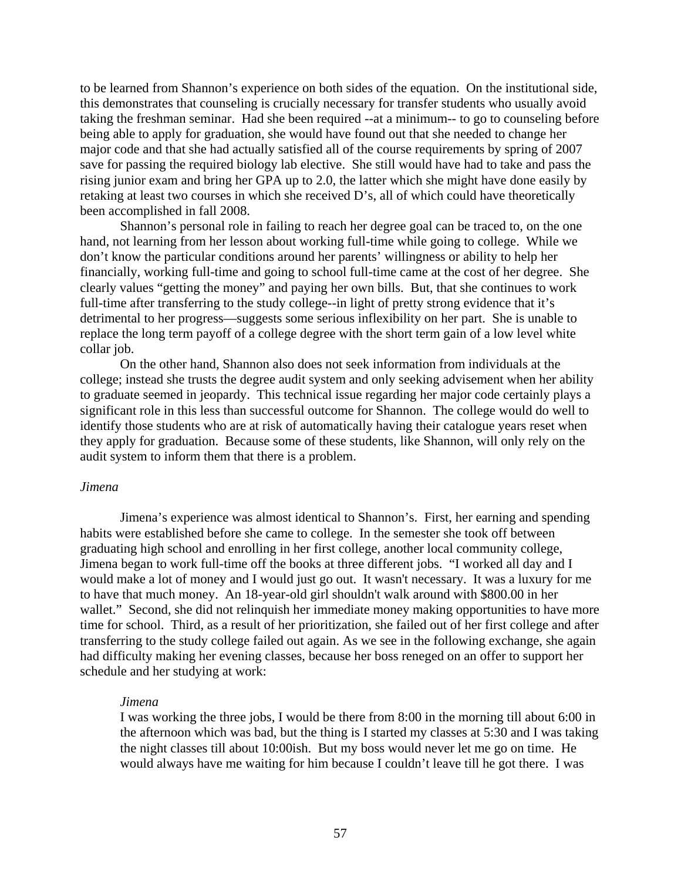to be learned from Shannon's experience on both sides of the equation. On the institutional side, this demonstrates that counseling is crucially necessary for transfer students who usually avoid taking the freshman seminar. Had she been required --at a minimum-- to go to counseling before being able to apply for graduation, she would have found out that she needed to change her major code and that she had actually satisfied all of the course requirements by spring of 2007 save for passing the required biology lab elective. She still would have had to take and pass the rising junior exam and bring her GPA up to 2.0, the latter which she might have done easily by retaking at least two courses in which she received D's, all of which could have theoretically been accomplished in fall 2008.

Shannon's personal role in failing to reach her degree goal can be traced to, on the one hand, not learning from her lesson about working full-time while going to college. While we don't know the particular conditions around her parents' willingness or ability to help her financially, working full-time and going to school full-time came at the cost of her degree. She clearly values "getting the money" and paying her own bills. But, that she continues to work full-time after transferring to the study college--in light of pretty strong evidence that it's detrimental to her progress—suggests some serious inflexibility on her part. She is unable to replace the long term payoff of a college degree with the short term gain of a low level white collar job.

On the other hand, Shannon also does not seek information from individuals at the college; instead she trusts the degree audit system and only seeking advisement when her ability to graduate seemed in jeopardy. This technical issue regarding her major code certainly plays a significant role in this less than successful outcome for Shannon. The college would do well to identify those students who are at risk of automatically having their catalogue years reset when they apply for graduation. Because some of these students, like Shannon, will only rely on the audit system to inform them that there is a problem.

#### *Jimena*

Jimena's experience was almost identical to Shannon's. First, her earning and spending habits were established before she came to college. In the semester she took off between graduating high school and enrolling in her first college, another local community college, Jimena began to work full-time off the books at three different jobs. "I worked all day and I would make a lot of money and I would just go out. It wasn't necessary. It was a luxury for me to have that much money. An 18-year-old girl shouldn't walk around with \$800.00 in her wallet." Second, she did not relinquish her immediate money making opportunities to have more time for school. Third, as a result of her prioritization, she failed out of her first college and after transferring to the study college failed out again. As we see in the following exchange, she again had difficulty making her evening classes, because her boss reneged on an offer to support her schedule and her studying at work:

#### *Jimena*

I was working the three jobs, I would be there from 8:00 in the morning till about 6:00 in the afternoon which was bad, but the thing is I started my classes at 5:30 and I was taking the night classes till about 10:00ish. But my boss would never let me go on time. He would always have me waiting for him because I couldn't leave till he got there. I was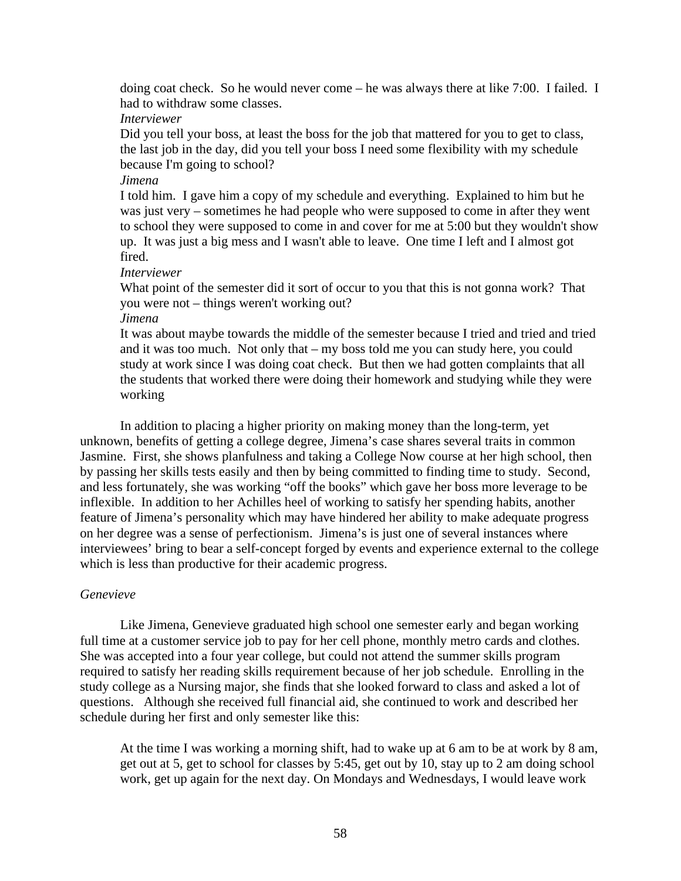doing coat check. So he would never come – he was always there at like 7:00. I failed. I had to withdraw some classes.

*Interviewer* 

Did you tell your boss, at least the boss for the job that mattered for you to get to class, the last job in the day, did you tell your boss I need some flexibility with my schedule because I'm going to school?

*Jimena* 

I told him. I gave him a copy of my schedule and everything. Explained to him but he was just very – sometimes he had people who were supposed to come in after they went to school they were supposed to come in and cover for me at 5:00 but they wouldn't show up. It was just a big mess and I wasn't able to leave. One time I left and I almost got fired.

*Interviewer* 

What point of the semester did it sort of occur to you that this is not gonna work? That you were not – things weren't working out?

*Jimena* 

It was about maybe towards the middle of the semester because I tried and tried and tried and it was too much. Not only that – my boss told me you can study here, you could study at work since I was doing coat check. But then we had gotten complaints that all the students that worked there were doing their homework and studying while they were working

In addition to placing a higher priority on making money than the long-term, yet unknown, benefits of getting a college degree, Jimena's case shares several traits in common Jasmine. First, she shows planfulness and taking a College Now course at her high school, then by passing her skills tests easily and then by being committed to finding time to study. Second, and less fortunately, she was working "off the books" which gave her boss more leverage to be inflexible. In addition to her Achilles heel of working to satisfy her spending habits, another feature of Jimena's personality which may have hindered her ability to make adequate progress on her degree was a sense of perfectionism. Jimena's is just one of several instances where interviewees' bring to bear a self-concept forged by events and experience external to the college which is less than productive for their academic progress.

#### *Genevieve*

Like Jimena, Genevieve graduated high school one semester early and began working full time at a customer service job to pay for her cell phone, monthly metro cards and clothes. She was accepted into a four year college, but could not attend the summer skills program required to satisfy her reading skills requirement because of her job schedule. Enrolling in the study college as a Nursing major, she finds that she looked forward to class and asked a lot of questions. Although she received full financial aid, she continued to work and described her schedule during her first and only semester like this:

At the time I was working a morning shift, had to wake up at 6 am to be at work by 8 am, get out at 5, get to school for classes by 5:45, get out by 10, stay up to 2 am doing school work, get up again for the next day. On Mondays and Wednesdays, I would leave work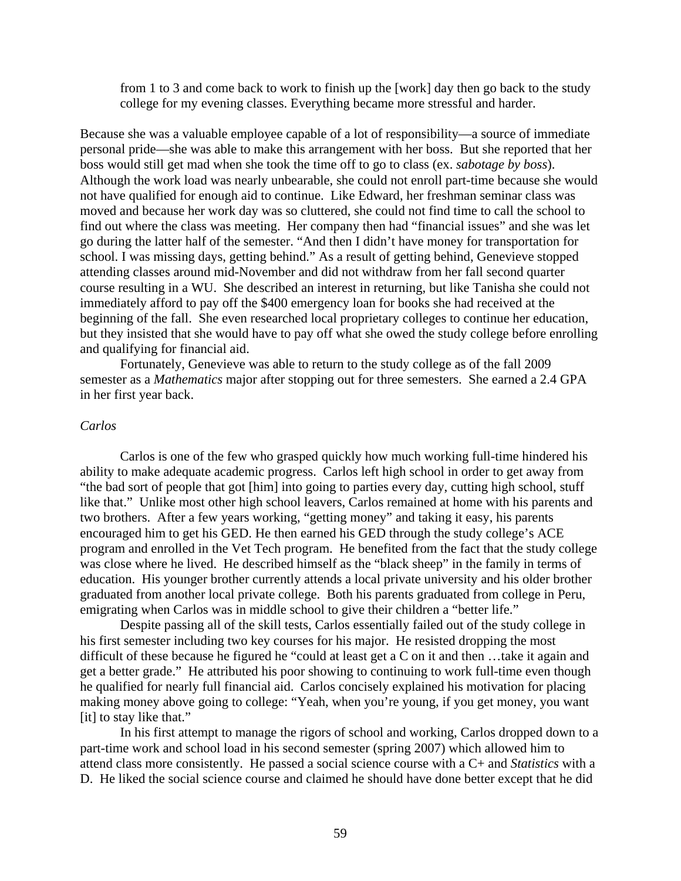from 1 to 3 and come back to work to finish up the [work] day then go back to the study college for my evening classes. Everything became more stressful and harder.

Because she was a valuable employee capable of a lot of responsibility—a source of immediate personal pride—she was able to make this arrangement with her boss. But she reported that her boss would still get mad when she took the time off to go to class (ex. *sabotage by boss*). Although the work load was nearly unbearable, she could not enroll part-time because she would not have qualified for enough aid to continue. Like Edward, her freshman seminar class was moved and because her work day was so cluttered, she could not find time to call the school to find out where the class was meeting. Her company then had "financial issues" and she was let go during the latter half of the semester. "And then I didn't have money for transportation for school. I was missing days, getting behind." As a result of getting behind, Genevieve stopped attending classes around mid-November and did not withdraw from her fall second quarter course resulting in a WU. She described an interest in returning, but like Tanisha she could not immediately afford to pay off the \$400 emergency loan for books she had received at the beginning of the fall. She even researched local proprietary colleges to continue her education, but they insisted that she would have to pay off what she owed the study college before enrolling and qualifying for financial aid.

Fortunately, Genevieve was able to return to the study college as of the fall 2009 semester as a *Mathematics* major after stopping out for three semesters. She earned a 2.4 GPA in her first year back.

#### *Carlos*

Carlos is one of the few who grasped quickly how much working full-time hindered his ability to make adequate academic progress. Carlos left high school in order to get away from "the bad sort of people that got [him] into going to parties every day, cutting high school, stuff like that." Unlike most other high school leavers, Carlos remained at home with his parents and two brothers. After a few years working, "getting money" and taking it easy, his parents encouraged him to get his GED. He then earned his GED through the study college's ACE program and enrolled in the Vet Tech program. He benefited from the fact that the study college was close where he lived. He described himself as the "black sheep" in the family in terms of education. His younger brother currently attends a local private university and his older brother graduated from another local private college. Both his parents graduated from college in Peru, emigrating when Carlos was in middle school to give their children a "better life."

Despite passing all of the skill tests, Carlos essentially failed out of the study college in his first semester including two key courses for his major. He resisted dropping the most difficult of these because he figured he "could at least get a C on it and then …take it again and get a better grade." He attributed his poor showing to continuing to work full-time even though he qualified for nearly full financial aid. Carlos concisely explained his motivation for placing making money above going to college: "Yeah, when you're young, if you get money, you want [it] to stay like that."

In his first attempt to manage the rigors of school and working, Carlos dropped down to a part-time work and school load in his second semester (spring 2007) which allowed him to attend class more consistently. He passed a social science course with a C+ and *Statistics* with a D. He liked the social science course and claimed he should have done better except that he did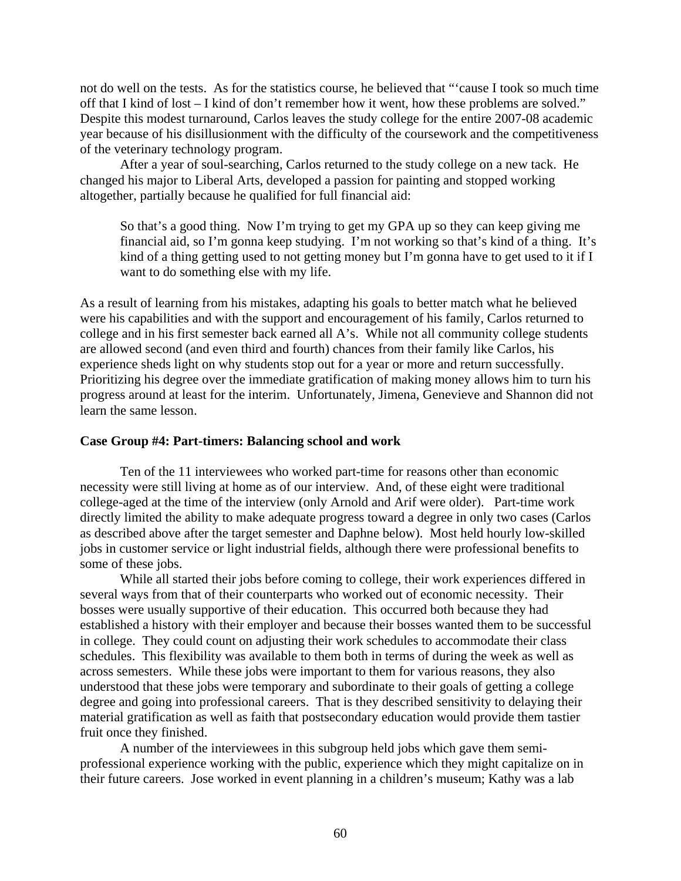not do well on the tests. As for the statistics course, he believed that "'cause I took so much time off that I kind of lost – I kind of don't remember how it went, how these problems are solved." Despite this modest turnaround, Carlos leaves the study college for the entire 2007-08 academic year because of his disillusionment with the difficulty of the coursework and the competitiveness of the veterinary technology program.

After a year of soul-searching, Carlos returned to the study college on a new tack. He changed his major to Liberal Arts, developed a passion for painting and stopped working altogether, partially because he qualified for full financial aid:

So that's a good thing. Now I'm trying to get my GPA up so they can keep giving me financial aid, so I'm gonna keep studying. I'm not working so that's kind of a thing. It's kind of a thing getting used to not getting money but I'm gonna have to get used to it if I want to do something else with my life.

As a result of learning from his mistakes, adapting his goals to better match what he believed were his capabilities and with the support and encouragement of his family, Carlos returned to college and in his first semester back earned all A's. While not all community college students are allowed second (and even third and fourth) chances from their family like Carlos, his experience sheds light on why students stop out for a year or more and return successfully. Prioritizing his degree over the immediate gratification of making money allows him to turn his progress around at least for the interim. Unfortunately, Jimena, Genevieve and Shannon did not learn the same lesson.

#### **Case Group #4: Part-timers: Balancing school and work**

Ten of the 11 interviewees who worked part-time for reasons other than economic necessity were still living at home as of our interview. And, of these eight were traditional college-aged at the time of the interview (only Arnold and Arif were older). Part-time work directly limited the ability to make adequate progress toward a degree in only two cases (Carlos as described above after the target semester and Daphne below). Most held hourly low-skilled jobs in customer service or light industrial fields, although there were professional benefits to some of these jobs.

While all started their jobs before coming to college, their work experiences differed in several ways from that of their counterparts who worked out of economic necessity. Their bosses were usually supportive of their education. This occurred both because they had established a history with their employer and because their bosses wanted them to be successful in college. They could count on adjusting their work schedules to accommodate their class schedules. This flexibility was available to them both in terms of during the week as well as across semesters. While these jobs were important to them for various reasons, they also understood that these jobs were temporary and subordinate to their goals of getting a college degree and going into professional careers. That is they described sensitivity to delaying their material gratification as well as faith that postsecondary education would provide them tastier fruit once they finished.

A number of the interviewees in this subgroup held jobs which gave them semiprofessional experience working with the public, experience which they might capitalize on in their future careers. Jose worked in event planning in a children's museum; Kathy was a lab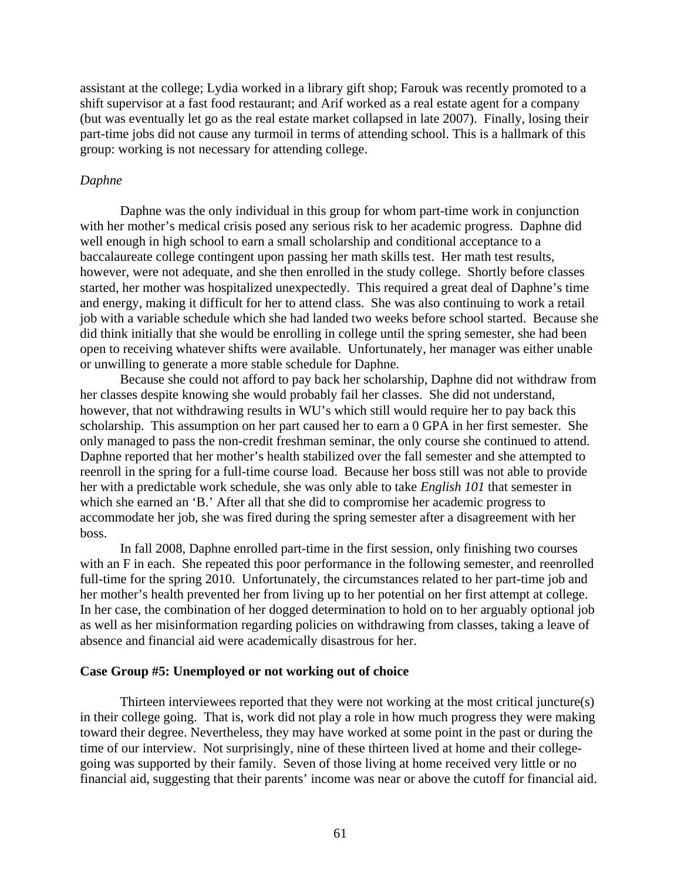assistant at the college; Lydia worked in a library gift shop; Farouk was recently promoted to a shift supervisor at a fast food restaurant; and Arif worked as a real estate agent for a company (but was eventually let go as the real estate market collapsed in late 2007). Finally, losing their part-time jobs did not cause any turmoil in terms of attending school. This is a hallmark of this group: working is not necessary for attending college.

#### *Daphne*

Daphne was the only individual in this group for whom part-time work in conjunction with her mother's medical crisis posed any serious risk to her academic progress. Daphne did well enough in high school to earn a small scholarship and conditional acceptance to a baccalaureate college contingent upon passing her math skills test. Her math test results, however, were not adequate, and she then enrolled in the study college. Shortly before classes started, her mother was hospitalized unexpectedly. This required a great deal of Daphne's time and energy, making it difficult for her to attend class. She was also continuing to work a retail job with a variable schedule which she had landed two weeks before school started. Because she did think initially that she would be enrolling in college until the spring semester, she had been open to receiving whatever shifts were available. Unfortunately, her manager was either unable or unwilling to generate a more stable schedule for Daphne.

Because she could not afford to pay back her scholarship, Daphne did not withdraw from her classes despite knowing she would probably fail her classes. She did not understand, however, that not withdrawing results in WU's which still would require her to pay back this scholarship. This assumption on her part caused her to earn a 0 GPA in her first semester. She only managed to pass the non-credit freshman seminar, the only course she continued to attend. Daphne reported that her mother's health stabilized over the fall semester and she attempted to reenroll in the spring for a full-time course load. Because her boss still was not able to provide her with a predictable work schedule, she was only able to take *English 101* that semester in which she earned an 'B.' After all that she did to compromise her academic progress to accommodate her job, she was fired during the spring semester after a disagreement with her boss.

In fall 2008, Daphne enrolled part-time in the first session, only finishing two courses with an F in each. She repeated this poor performance in the following semester, and reenrolled full-time for the spring 2010. Unfortunately, the circumstances related to her part-time job and her mother's health prevented her from living up to her potential on her first attempt at college. In her case, the combination of her dogged determination to hold on to her arguably optional job as well as her misinformation regarding policies on withdrawing from classes, taking a leave of absence and financial aid were academically disastrous for her.

#### **Case Group #5: Unemployed or not working out of choice**

Thirteen interviewees reported that they were not working at the most critical juncture(s) in their college going. That is, work did not play a role in how much progress they were making toward their degree. Nevertheless, they may have worked at some point in the past or during the time of our interview. Not surprisingly, nine of these thirteen lived at home and their collegegoing was supported by their family. Seven of those living at home received very little or no financial aid, suggesting that their parents' income was near or above the cutoff for financial aid.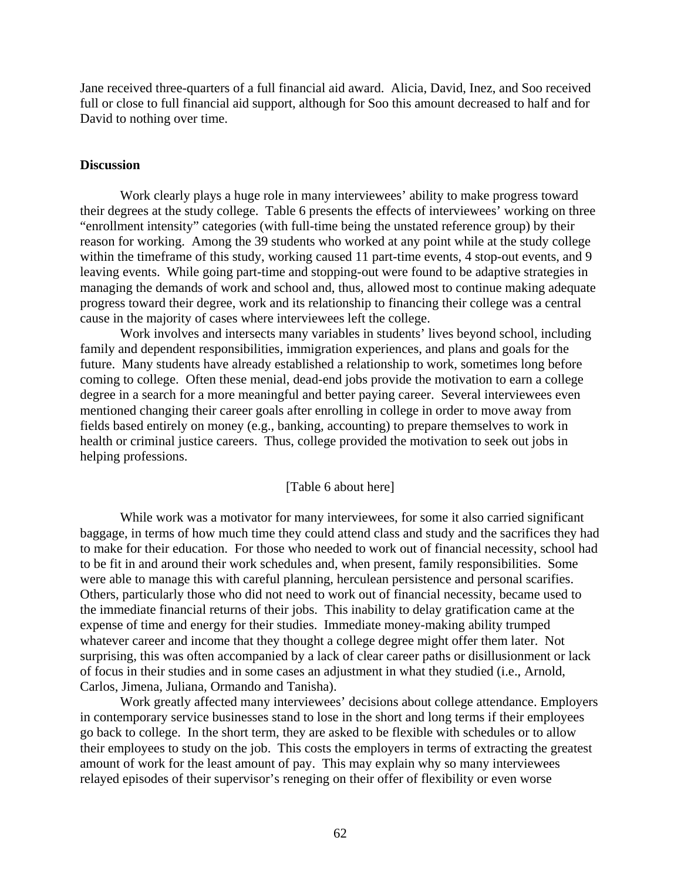Jane received three-quarters of a full financial aid award. Alicia, David, Inez, and Soo received full or close to full financial aid support, although for Soo this amount decreased to half and for David to nothing over time.

#### **Discussion**

Work clearly plays a huge role in many interviewees' ability to make progress toward their degrees at the study college. Table 6 presents the effects of interviewees' working on three "enrollment intensity" categories (with full-time being the unstated reference group) by their reason for working. Among the 39 students who worked at any point while at the study college within the timeframe of this study, working caused 11 part-time events, 4 stop-out events, and 9 leaving events. While going part-time and stopping-out were found to be adaptive strategies in managing the demands of work and school and, thus, allowed most to continue making adequate progress toward their degree, work and its relationship to financing their college was a central cause in the majority of cases where interviewees left the college.

Work involves and intersects many variables in students' lives beyond school, including family and dependent responsibilities, immigration experiences, and plans and goals for the future. Many students have already established a relationship to work, sometimes long before coming to college. Often these menial, dead-end jobs provide the motivation to earn a college degree in a search for a more meaningful and better paying career. Several interviewees even mentioned changing their career goals after enrolling in college in order to move away from fields based entirely on money (e.g., banking, accounting) to prepare themselves to work in health or criminal justice careers. Thus, college provided the motivation to seek out jobs in helping professions.

#### [Table 6 about here]

While work was a motivator for many interviewees, for some it also carried significant baggage, in terms of how much time they could attend class and study and the sacrifices they had to make for their education. For those who needed to work out of financial necessity, school had to be fit in and around their work schedules and, when present, family responsibilities. Some were able to manage this with careful planning, herculean persistence and personal scarifies. Others, particularly those who did not need to work out of financial necessity, became used to the immediate financial returns of their jobs. This inability to delay gratification came at the expense of time and energy for their studies. Immediate money-making ability trumped whatever career and income that they thought a college degree might offer them later. Not surprising, this was often accompanied by a lack of clear career paths or disillusionment or lack of focus in their studies and in some cases an adjustment in what they studied (i.e., Arnold, Carlos, Jimena, Juliana, Ormando and Tanisha).

Work greatly affected many interviewees' decisions about college attendance. Employers in contemporary service businesses stand to lose in the short and long terms if their employees go back to college. In the short term, they are asked to be flexible with schedules or to allow their employees to study on the job. This costs the employers in terms of extracting the greatest amount of work for the least amount of pay. This may explain why so many interviewees relayed episodes of their supervisor's reneging on their offer of flexibility or even worse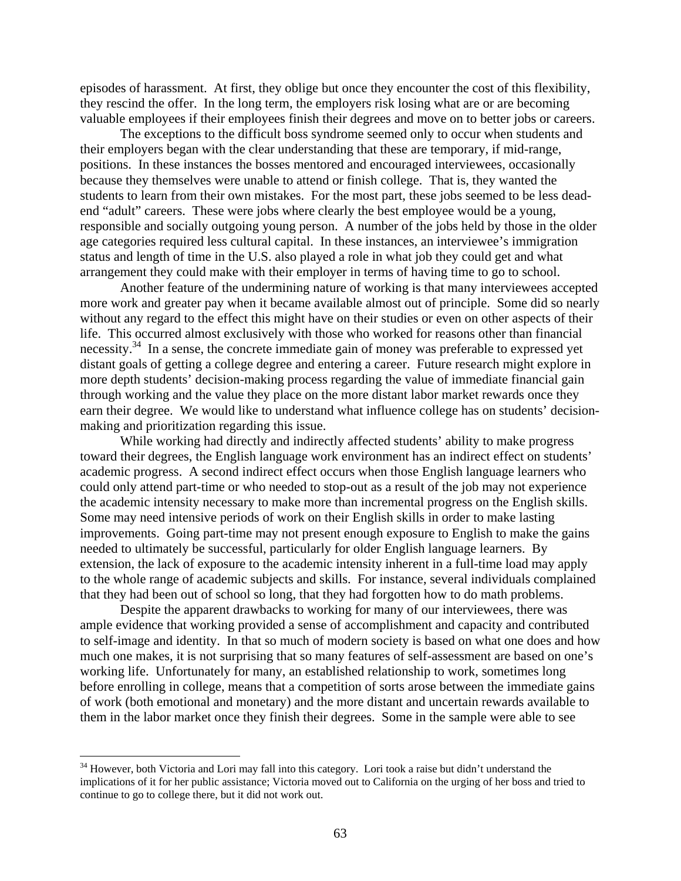episodes of harassment. At first, they oblige but once they encounter the cost of this flexibility, they rescind the offer. In the long term, the employers risk losing what are or are becoming valuable employees if their employees finish their degrees and move on to better jobs or careers.

The exceptions to the difficult boss syndrome seemed only to occur when students and their employers began with the clear understanding that these are temporary, if mid-range, positions. In these instances the bosses mentored and encouraged interviewees, occasionally because they themselves were unable to attend or finish college. That is, they wanted the students to learn from their own mistakes. For the most part, these jobs seemed to be less deadend "adult" careers. These were jobs where clearly the best employee would be a young, responsible and socially outgoing young person. A number of the jobs held by those in the older age categories required less cultural capital. In these instances, an interviewee's immigration status and length of time in the U.S. also played a role in what job they could get and what arrangement they could make with their employer in terms of having time to go to school.

Another feature of the undermining nature of working is that many interviewees accepted more work and greater pay when it became available almost out of principle. Some did so nearly without any regard to the effect this might have on their studies or even on other aspects of their life. This occurred almost exclusively with those who worked for reasons other than financial necessity.<sup>34</sup> In a sense, the concrete immediate gain of money was preferable to expressed yet distant goals of getting a college degree and entering a career. Future research might explore in more depth students' decision-making process regarding the value of immediate financial gain through working and the value they place on the more distant labor market rewards once they earn their degree. We would like to understand what influence college has on students' decisionmaking and prioritization regarding this issue.

While working had directly and indirectly affected students' ability to make progress toward their degrees, the English language work environment has an indirect effect on students' academic progress. A second indirect effect occurs when those English language learners who could only attend part-time or who needed to stop-out as a result of the job may not experience the academic intensity necessary to make more than incremental progress on the English skills. Some may need intensive periods of work on their English skills in order to make lasting improvements. Going part-time may not present enough exposure to English to make the gains needed to ultimately be successful, particularly for older English language learners. By extension, the lack of exposure to the academic intensity inherent in a full-time load may apply to the whole range of academic subjects and skills. For instance, several individuals complained that they had been out of school so long, that they had forgotten how to do math problems.

Despite the apparent drawbacks to working for many of our interviewees, there was ample evidence that working provided a sense of accomplishment and capacity and contributed to self-image and identity. In that so much of modern society is based on what one does and how much one makes, it is not surprising that so many features of self-assessment are based on one's working life. Unfortunately for many, an established relationship to work, sometimes long before enrolling in college, means that a competition of sorts arose between the immediate gains of work (both emotional and monetary) and the more distant and uncertain rewards available to them in the labor market once they finish their degrees. Some in the sample were able to see

 $\overline{a}$ 

 continue to go to college there, but it did not work out. <sup>34</sup> However, both Victoria and Lori may fall into this category. Lori took a raise but didn't understand the implications of it for her public assistance; Victoria moved out to California on the urging of her boss and tried to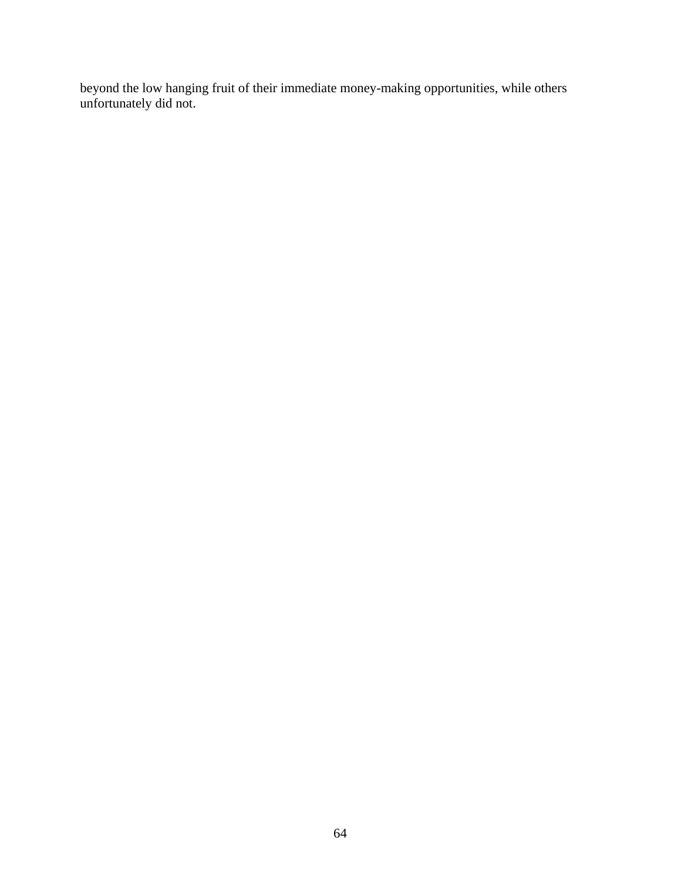beyond the low hanging fruit of their immediate money-making opportunities, while others unfortunately did not.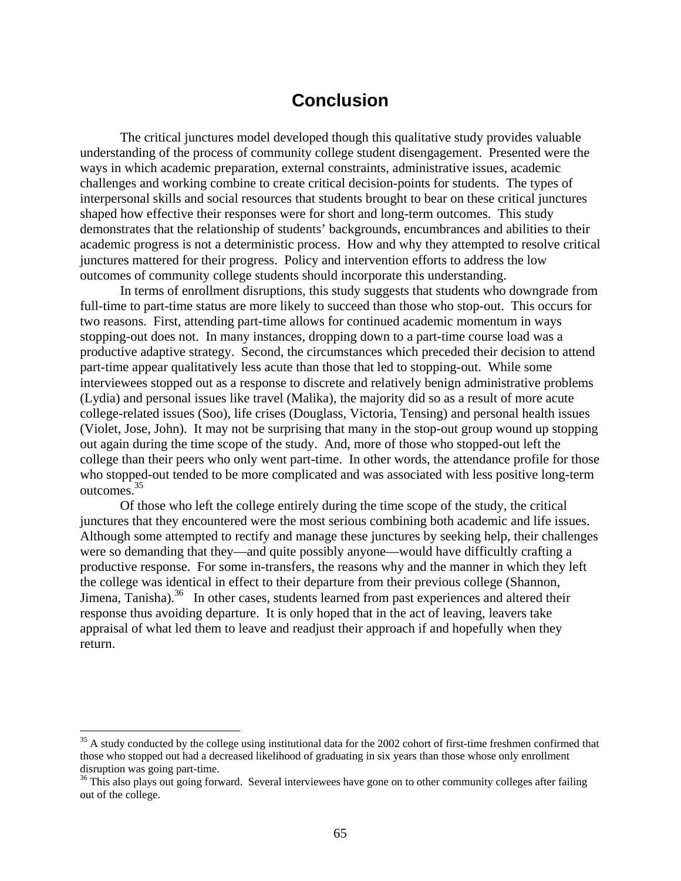## **Conclusion**

 academic progress is not a deterministic process. How and why they attempted to resolve critical The critical junctures model developed though this qualitative study provides valuable understanding of the process of community college student disengagement. Presented were the ways in which academic preparation, external constraints, administrative issues, academic challenges and working combine to create critical decision-points for students. The types of interpersonal skills and social resources that students brought to bear on these critical junctures shaped how effective their responses were for short and long-term outcomes. This study demonstrates that the relationship of students' backgrounds, encumbrances and abilities to their junctures mattered for their progress. Policy and intervention efforts to address the low outcomes of community college students should incorporate this understanding.

In terms of enrollment disruptions, this study suggests that students who downgrade from full-time to part-time status are more likely to succeed than those who stop-out. This occurs for two reasons. First, attending part-time allows for continued academic momentum in ways stopping-out does not. In many instances, dropping down to a part-time course load was a productive adaptive strategy. Second, the circumstances which preceded their decision to attend part-time appear qualitatively less acute than those that led to stopping-out. While some interviewees stopped out as a response to discrete and relatively benign administrative problems (Lydia) and personal issues like travel (Malika), the majority did so as a result of more acute college-related issues (Soo), life crises (Douglass, Victoria, Tensing) and personal health issues (Violet, Jose, John). It may not be surprising that many in the stop-out group wound up stopping out again during the time scope of the study. And, more of those who stopped-out left the college than their peers who only went part-time. In other words, the attendance profile for those who stopped-out tended to be more complicated and was associated with less positive long-term [outcomes.35](https://outcomes.35)

Of those who left the college entirely during the time scope of the study, the critical junctures that they encountered were the most serious combining both academic and life issues. Although some attempted to rectify and manage these junctures by seeking help, their challenges were so demanding that they—and quite possibly anyone—would have difficultly crafting a productive response. For some in-transfers, the reasons why and the manner in which they left the college was identical in effect to their departure from their previous college (Shannon, Jimena, Tanisha).<sup>36</sup> In other cases, students learned from past experiences and altered their response thus avoiding departure. It is only hoped that in the act of leaving, leavers take appraisal of what led them to leave and readjust their approach if and hopefully when they return.

1

 $35$  A study conducted by the college using institutional data for the 2002 cohort of first-time freshmen confirmed that those who stopped out had a decreased likelihood of graduating in six years than those whose only enrollment disruption was going part-time.

<sup>&</sup>lt;sup>36</sup> This also plays out going forward. Several interviewees have gone on to other community colleges after failing out of the college.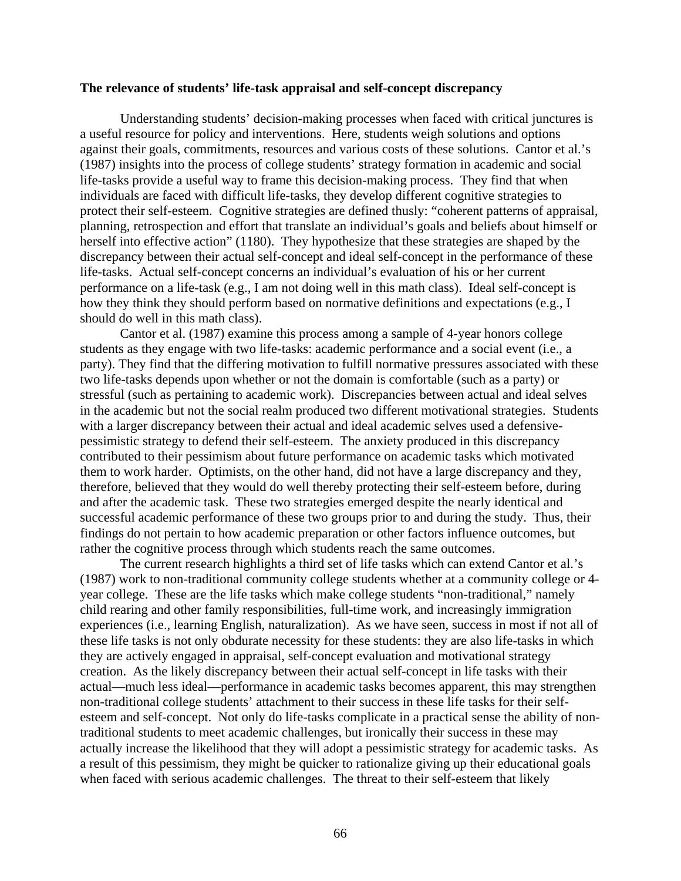#### **The relevance of students' life-task appraisal and self-concept discrepancy**

Understanding students' decision-making processes when faced with critical junctures is a useful resource for policy and interventions. Here, students weigh solutions and options against their goals, commitments, resources and various costs of these solutions. Cantor et al.'s (1987) insights into the process of college students' strategy formation in academic and social life-tasks provide a useful way to frame this decision-making process. They find that when individuals are faced with difficult life-tasks, they develop different cognitive strategies to protect their self-esteem. Cognitive strategies are defined thusly: "coherent patterns of appraisal, planning, retrospection and effort that translate an individual's goals and beliefs about himself or herself into effective action" (1180). They hypothesize that these strategies are shaped by the discrepancy between their actual self-concept and ideal self-concept in the performance of these life-tasks. Actual self-concept concerns an individual's evaluation of his or her current performance on a life-task (e.g., I am not doing well in this math class). Ideal self-concept is how they think they should perform based on normative definitions and expectations (e.g., I should do well in this math class).

Cantor et al. (1987) examine this process among a sample of 4-year honors college students as they engage with two life-tasks: academic performance and a social event (i.e., a party). They find that the differing motivation to fulfill normative pressures associated with these two life-tasks depends upon whether or not the domain is comfortable (such as a party) or stressful (such as pertaining to academic work). Discrepancies between actual and ideal selves in the academic but not the social realm produced two different motivational strategies. Students with a larger discrepancy between their actual and ideal academic selves used a defensivepessimistic strategy to defend their self-esteem. The anxiety produced in this discrepancy contributed to their pessimism about future performance on academic tasks which motivated them to work harder. Optimists, on the other hand, did not have a large discrepancy and they, therefore, believed that they would do well thereby protecting their self-esteem before, during and after the academic task. These two strategies emerged despite the nearly identical and successful academic performance of these two groups prior to and during the study. Thus, their findings do not pertain to how academic preparation or other factors influence outcomes, but rather the cognitive process through which students reach the same outcomes.

The current research highlights a third set of life tasks which can extend Cantor et al.'s (1987) work to non-traditional community college students whether at a community college or 4 year college. These are the life tasks which make college students "non-traditional," namely child rearing and other family responsibilities, full-time work, and increasingly immigration experiences (i.e., learning English, naturalization). As we have seen, success in most if not all of these life tasks is not only obdurate necessity for these students: they are also life-tasks in which they are actively engaged in appraisal, self-concept evaluation and motivational strategy creation. As the likely discrepancy between their actual self-concept in life tasks with their actual—much less ideal—performance in academic tasks becomes apparent, this may strengthen non-traditional college students' attachment to their success in these life tasks for their selfesteem and self-concept. Not only do life-tasks complicate in a practical sense the ability of nontraditional students to meet academic challenges, but ironically their success in these may actually increase the likelihood that they will adopt a pessimistic strategy for academic tasks. As a result of this pessimism, they might be quicker to rationalize giving up their educational goals when faced with serious academic challenges. The threat to their self-esteem that likely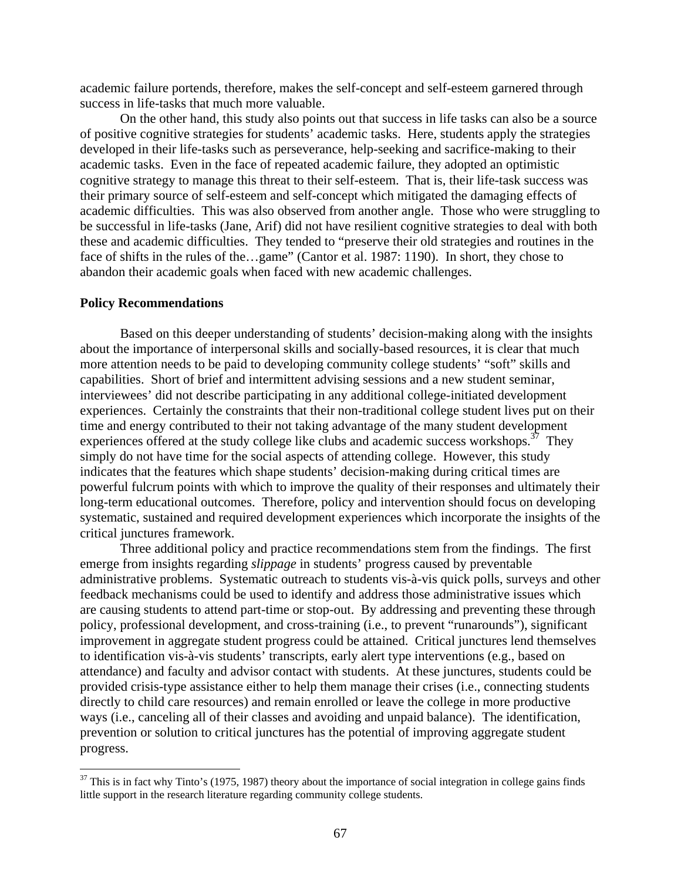academic failure portends, therefore, makes the self-concept and self-esteem garnered through success in life-tasks that much more valuable.

On the other hand, this study also points out that success in life tasks can also be a source of positive cognitive strategies for students' academic tasks. Here, students apply the strategies developed in their life-tasks such as perseverance, help-seeking and sacrifice-making to their academic tasks. Even in the face of repeated academic failure, they adopted an optimistic cognitive strategy to manage this threat to their self-esteem. That is, their life-task success was their primary source of self-esteem and self-concept which mitigated the damaging effects of academic difficulties. This was also observed from another angle. Those who were struggling to be successful in life-tasks (Jane, Arif) did not have resilient cognitive strategies to deal with both these and academic difficulties. They tended to "preserve their old strategies and routines in the face of shifts in the rules of the...game" (Cantor et al. 1987: 1190). In short, they chose to abandon their academic goals when faced with new academic challenges.

#### **Policy Recommendations**

 $\overline{a}$ 

Based on this deeper understanding of students' decision-making along with the insights about the importance of interpersonal skills and socially-based resources, it is clear that much more attention needs to be paid to developing community college students' "soft" skills and capabilities. Short of brief and intermittent advising sessions and a new student seminar, interviewees' did not describe participating in any additional college-initiated development experiences. Certainly the constraints that their non-traditional college student lives put on their time and energy contributed to their not taking advantage of the many student development experiences offered at the study college like clubs and academic success workshops.<sup>37</sup> They simply do not have time for the social aspects of attending college. However, this study indicates that the features which shape students' decision-making during critical times are powerful fulcrum points with which to improve the quality of their responses and ultimately their long-term educational outcomes. Therefore, policy and intervention should focus on developing systematic, sustained and required development experiences which incorporate the insights of the critical junctures framework.

Three additional policy and practice recommendations stem from the findings. The first emerge from insights regarding *slippage* in students' progress caused by preventable administrative problems. Systematic outreach to students vis-à-vis quick polls, surveys and other feedback mechanisms could be used to identify and address those administrative issues which are causing students to attend part-time or stop-out. By addressing and preventing these through policy, professional development, and cross-training (i.e., to prevent "runarounds"), significant improvement in aggregate student progress could be attained. Critical junctures lend themselves to identification vis-à-vis students' transcripts, early alert type interventions (e.g., based on attendance) and faculty and advisor contact with students. At these junctures, students could be provided crisis-type assistance either to help them manage their crises (i.e., connecting students directly to child care resources) and remain enrolled or leave the college in more productive ways (i.e., canceling all of their classes and avoiding and unpaid balance). The identification, prevention or solution to critical junctures has the potential of improving aggregate student progress.

 $37$  This is in fact why Tinto's (1975, 1987) theory about the importance of social integration in college gains finds little support in the research literature regarding community college students.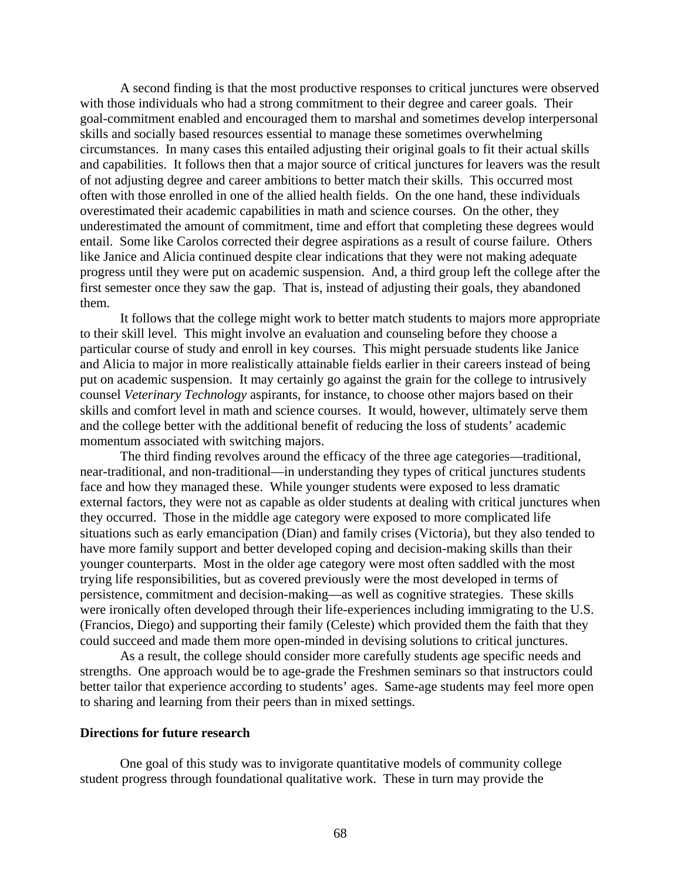A second finding is that the most productive responses to critical junctures were observed with those individuals who had a strong commitment to their degree and career goals. Their goal-commitment enabled and encouraged them to marshal and sometimes develop interpersonal skills and socially based resources essential to manage these sometimes overwhelming circumstances. In many cases this entailed adjusting their original goals to fit their actual skills and capabilities. It follows then that a major source of critical junctures for leavers was the result of not adjusting degree and career ambitions to better match their skills. This occurred most often with those enrolled in one of the allied health fields. On the one hand, these individuals overestimated their academic capabilities in math and science courses. On the other, they underestimated the amount of commitment, time and effort that completing these degrees would entail. Some like Carolos corrected their degree aspirations as a result of course failure. Others like Janice and Alicia continued despite clear indications that they were not making adequate progress until they were put on academic suspension. And, a third group left the college after the first semester once they saw the gap. That is, instead of adjusting their goals, they abandoned them.

It follows that the college might work to better match students to majors more appropriate to their skill level. This might involve an evaluation and counseling before they choose a particular course of study and enroll in key courses. This might persuade students like Janice and Alicia to major in more realistically attainable fields earlier in their careers instead of being put on academic suspension. It may certainly go against the grain for the college to intrusively counsel *Veterinary Technology* aspirants, for instance, to choose other majors based on their skills and comfort level in math and science courses. It would, however, ultimately serve them and the college better with the additional benefit of reducing the loss of students' academic momentum associated with switching majors.

The third finding revolves around the efficacy of the three age categories—traditional, near-traditional, and non-traditional—in understanding they types of critical junctures students face and how they managed these. While younger students were exposed to less dramatic external factors, they were not as capable as older students at dealing with critical junctures when they occurred. Those in the middle age category were exposed to more complicated life situations such as early emancipation (Dian) and family crises (Victoria), but they also tended to have more family support and better developed coping and decision-making skills than their younger counterparts. Most in the older age category were most often saddled with the most trying life responsibilities, but as covered previously were the most developed in terms of persistence, commitment and decision-making—as well as cognitive strategies. These skills were ironically often developed through their life-experiences including immigrating to the U.S. (Francios, Diego) and supporting their family (Celeste) which provided them the faith that they could succeed and made them more open-minded in devising solutions to critical junctures.

As a result, the college should consider more carefully students age specific needs and strengths. One approach would be to age-grade the Freshmen seminars so that instructors could better tailor that experience according to students' ages. Same-age students may feel more open to sharing and learning from their peers than in mixed settings.

#### **Directions for future research**

One goal of this study was to invigorate quantitative models of community college student progress through foundational qualitative work. These in turn may provide the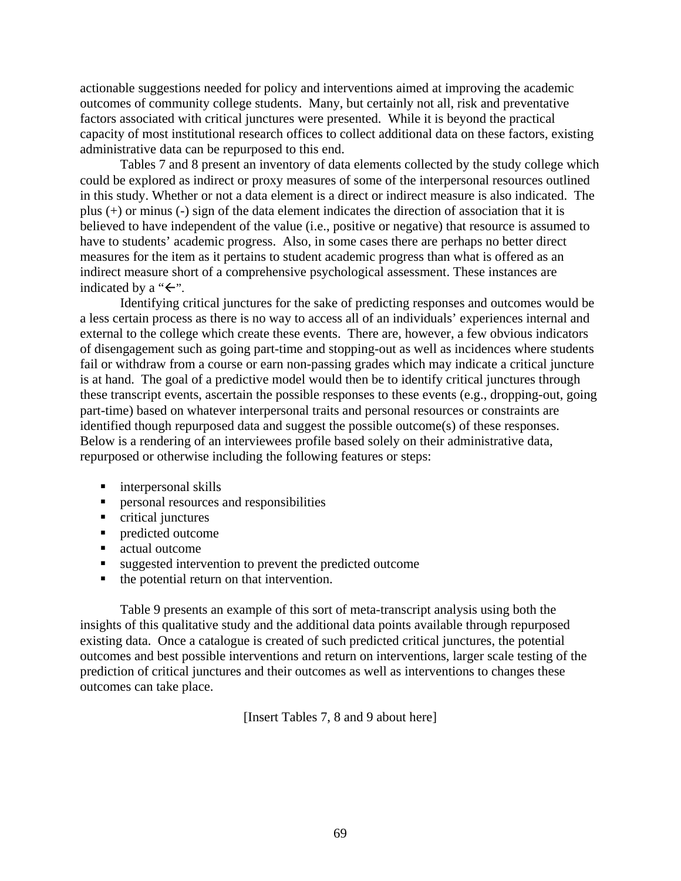actionable suggestions needed for policy and interventions aimed at improving the academic outcomes of community college students. Many, but certainly not all, risk and preventative factors associated with critical junctures were presented. While it is beyond the practical capacity of most institutional research offices to collect additional data on these factors, existing administrative data can be repurposed to this end.

Tables 7 and 8 present an inventory of data elements collected by the study college which could be explored as indirect or proxy measures of some of the interpersonal resources outlined in this study. Whether or not a data element is a direct or indirect measure is also indicated. The plus (+) or minus (-) sign of the data element indicates the direction of association that it is believed to have independent of the value (i.e., positive or negative) that resource is assumed to have to students' academic progress. Also, in some cases there are perhaps no better direct measures for the item as it pertains to student academic progress than what is offered as an indirect measure short of a comprehensive psychological assessment. These instances are indicated by a " $\leftarrow$ ".

Identifying critical junctures for the sake of predicting responses and outcomes would be a less certain process as there is no way to access all of an individuals' experiences internal and external to the college which create these events. There are, however, a few obvious indicators of disengagement such as going part-time and stopping-out as well as incidences where students fail or withdraw from a course or earn non-passing grades which may indicate a critical juncture is at hand. The goal of a predictive model would then be to identify critical junctures through these transcript events, ascertain the possible responses to these events (e.g., dropping-out, going part-time) based on whatever interpersonal traits and personal resources or constraints are identified though repurposed data and suggest the possible outcome(s) of these responses. Below is a rendering of an interviewees profile based solely on their administrative data, repurposed or otherwise including the following features or steps:

- interpersonal skills
- **Personal resources and responsibilities**
- critical junctures
- **Predicted outcome**
- actual outcome
- suggested intervention to prevent the predicted outcome
- the potential return on that intervention.

Table 9 presents an example of this sort of meta-transcript analysis using both the insights of this qualitative study and the additional data points available through repurposed existing data. Once a catalogue is created of such predicted critical junctures, the potential outcomes and best possible interventions and return on interventions, larger scale testing of the prediction of critical junctures and their outcomes as well as interventions to changes these outcomes can take place.

[Insert Tables 7, 8 and 9 about here]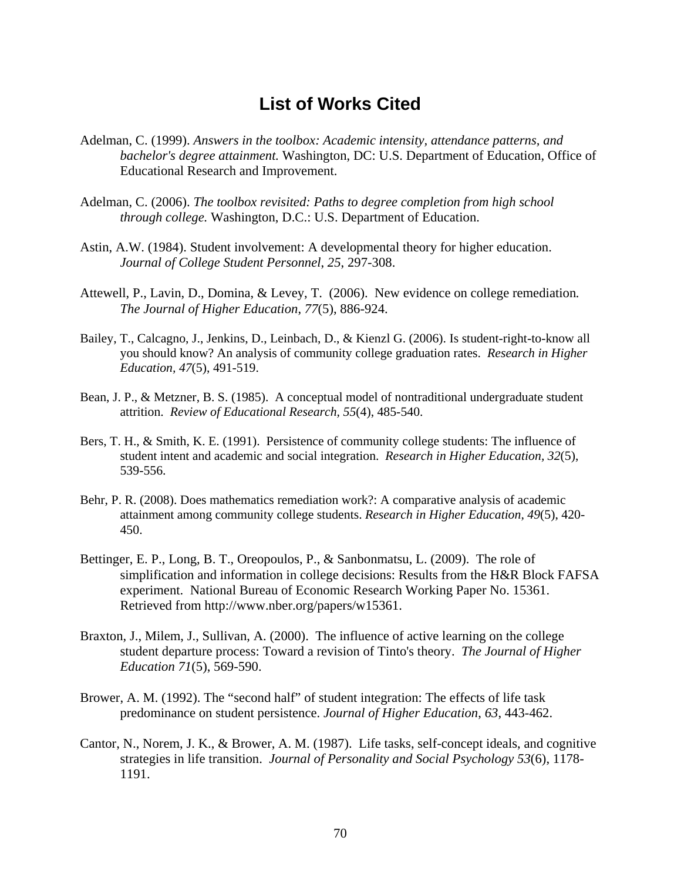# **List of Works Cited**

- Adelman, C. (1999). *Answers in the toolbox: Academic intensity, attendance patterns, and bachelor's degree attainment.* Washington, DC: U.S. Department of Education, Office of Educational Research and Improvement.
- Adelman, C. (2006). *The toolbox revisited: Paths to degree completion from high school through college.* Washington, D.C.: U.S. Department of Education.
- Astin, A.W. (1984). Student involvement: A developmental theory for higher education. *Journal of College Student Personnel*, *25*, 297-308.
- Attewell, P., Lavin, D., Domina, & Levey, T. (2006). New evidence on college remediation*. The Journal of Higher Education*, *77*(5), 886-924.
- Bailey, T., Calcagno, J., Jenkins, D., Leinbach, D., & Kienzl G. (2006). Is student-right-to-know all you should know? An analysis of community college graduation rates. *Research in Higher Education, 47*(5), 491-519.
- Bean, J. P., & Metzner, B. S. (1985). A conceptual model of nontraditional undergraduate student attrition. *Review of Educational Research, 55*(4), 485-540.
- Bers, T. H., & Smith, K. E. (1991). Persistence of community college students: The influence of student intent and academic and social integration. *Research in Higher Education, 32*(5), 539-556.
- Behr, P. R. (2008). Does mathematics remediation work?: A comparative analysis of academic attainment among community college students. *Research in Higher Education, 49*(5), 420- 450.
- Bettinger, E. P., Long, B. T., Oreopoulos, P., & Sanbonmatsu, L. (2009). The role of simplification and information in college decisions: Results from the H&R Block FAFSA experiment. National Bureau of Economic Research Working Paper No. 15361. Retrieved from [http://www.nber.org/papers/w15361.](http://www.nber.org/papers/w15361)
- Braxton, J., Milem, J., Sullivan, A. (2000). The influence of active learning on the college student departure process: Toward a revision of Tinto's theory. *The Journal of Higher Education 71*(5), 569-590.
- Brower, A. M. (1992). The "second half" of student integration: The effects of life task predominance on student persistence. *Journal of Higher Education*, *63*, 443-462.
- Cantor, N., Norem, J. K., & Brower, A. M. (1987). Life tasks, self-concept ideals, and cognitive strategies in life transition. *Journal of Personality and Social Psychology 53*(6), 1178- 1191.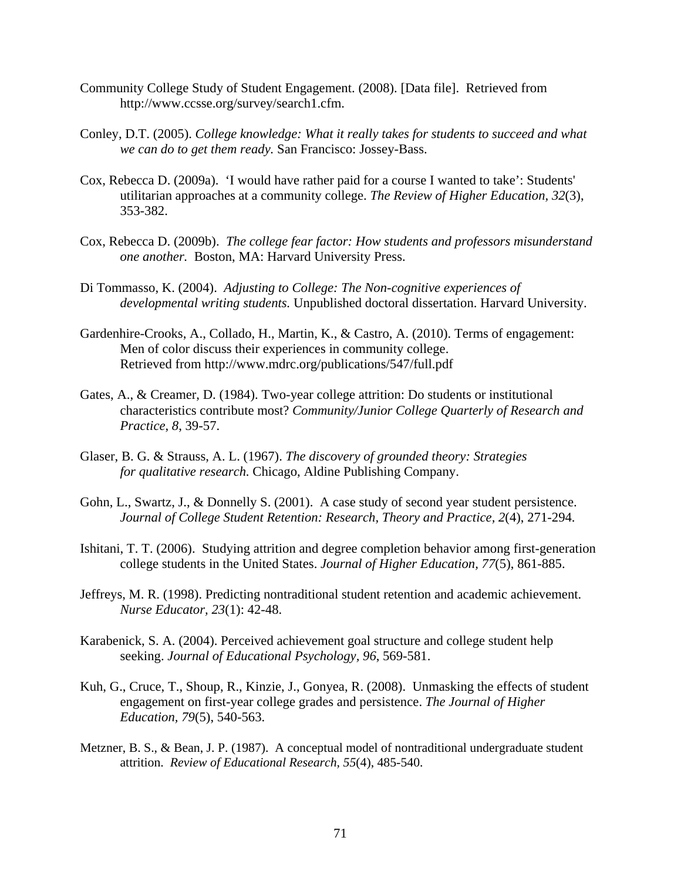- Community College Study of Student Engagement. (2008). [Data file]. Retrieved from [http://www.ccsse.org/survey/search1.cfm.](http://www.ccsse.org/survey/search1.cfm)
- Conley, D.T. (2005). *College knowledge: What it really takes for students to succeed and what we can do to get them ready.* San Francisco: Jossey-Bass.
- Cox, Rebecca D. (2009a). 'I would have rather paid for a course I wanted to take': Students' utilitarian approaches at a community college. *The Review of Higher Education, 32*(3), 353-382.
- Cox, Rebecca D. (2009b). *The college fear factor: How students and professors misunderstand one another.* Boston, MA: Harvard University Press.
- Di Tommasso, K. (2004). Adjusting to College: The Non-cognitive experiences of developmental writing students. Unpublished doctoral dissertation. Harvard University.
- Men of color discuss their experiences in community college. Gardenhire-Crooks, A., Collado, H., Martin, K., & Castro, A. (2010). Terms of engagement: Retrieved from http://www.mdrc.org/publications/547/full.pdf
- Gates, A., & Creamer, D. (1984). Two-year college attrition: Do students or institutional characteristics contribute most? *Community/Junior College Quarterly of Research and Practice*, *8*, 39-57.
- Glaser, B. G. & Strauss, A. L. (1967). *The discovery of grounded theory: Strategies for qualitative research.* Chicago, Aldine Publishing Company.
- Gohn, L., Swartz, J., & Donnelly S. (2001). A case study of second year student persistence. *Journal of College Student Retention: Research, Theory and Practice, 2*(4), 271-294.
- Ishitani, T. T. (2006). Studying attrition and degree completion behavior among first-generation college students in the United States. *Journal of Higher Education, 77*(5), 861-885.
- Jeffreys, M. R. (1998). Predicting nontraditional student retention and academic achievement. *Nurse Educator, 23*(1): 42-48.
- Karabenick, S. A. (2004). Perceived achievement goal structure and college student help seeking. *Journal of Educational Psychology, 96*, 569-581.
- Kuh, G., Cruce, T., Shoup, R., Kinzie, J., Gonyea, R. (2008). Unmasking the effects of student engagement on first-year college grades and persistence. *The Journal of Higher Education, 79*(5), 540-563.
- Metzner, B. S., & Bean, J. P. (1987). A conceptual model of nontraditional undergraduate student attrition. *Review of Educational Research, 55*(4), 485-540.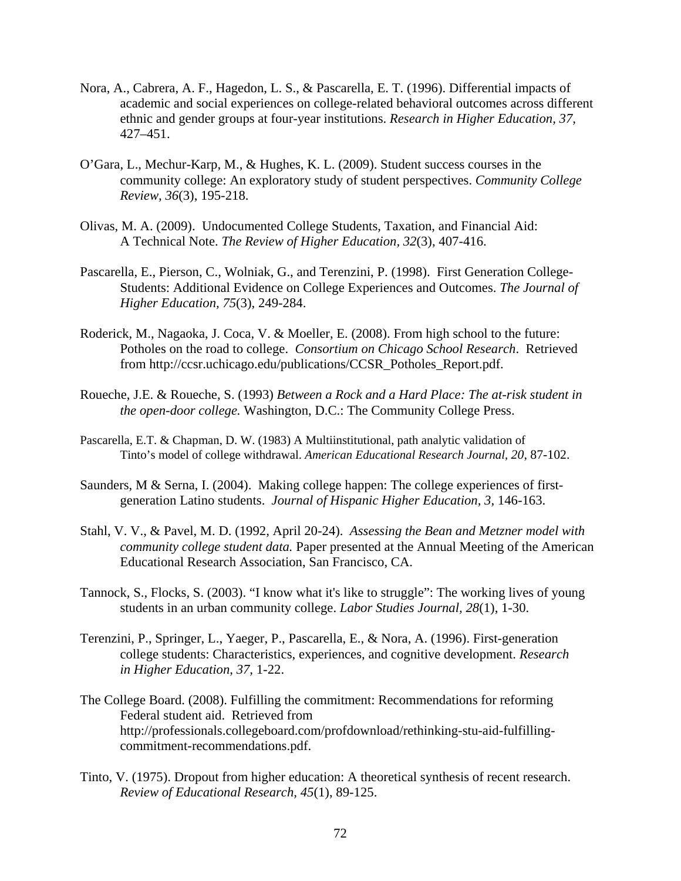- Nora, A., Cabrera, A. F., Hagedon, L. S., & Pascarella, E. T. (1996). Differential impacts of academic and social experiences on college-related behavioral outcomes across different ethnic and gender groups at four-year institutions. *Research in Higher Education, 37,*  427–451.
- O'Gara, L., Mechur-Karp, M., & Hughes, K. L. (2009). Student success courses in the community college: An exploratory study of student perspectives. *Community College Review, 36*(3), 195-218.
- Olivas, M. A. (2009). Undocumented College Students, Taxation, and Financial Aid: A Technical Note. *The Review of Higher Education, 32*(3), 407-416.
- Pascarella, E., Pierson, C., Wolniak, G., and Terenzini, P. (1998). First Generation College-Students: Additional Evidence on College Experiences and Outcomes. *The Journal of Higher Education, 75*(3), 249-284.
- Roderick, M., Nagaoka, J. Coca, V. & Moeller, E. (2008). From high school to the future: Potholes on the road to college. *Consortium on Chicago School Research*. Retrieved from [http://ccsr.uchicago.edu/publications/CCSR\\_Potholes\\_Report.pdf.](http://ccsr.uchicago.edu/publications/CCSR_Potholes_Report.pdf)
- Roueche, J.E. & Roueche, S. (1993) *Between a Rock and a Hard Place: The at-risk student in the open-door college.* Washington, D.C.: The Community College Press.
- Tinto's model of college withdrawal. *American Educational Research Journal, 20*, 87-102. Pascarella, E.T. & Chapman, D. W. (1983) A Multiinstitutional, path analytic validation of
- Saunders, M & Serna, I. (2004). Making college happen: The college experiences of firstgeneration Latino students. *Journal of Hispanic Higher Education, 3*, 146-163.
- Stahl, V. V., & Pavel, M. D. (1992, April 20-24). *Assessing the Bean and Metzner model with community college student data.* Paper presented at the Annual Meeting of the American Educational Research Association, San Francisco, CA.
- Tannock, S., Flocks, S. (2003). "I know what it's like to struggle": The working lives of young students in an urban community college. *Labor Studies Journal, 28*(1), 1-30.
- Terenzini, P., Springer, L., Yaeger, P., Pascarella, E., & Nora, A. (1996). First-generation college students: Characteristics, experiences, and cognitive development. *Research in Higher Education*, *37,* 1-22.
- The College Board. (2008). Fulfilling the commitment: Recommendations for reforming Federal student aid. Retrieved from <http://professionals.collegeboard.com/profdownload/rethinking-stu-aid-fulfilling>commitment-recommendations.pdf.
- Tinto, V. (1975). Dropout from higher education: A theoretical synthesis of recent research. *Review of Educational Research, 45*(1), 89-125.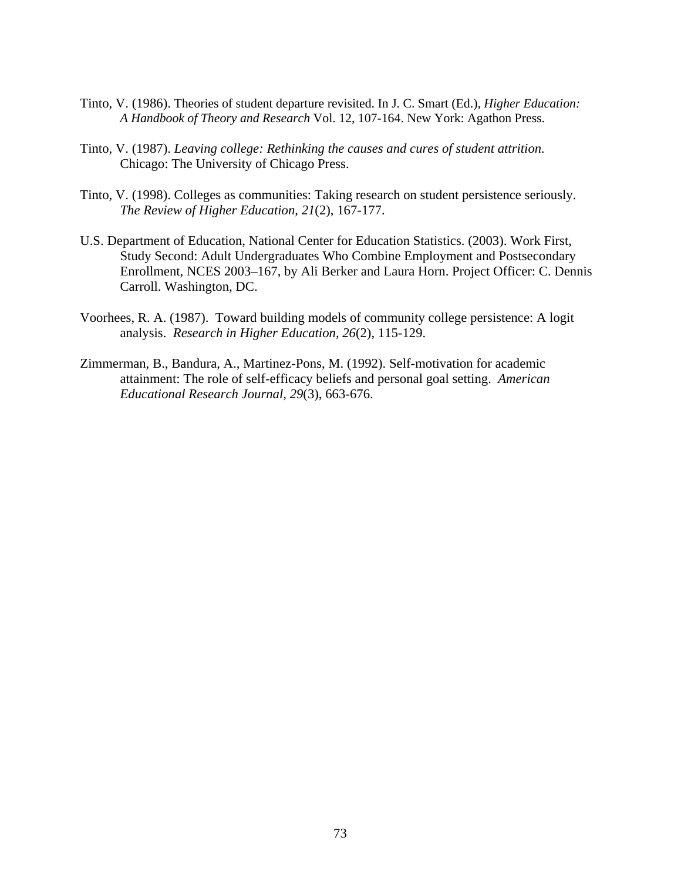- Tinto, V. (1986). Theories of student departure revisited. In J. C. Smart (Ed.), *Higher Education: A Handbook of Theory and Research* Vol. 12, 107-164. New York: Agathon Press.
- Tinto, V. (1987). *Leaving college: Rethinking the causes and cures of student attrition.*  Chicago: The University of Chicago Press.
- Tinto, V. (1998). Colleges as communities: Taking research on student persistence seriously. *The Review of Higher Education, 21*(2), 167-177.
- U.S. Department of Education, National Center for Education Statistics. (2003). Work First, Study Second: Adult Undergraduates Who Combine Employment and Postsecondary Enrollment, NCES 2003–167, by Ali Berker and Laura Horn. Project Officer: C. Dennis Carroll. Washington, DC.
- Voorhees, R. A. (1987). Toward building models of community college persistence: A logit analysis. *Research in Higher Education, 26*(2), 115-129.
- Zimmerman, B., Bandura, A., Martinez-Pons, M. (1992). Self-motivation for academic attainment: The role of self-efficacy beliefs and personal goal setting. *American Educational Research Journal, 29*(3), 663-676.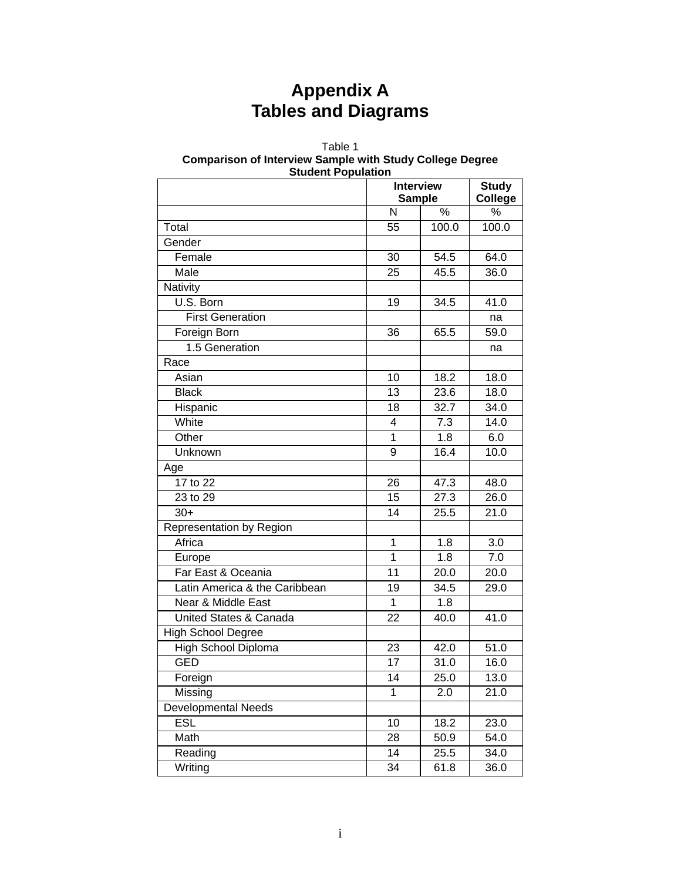# **Appendix A Tables and Diagrams**

#### Table 1 **Comparison of Interview Sample with Study College Degree Student Population**

| staacht i opalation           |    | <b>Interview</b><br><b>Sample</b> | <b>Study</b><br><b>College</b> |
|-------------------------------|----|-----------------------------------|--------------------------------|
|                               | N  | %                                 | $\%$                           |
| Total                         | 55 | 100.0                             | 100.0                          |
| Gender                        |    |                                   |                                |
| Female                        | 30 | 54.5                              | 64.0                           |
| Male                          | 25 | 45.5                              | 36.0                           |
| Nativity                      |    |                                   |                                |
| U.S. Born                     | 19 | 34.5                              | 41.0                           |
| <b>First Generation</b>       |    |                                   | na                             |
| Foreign Born                  | 36 | 65.5                              | 59.0                           |
| 1.5 Generation                |    |                                   | na                             |
| Race                          |    |                                   |                                |
| Asian                         | 10 | 18.2                              | 18.0                           |
| <b>Black</b>                  | 13 | 23.6                              | 18.0                           |
| Hispanic                      | 18 | 32.7                              | 34.0                           |
| White                         | 4  | 7.3                               | 14.0                           |
| Other                         | 1  | 1.8                               | 6.0                            |
| Unknown                       | 9  | 16.4                              | 10.0                           |
| Age                           |    |                                   |                                |
| 17 to 22                      | 26 | 47.3                              | 48.0                           |
| 23 to 29                      | 15 | 27.3                              | 26.0                           |
| $30+$                         | 14 | 25.5                              | 21.0                           |
| Representation by Region      |    |                                   |                                |
| Africa                        | 1  | 1.8                               | 3.0                            |
| Europe                        | 1  | 1.8                               | $7.0$                          |
| Far East & Oceania            | 11 | 20.0                              | 20.0                           |
| Latin America & the Caribbean | 19 | 34.5                              | 29.0                           |
| Near & Middle East            | 1  | 1.8                               |                                |
| United States & Canada        | 22 | 40.0                              | 41.0                           |
| High School Degree            |    |                                   |                                |
| High School Diploma           | 23 | 42.0                              | 51.0                           |
| <b>GED</b>                    | 17 | 31.0                              | 16.0                           |
| Foreign                       | 14 | 25.0                              | 13.0                           |
| Missing                       | 1  | 2.0                               | 21.0                           |
| Developmental Needs           |    |                                   |                                |
| <b>ESL</b>                    | 10 | 18.2                              | 23.0                           |
| Math                          | 28 | 50.9                              | 54.0                           |
| Reading                       | 14 | 25.5                              | 34.0                           |
| Writing                       | 34 | 61.8                              | 36.0                           |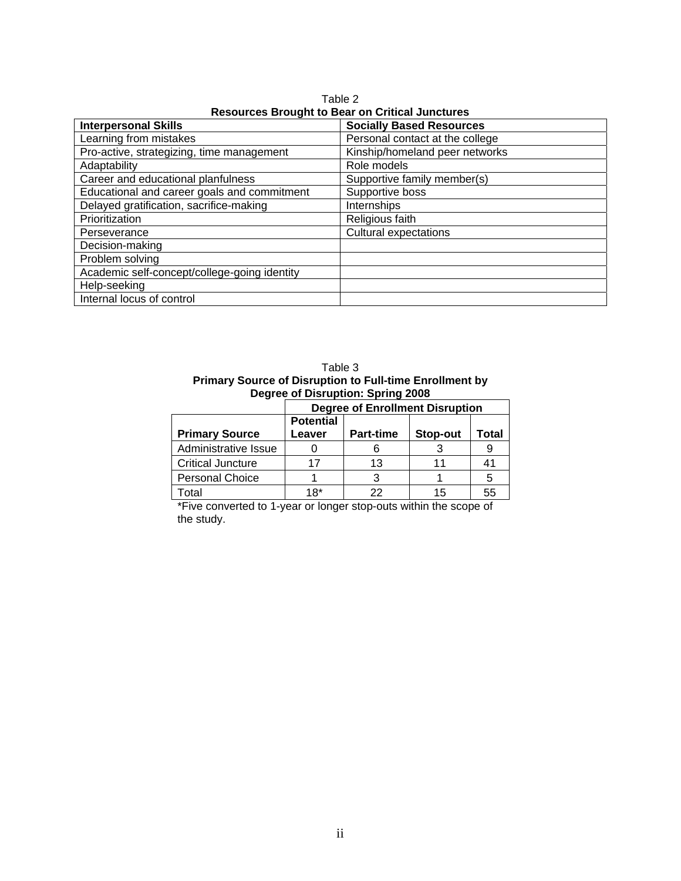| Resources Brought to Bear on Unitieal Junctures |                                 |  |  |
|-------------------------------------------------|---------------------------------|--|--|
| <b>Interpersonal Skills</b>                     | <b>Socially Based Resources</b> |  |  |
| Learning from mistakes                          | Personal contact at the college |  |  |
| Pro-active, strategizing, time management       | Kinship/homeland peer networks  |  |  |
| Adaptability                                    | Role models                     |  |  |
| Career and educational planfulness              | Supportive family member(s)     |  |  |
| Educational and career goals and commitment     | Supportive boss                 |  |  |
| Delayed gratification, sacrifice-making         | Internships                     |  |  |
| Prioritization                                  | Religious faith                 |  |  |
| Perseverance                                    | <b>Cultural expectations</b>    |  |  |
| Decision-making                                 |                                 |  |  |
| Problem solving                                 |                                 |  |  |
| Academic self-concept/college-going identity    |                                 |  |  |
| Help-seeking                                    |                                 |  |  |
| Internal locus of control                       |                                 |  |  |

Table 2 **Resources Brought to Bear on Critical Junctures** 

Table 3 **Primary Source of Disruption to Full-time Enrollment by Degree of Disruption: Spring 2008** 

|                          | <b>Degree of Enrollment Disruption</b> |                  |          |       |
|--------------------------|----------------------------------------|------------------|----------|-------|
|                          | <b>Potential</b>                       |                  |          |       |
| <b>Primary Source</b>    | Leaver                                 | <b>Part-time</b> | Stop-out | Total |
| Administrative Issue     |                                        |                  |          |       |
| <b>Critical Juncture</b> | 17                                     | 13               |          | 41    |
| <b>Personal Choice</b>   |                                        |                  |          | 5     |
| Гоtal                    | 18*                                    |                  | 15       | 55    |

\*Five converted to 1-year or longer stop-outs within the scope of the study.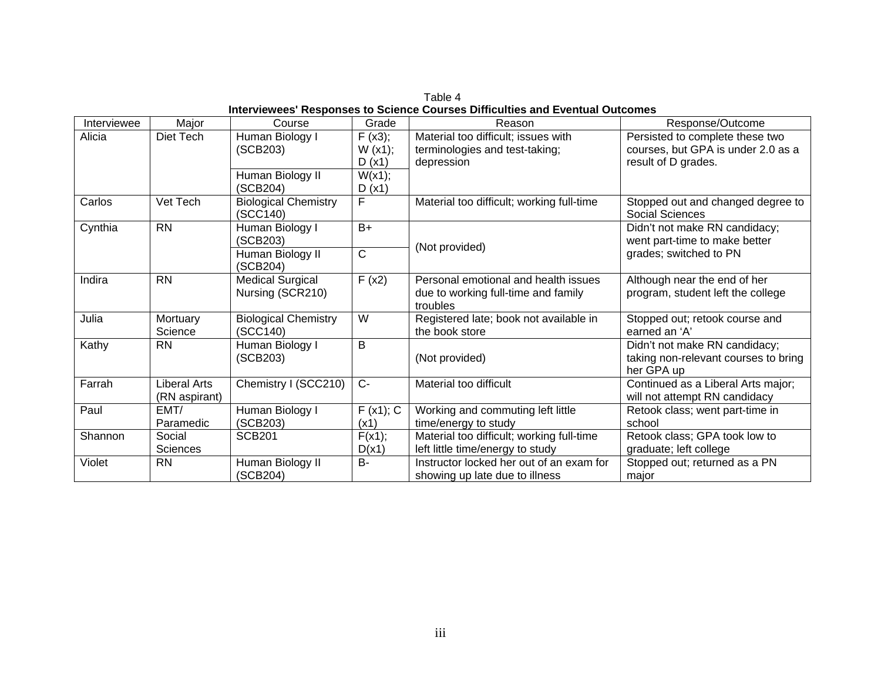Table 4 **Interviewees' Responses to Science Courses Difficulties and Eventual Outcomes** 

| Interviewee | Major           | Course                      | Grade                 | Reason                                    | Response/Outcome                     |
|-------------|-----------------|-----------------------------|-----------------------|-------------------------------------------|--------------------------------------|
| Alicia      | Diet Tech       | Human Biology I             | F(x3);                | Material too difficult; issues with       | Persisted to complete these two      |
|             |                 | (SCB203)                    | W(x1);                | terminologies and test-taking;            | courses, but GPA is under 2.0 as a   |
|             |                 |                             | D(x1)                 | depression                                | result of D grades.                  |
|             |                 | Human Biology II            | W(x1);                |                                           |                                      |
|             |                 | (SCB204)                    | D(x1)                 |                                           |                                      |
| Carlos      | Vet Tech        | <b>Biological Chemistry</b> | F                     | Material too difficult; working full-time | Stopped out and changed degree to    |
|             |                 | (SCC140)                    |                       |                                           | Social Sciences                      |
| Cynthia     | <b>RN</b>       | Human Biology I             | $B+$                  |                                           | Didn't not make RN candidacy;        |
|             |                 | (SCB203)                    |                       | (Not provided)                            | went part-time to make better        |
|             |                 | Human Biology II            | $\overline{\text{C}}$ |                                           | grades; switched to PN               |
|             |                 | (SCB204)                    |                       |                                           |                                      |
| Indira      | <b>RN</b>       | <b>Medical Surgical</b>     | F(x2)                 | Personal emotional and health issues      | Although near the end of her         |
|             |                 | Nursing (SCR210)            |                       | due to working full-time and family       | program, student left the college    |
|             |                 |                             |                       | troubles                                  |                                      |
| Julia       | Mortuary        | <b>Biological Chemistry</b> | W                     | Registered late; book not available in    | Stopped out; retook course and       |
|             | Science         | (SCC140)                    |                       | the book store                            | earned an 'A'                        |
| Kathy       | <b>RN</b>       | Human Biology I             | B                     |                                           | Didn't not make RN candidacy;        |
|             |                 | (SCB203)                    |                       | (Not provided)                            | taking non-relevant courses to bring |
|             |                 |                             |                       |                                           | her GPA up                           |
| Farrah      | Liberal Arts    | Chemistry I (SCC210)        | $C-$                  | Material too difficult                    | Continued as a Liberal Arts major;   |
|             | (RN aspirant)   |                             |                       |                                           | will not attempt RN candidacy        |
| Paul        | EMT/            | Human Biology I             | F(x1); C              | Working and commuting left little         | Retook class; went part-time in      |
|             | Paramedic       | (SCB203)                    | (x1)                  | time/energy to study                      | school                               |
| Shannon     | Social          | <b>SCB201</b>               | F(x1);                | Material too difficult; working full-time | Retook class; GPA took low to        |
|             | <b>Sciences</b> |                             | D(x1)                 | left little time/energy to study          | graduate; left college               |
| Violet      | <b>RN</b>       | Human Biology II            | <b>B-</b>             | Instructor locked her out of an exam for  | Stopped out; returned as a PN        |
|             |                 | (SCB204)                    |                       | showing up late due to illness            | major                                |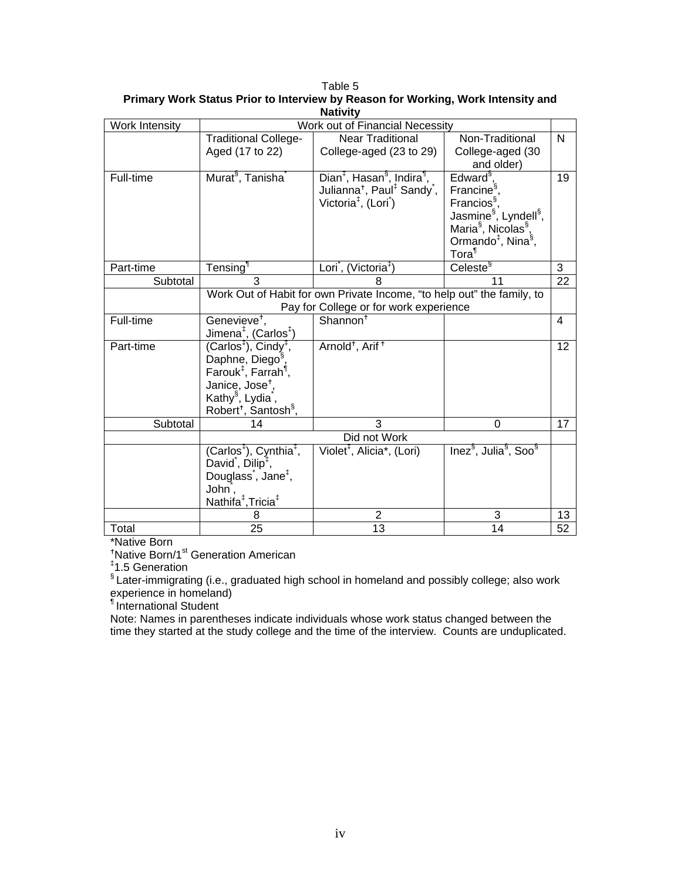| Work Intensity | Work out of Financial Necessity                |                                                                        |                                                           |                 |
|----------------|------------------------------------------------|------------------------------------------------------------------------|-----------------------------------------------------------|-----------------|
|                | <b>Traditional College-</b>                    | <b>Near Traditional</b>                                                | Non-Traditional                                           | N               |
|                | Aged (17 to 22)                                | College-aged (23 to 29)                                                | College-aged (30                                          |                 |
|                |                                                |                                                                        | and older)                                                |                 |
| Full-time      | Murat <sup>§</sup> , Tanisha <sup>®</sup>      | Dian <sup>‡</sup> , Hasan <sup>§</sup> , Indira <sup>¶</sup> ,         | Edward <sup>§</sup>                                       | 19              |
|                |                                                | Julianna <sup>+</sup> , Paul <sup>‡</sup> Sandy <sup>*</sup> ,         | Francine <sup>§</sup> ,                                   |                 |
|                |                                                | Victoria <sup><math>#</math></sup> , (Lori)                            | Francios <sup>§</sup> ,                                   |                 |
|                |                                                |                                                                        | Jasmine <sup>§</sup> , Lyndell <sup>§</sup> ,             |                 |
|                |                                                |                                                                        | Maria <sup>§</sup> , Nicolas <sup>§</sup> ,               |                 |
|                |                                                |                                                                        | Ormando <sup>‡</sup> , Nina <sup>§</sup> ,                |                 |
|                |                                                |                                                                        | Tora <sup>1</sup>                                         |                 |
| Part-time      | Tensing <sup>1</sup>                           | Lori, (Victoria <sup>‡</sup> )                                         | Celeste <sup>§</sup>                                      | 3               |
| Subtotal       | 3                                              | 8                                                                      | 11                                                        | 22              |
|                |                                                | Work Out of Habit for own Private Income, "to help out" the family, to |                                                           |                 |
|                |                                                | Pay for College or for work experience                                 |                                                           |                 |
| Full-time      | Genevieve <sup>+</sup> ,                       | Shannon <sup>+</sup>                                                   |                                                           | 4               |
|                | Jimena <sup>‡</sup> , (Carlos <sup>‡</sup> )   |                                                                        |                                                           |                 |
| Part-time      | $(Carlos‡), Cindy‡,$                           | Arnold <sup>+</sup> , Arif <sup>+</sup>                                |                                                           | 12              |
|                | Daphne, Diego <sup>§</sup> ,                   |                                                                        |                                                           |                 |
|                | Farouk <sup>‡</sup> , Farrah <sup>¶</sup> ,    |                                                                        |                                                           |                 |
|                | Janice, Jose <sup>+</sup> ,                    |                                                                        |                                                           |                 |
|                | Kathy <sup>§</sup> , Lydia <sup>*</sup> ,      |                                                                        |                                                           |                 |
|                | Robert <sup>+</sup> , Santosh <sup>§</sup> ,   |                                                                        |                                                           |                 |
| Subtotal       | 14                                             | 3                                                                      | 0                                                         | 17              |
|                |                                                | Did not Work                                                           |                                                           |                 |
|                | (Carlos <sup>‡</sup> ), Cynthia <sup>‡</sup> , | Violet <sup>#</sup> , Alicia*, (Lori)                                  | Inez <sup>§</sup> , Julia <sup>§</sup> , Soo <sup>§</sup> |                 |
|                | David <sup>*</sup> , Dilip <sup>‡</sup> ,      |                                                                        |                                                           |                 |
|                | Douglass <sup>*</sup> , Jane <sup>#</sup> ,    |                                                                        |                                                           |                 |
|                | John,                                          |                                                                        |                                                           |                 |
|                | Nathifa <sup>‡</sup> , Tricia <sup>‡</sup>     |                                                                        |                                                           |                 |
|                | 8                                              | 2                                                                      | 3                                                         | 13              |
| Total          | 25                                             | 13                                                                     | 14                                                        | $\overline{52}$ |

Table 5 **Primary Work Status Prior to Interview by Reason for Working, Work Intensity and Nativity** 

\*Native Born

<sup>+</sup>Native Born/1<sup>st</sup> Generation American

‡ 1.5 Generation

§ Later-immigrating (i.e., graduated high school in homeland and possibly college; also work experience in homeland)

¶ International Student

Note: Names in parentheses indicate individuals whose work status changed between the time they started at the study college and the time of the interview. Counts are unduplicated.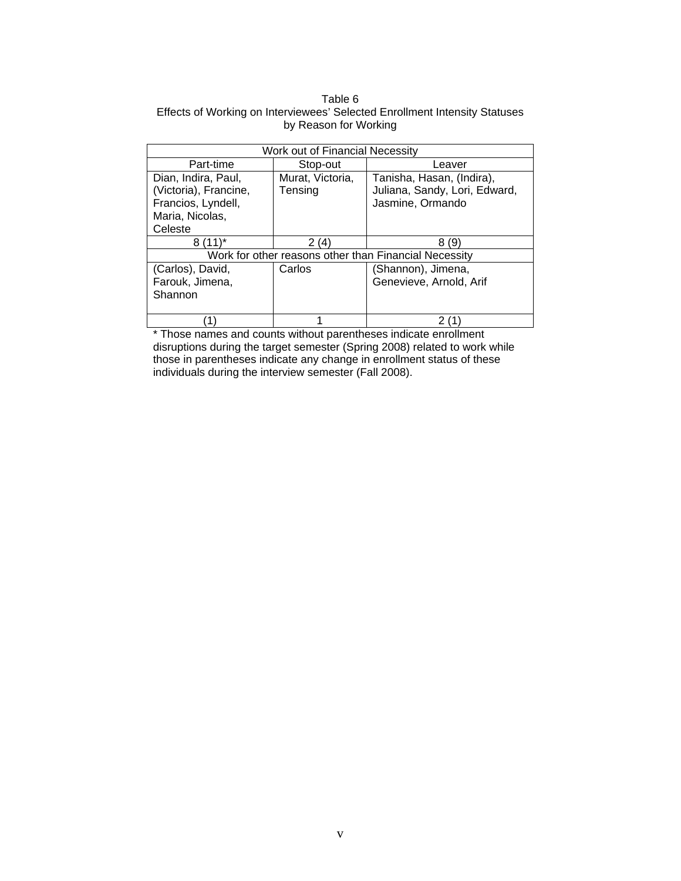#### Table 6 Effects of Working on Interviewees' Selected Enrollment Intensity Statuses by Reason for Working

| Work out of Financial Necessity |                  |                                                       |  |
|---------------------------------|------------------|-------------------------------------------------------|--|
| Part-time                       | Stop-out         | Leaver                                                |  |
| Dian, Indira, Paul,             | Murat, Victoria, | Tanisha, Hasan, (Indira),                             |  |
| (Victoria), Francine,           | Tensing          | Juliana, Sandy, Lori, Edward,                         |  |
| Francios, Lyndell,              |                  | Jasmine, Ormando                                      |  |
| Maria, Nicolas,                 |                  |                                                       |  |
| Celeste                         |                  |                                                       |  |
| $(11)^*$<br>8                   | 2(4)             | 8<br>9                                                |  |
|                                 |                  | Work for other reasons other than Financial Necessity |  |
| (Carlos), David,                | Carlos           | (Shannon), Jimena,                                    |  |
| Farouk, Jimena,                 |                  | Genevieve, Arnold, Arif                               |  |
| Shannon                         |                  |                                                       |  |
|                                 |                  |                                                       |  |
|                                 |                  |                                                       |  |

\* Those names and counts without parentheses indicate enrollment disruptions during the target semester (Spring 2008) related to work while those in parentheses indicate any change in enrollment status of these individuals during the interview semester (Fall 2008).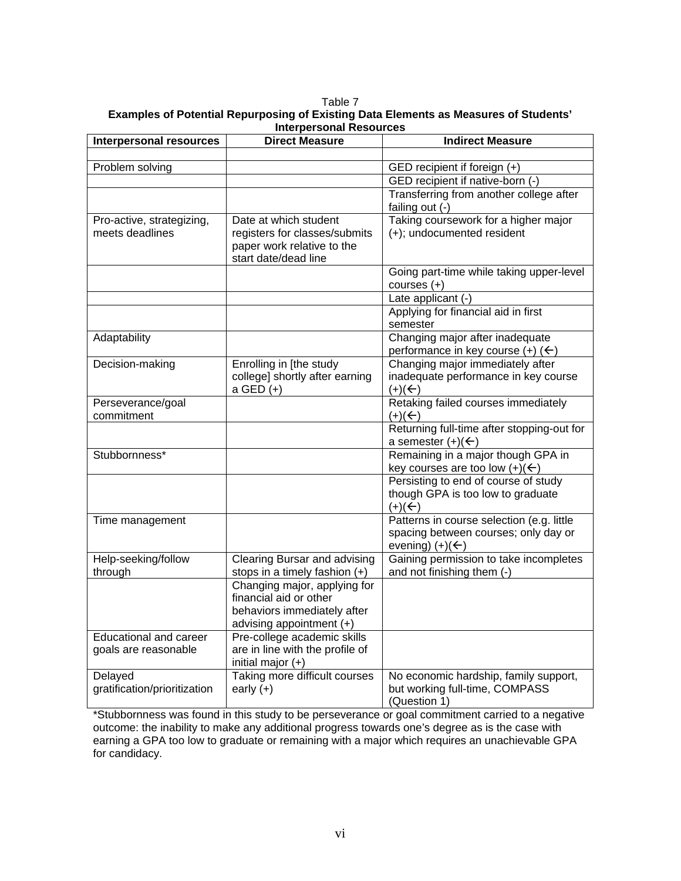| Table 7                                                                              |
|--------------------------------------------------------------------------------------|
| Examples of Potential Repurposing of Existing Data Elements as Measures of Students' |
| Interpersonal Resources                                                              |

| <b>Interpersonal resources</b>                        | <b>Direct Measure</b>                                                                                             | <b>Indirect Measure</b>                                                                                         |
|-------------------------------------------------------|-------------------------------------------------------------------------------------------------------------------|-----------------------------------------------------------------------------------------------------------------|
|                                                       |                                                                                                                   |                                                                                                                 |
| Problem solving                                       |                                                                                                                   | GED recipient if foreign (+)                                                                                    |
|                                                       |                                                                                                                   | GED recipient if native-born (-)                                                                                |
|                                                       |                                                                                                                   | Transferring from another college after<br>failing out (-)                                                      |
| Pro-active, strategizing,                             | Date at which student                                                                                             | Taking coursework for a higher major                                                                            |
| meets deadlines                                       | registers for classes/submits<br>paper work relative to the<br>start date/dead line                               | (+); undocumented resident                                                                                      |
|                                                       |                                                                                                                   | Going part-time while taking upper-level<br>courses $(+)$                                                       |
|                                                       |                                                                                                                   | Late applicant (-)                                                                                              |
|                                                       |                                                                                                                   | Applying for financial aid in first<br>semester                                                                 |
| Adaptability                                          |                                                                                                                   | Changing major after inadequate<br>performance in key course $(+)$ $($                                          |
| Decision-making                                       | Enrolling in [the study<br>college] shortly after earning<br>a GED (+)                                            | Changing major immediately after<br>inadequate performance in key course<br>$(+)(+)$                            |
| Perseverance/goal<br>commitment                       |                                                                                                                   | Retaking failed courses immediately<br>$(+)(\underline{\leftarrow})$                                            |
|                                                       |                                                                                                                   | Returning full-time after stopping-out for<br>a semester $(+)(\leftarrow)$                                      |
| Stubbornness*                                         |                                                                                                                   | Remaining in a major though GPA in<br>key courses are too low $(+)(\leftarrow)$                                 |
|                                                       |                                                                                                                   | Persisting to end of course of study<br>though GPA is too low to graduate<br>$(+)(+)$                           |
| Time management                                       |                                                                                                                   | Patterns in course selection (e.g. little<br>spacing between courses; only day or<br>evening) $(+)(\leftarrow)$ |
| Help-seeking/follow<br>through                        | Clearing Bursar and advising<br>stops in a timely fashion (+)                                                     | Gaining permission to take incompletes<br>and not finishing them (-)                                            |
|                                                       | Changing major, applying for<br>financial aid or other<br>behaviors immediately after<br>advising appointment (+) |                                                                                                                 |
| <b>Educational and career</b><br>goals are reasonable | Pre-college academic skills<br>are in line with the profile of<br>initial major $(+)$                             |                                                                                                                 |
| Delayed                                               | Taking more difficult courses                                                                                     | No economic hardship, family support,                                                                           |
| gratification/prioritization                          | early $(+)$                                                                                                       | but working full-time, COMPASS<br>(Question 1)                                                                  |

\*Stubbornness was found in this study to be perseverance or goal commitment carried to a negative outcome: the inability to make any additional progress towards one's degree as is the case with earning a GPA too low to graduate or remaining with a major which requires an unachievable GPA for candidacy.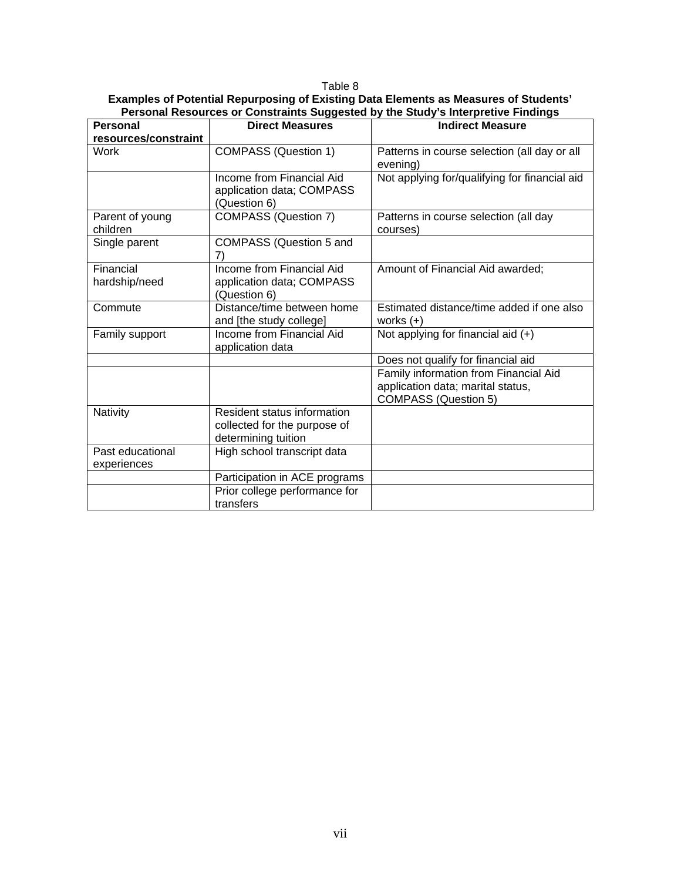#### Table 8

#### **Examples of Potential Repurposing of Existing Data Elements as Measures of Students' Personal Resources or Constraints Suggested by the Study's Interpretive Findings**

| <b>Personal</b>                 | <b>Direct Measures</b>                                                             | <b>Indirect Measure</b>                                                                                   |
|---------------------------------|------------------------------------------------------------------------------------|-----------------------------------------------------------------------------------------------------------|
| resources/constraint            |                                                                                    |                                                                                                           |
| <b>Work</b>                     | <b>COMPASS (Question 1)</b>                                                        | Patterns in course selection (all day or all<br>evening)                                                  |
|                                 | Income from Financial Aid<br>application data; COMPASS<br>(Question 6)             | Not applying for/qualifying for financial aid                                                             |
| Parent of young<br>children     | COMPASS (Question 7)                                                               | Patterns in course selection (all day<br>courses)                                                         |
| Single parent                   | COMPASS (Question 5 and<br>7)                                                      |                                                                                                           |
| Financial<br>hardship/need      | Income from Financial Aid<br>application data; COMPASS<br>(Question 6)             | Amount of Financial Aid awarded;                                                                          |
| Commute                         | Distance/time between home<br>and [the study college]                              | Estimated distance/time added if one also<br>works $(+)$                                                  |
| Family support                  | Income from Financial Aid<br>application data                                      | Not applying for financial aid $(+)$                                                                      |
|                                 |                                                                                    | Does not qualify for financial aid                                                                        |
|                                 |                                                                                    | Family information from Financial Aid<br>application data; marital status,<br><b>COMPASS (Question 5)</b> |
| Nativity                        | Resident status information<br>collected for the purpose of<br>determining tuition |                                                                                                           |
| Past educational<br>experiences | High school transcript data                                                        |                                                                                                           |
|                                 | Participation in ACE programs                                                      |                                                                                                           |
|                                 | Prior college performance for                                                      |                                                                                                           |
|                                 | transfers                                                                          |                                                                                                           |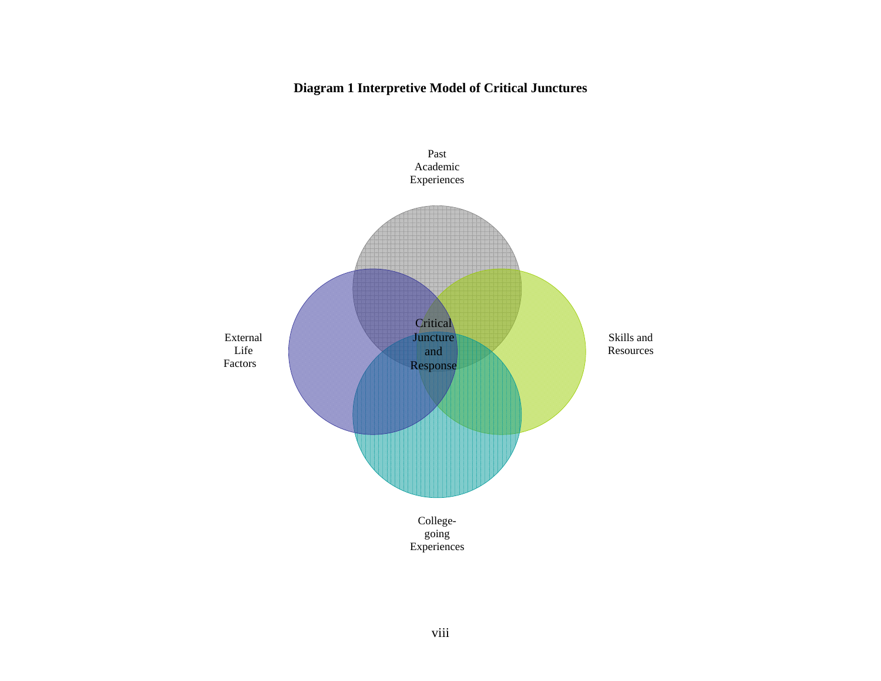## **Diagram 1 Interpretive Model of Critical Junctures**

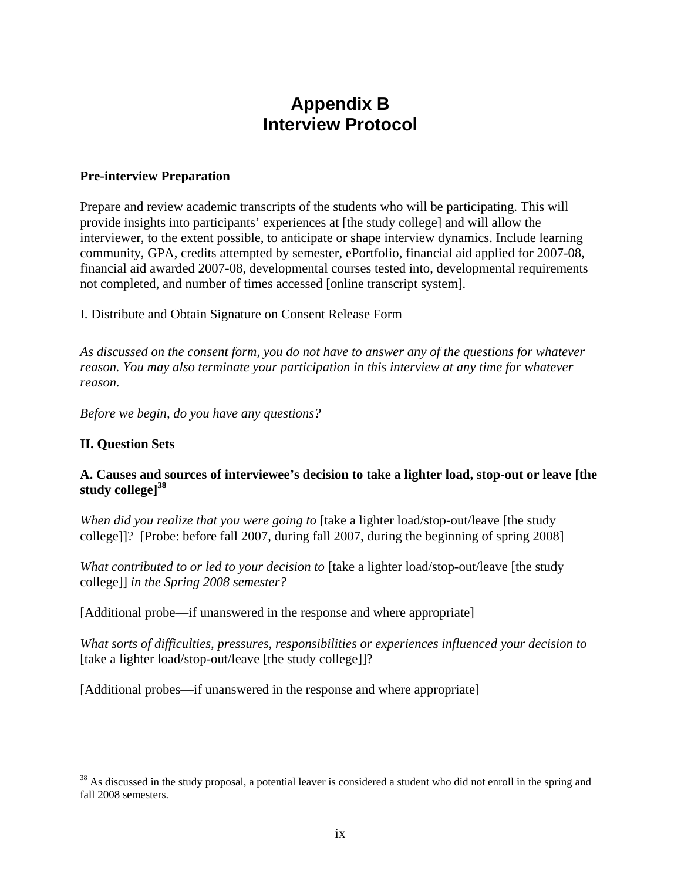# **Appendix B Interview Protocol**

## **Pre-interview Preparation**

Prepare and review academic transcripts of the students who will be participating. This will provide insights into participants' experiences at [the study college] and will allow the interviewer, to the extent possible, to anticipate or shape interview dynamics. Include learning community, GPA, credits attempted by semester, ePortfolio, financial aid applied for 2007-08, financial aid awarded 2007-08, developmental courses tested into, developmental requirements not completed, and number of times accessed [online transcript system].

I. Distribute and Obtain Signature on Consent Release Form

*As discussed on the consent form, you do not have to answer any of the questions for whatever reason. You may also terminate your participation in this interview at any time for whatever reason.* 

*Before we begin, do you have any questions?* 

## **II. Question Sets**

 $\overline{a}$ 

## **A. Causes and sources of interviewee's decision to take a lighter load, stop-out or leave [the study college]38**

*When did you realize that you were going to* [take a lighter load/stop-out/leave [the study college]]? [Probe: before fall 2007, during fall 2007, during the beginning of spring 2008]

*What contributed to or led to your decision to* [take a lighter load/stop-out/leave [the study college]] *in the Spring 2008 semester?* 

[Additional probe—if unanswered in the response and where appropriate]

*What sorts of difficulties, pressures, responsibilities or experiences influenced your decision to*  [take a lighter load/stop-out/leave [the study college]]?

[Additional probes—if unanswered in the response and where appropriate]

<sup>&</sup>lt;sup>38</sup> As discussed in the study proposal, a potential leaver is considered a student who did not enroll in the spring and fall 2008 semesters.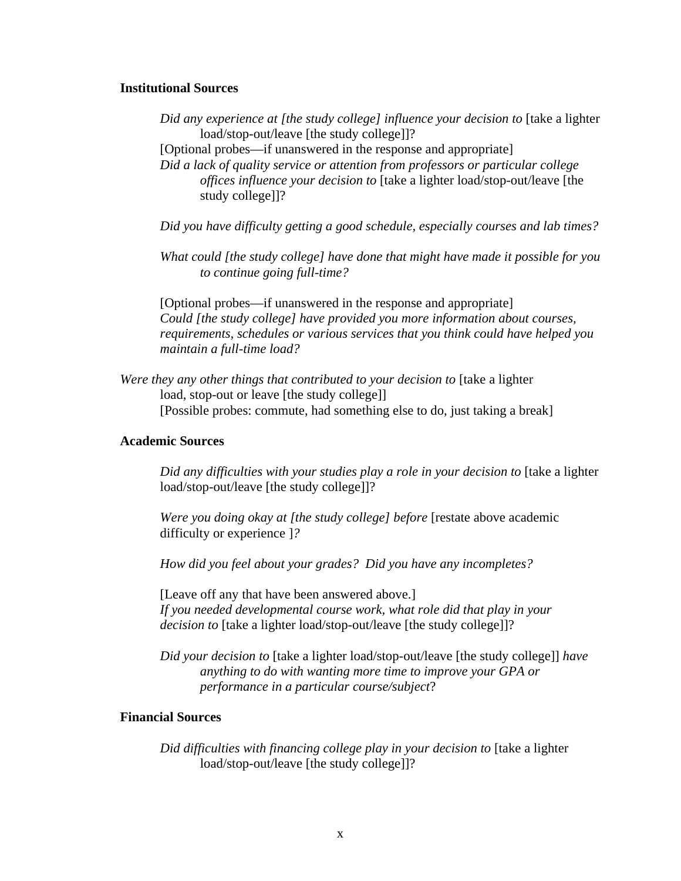#### **Institutional Sources**

- *Did any experience at [the study college] influence your decision to* [take a lighter load/stop-out/leave [the study college]]?
- [Optional probes—if unanswered in the response and appropriate]

*Did a lack of quality service or attention from professors or particular college offices influence your decision to* [take a lighter load/stop-out/leave [the study college]]?

*Did you have difficulty getting a good schedule, especially courses and lab times?* 

*What could [the study college] have done that might have made it possible for you to continue going full-time?* 

[Optional probes—if unanswered in the response and appropriate] *Could [the study college] have provided you more information about courses, requirements, schedules or various services that you think could have helped you maintain a full-time load?* 

*Were they any other things that contributed to your decision to* [take a lighter load, stop-out or leave [the study college]] [Possible probes: commute, had something else to do, just taking a break]

#### **Academic Sources**

*Did any difficulties with your studies play a role in your decision to* [take a lighter load/stop-out/leave [the study college]]?

*Were you doing okay at [the study college] before* [restate above academic difficulty or experience ]*?* 

*How did you feel about your grades? Did you have any incompletes?* 

[Leave off any that have been answered above.] *If you needed developmental course work, what role did that play in your decision to* [take a lighter load/stop-out/leave [the study college]]?

*Did your decision to* [take a lighter load/stop-out/leave [the study college]] *have anything to do with wanting more time to improve your GPA or performance in a particular course/subject*?

#### **Financial Sources**

*Did difficulties with financing college play in your decision to* [take a lighter load/stop-out/leave [the study college]]?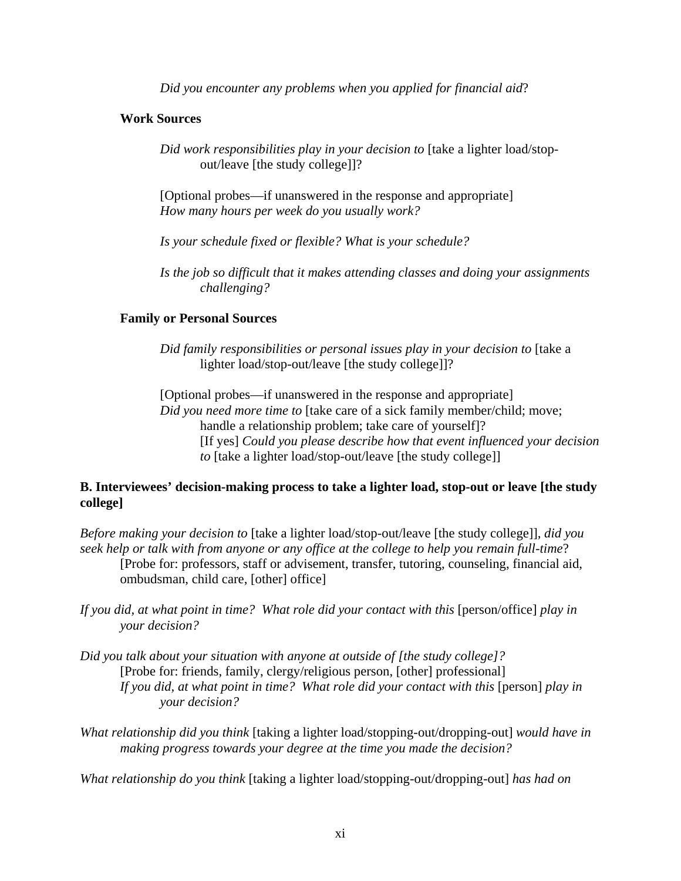*Did you encounter any problems when you applied for financial aid*?

## **Work Sources**

*Did work responsibilities play in your decision to* [take a lighter load/stopout/leave [the study college]]?

[Optional probes—if unanswered in the response and appropriate] *How many hours per week do you usually work?* 

*Is your schedule fixed or flexible? What is your schedule?* 

*Is the job so difficult that it makes attending classes and doing your assignments challenging?* 

## **Family or Personal Sources**

*Did family responsibilities or personal issues play in your decision to* [take a lighter load/stop-out/leave [the study college]]?

[Optional probes—if unanswered in the response and appropriate] *Did you need more time to* [take care of a sick family member/child; move; handle a relationship problem; take care of yourself]? [If yes] *Could you please describe how that event influenced your decision to* [take a lighter load/stop-out/leave [the study college]]

## **B. Interviewees' decision-making process to take a lighter load, stop-out or leave [the study college]**

*Before making your decision to* [take a lighter load/stop-out/leave [the study college]]*, did you seek help or talk with from anyone or any office at the college to help you remain full-time*? [Probe for: professors, staff or advisement, transfer, tutoring, counseling, financial aid, ombudsman, child care, [other] office]

If you did, at what point in time? What role did your contact with this [person/office] play in *your decision?* 

- *Did you talk about your situation with anyone at outside of [the study college]?*  [Probe for: friends, family, clergy/religious person, [other] professional] *If you did, at what point in time? What role did your contact with this [person] play in your decision?*
- *What relationship did you think* [taking a lighter load/stopping-out/dropping-out] *would have in making progress towards your degree at the time you made the decision?*

*What relationship do you think* [taking a lighter load/stopping-out/dropping-out] *has had on*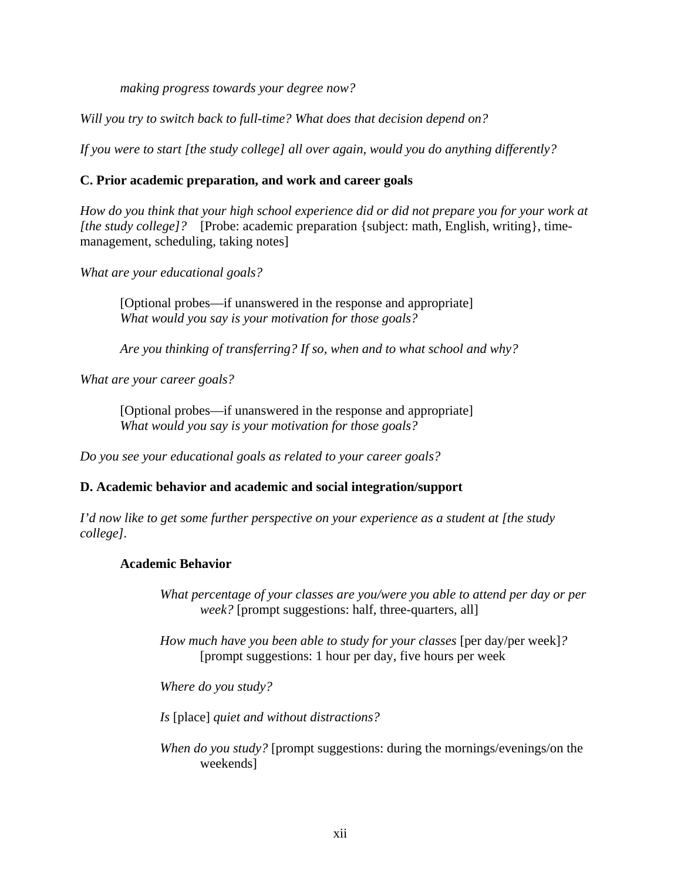*making progress towards your degree now?* 

*Will you try to switch back to full-time? What does that decision depend on?* 

*If you were to start [the study college] all over again, would you do anything differently?* 

## **C. Prior academic preparation, and work and career goals**

 *[the study college]?* [Probe: academic preparation {subject: math, English, writing}, time-*How do you think that your high school experience did or did not prepare you for your work at*  management, scheduling, taking notes]

*What are your educational goals?* 

[Optional probes—if unanswered in the response and appropriate] *What would you say is your motivation for those goals?* 

*Are you thinking of transferring? If so, when and to what school and why?* 

*What are your career goals?* 

[Optional probes—if unanswered in the response and appropriate] *What would you say is your motivation for those goals?* 

*Do you see your educational goals as related to your career goals?* 

## **D. Academic behavior and academic and social integration/support**

*I'd now like to get some further perspective on your experience as a student at [the study college].* 

## **Academic Behavior**

*What percentage of your classes are you/were you able to attend per day or per week?* [prompt suggestions: half, three-quarters, all]

*How much have you been able to study for your classes* [per day/per week]? [prompt suggestions: 1 hour per day, five hours per week

*Where do you study?* 

*Is* [place] *quiet and without distractions?* 

*When do you study?* [prompt suggestions: during the mornings/evenings/on the weekends]